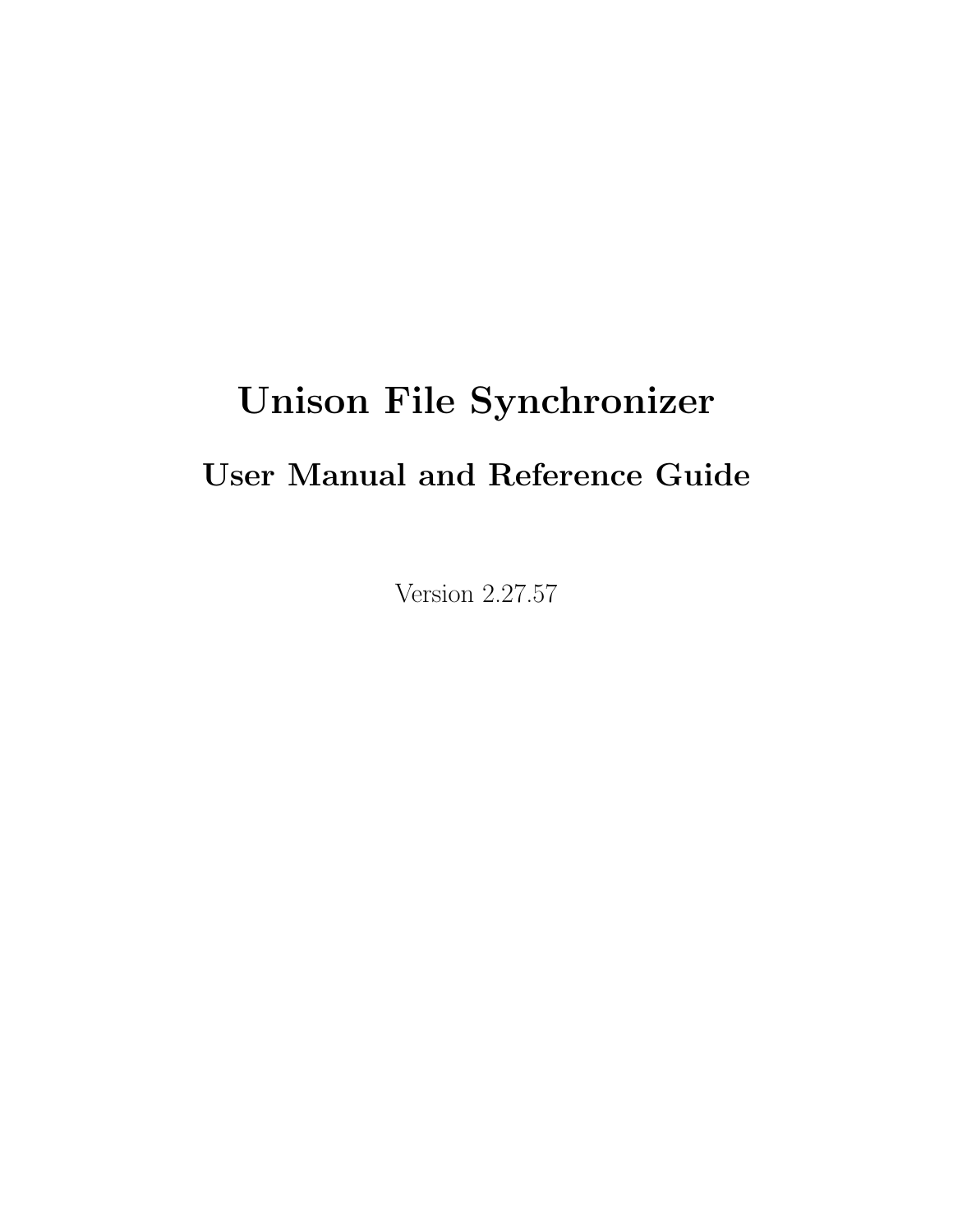# Unison File Synchronizer

# User Manual and Reference Guide

Version 2.27.57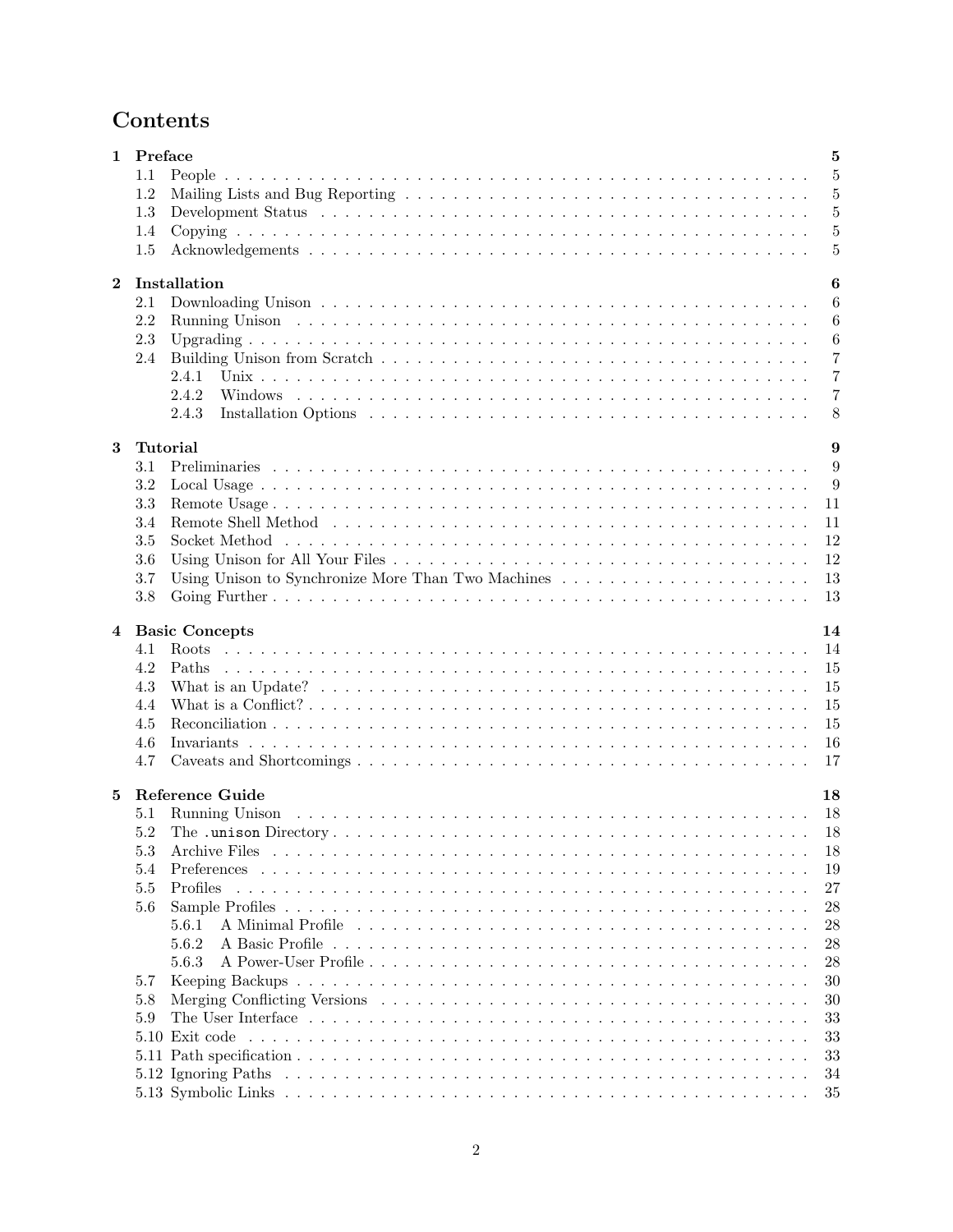# Contents

|              | 1 Preface | $\overline{5}$                                           |
|--------------|-----------|----------------------------------------------------------|
|              | 1.1       | 5                                                        |
|              | 1.2       | 5                                                        |
|              | 1.3       | 5                                                        |
|              | 1.4       | 5                                                        |
|              | 1.5       | $\overline{5}$                                           |
|              |           |                                                          |
| $\mathbf{2}$ |           | Installation<br>$\boldsymbol{6}$                         |
|              | 2.1       | 6                                                        |
|              | 2.2       | 6                                                        |
|              | 2.3       | 6                                                        |
|              | 2.4       | $\overline{7}$                                           |
|              |           | $\overline{7}$<br>2.4.1                                  |
|              |           | $\overline{7}$<br>2.4.2                                  |
|              |           | 8                                                        |
|              |           | 2.4.3                                                    |
| 3            |           | 9<br><b>Tutorial</b>                                     |
|              | 3.1       | 9                                                        |
|              | 3.2       | 9                                                        |
|              | 3.3       | 11                                                       |
|              | 3.4       | 11                                                       |
|              | 3.5       | 12                                                       |
|              | 3.6       | 12                                                       |
|              | 3.7       | Using Unison to Synchronize More Than Two Machines<br>13 |
|              |           | 13                                                       |
|              | 3.8       |                                                          |
| 4            |           | <b>Basic Concepts</b><br>14                              |
|              | 4.1       | 14                                                       |
|              | 4.2       | Paths<br>15                                              |
|              | 4.3       | 15                                                       |
|              | 4.4       | 15                                                       |
|              | 4.5       | 15                                                       |
|              | 4.6       | 16                                                       |
|              | 4.7       | 17                                                       |
|              |           |                                                          |
| 5            |           | <b>Reference Guide</b><br>18                             |
|              | 5.1       | 18                                                       |
|              | 5.2       | -18                                                      |
|              | 5.3       | 18<br>Archive Files                                      |
|              | 5.4       | Preferences<br>19                                        |
|              | 5.5       | Profiles<br>27                                           |
|              | 5.6       | 28                                                       |
|              |           | A Minimal Profile<br>5.6.1<br>28                         |
|              |           | 5.6.2<br>28                                              |
|              |           | 5.6.3                                                    |
|              |           | 28                                                       |
|              | 5.7       | 30                                                       |
|              | 5.8       | 30                                                       |
|              | 5.9       | 33                                                       |
|              |           | 5.10 Exit code<br>33                                     |
|              |           | 33                                                       |
|              |           | 34                                                       |
|              |           | 35                                                       |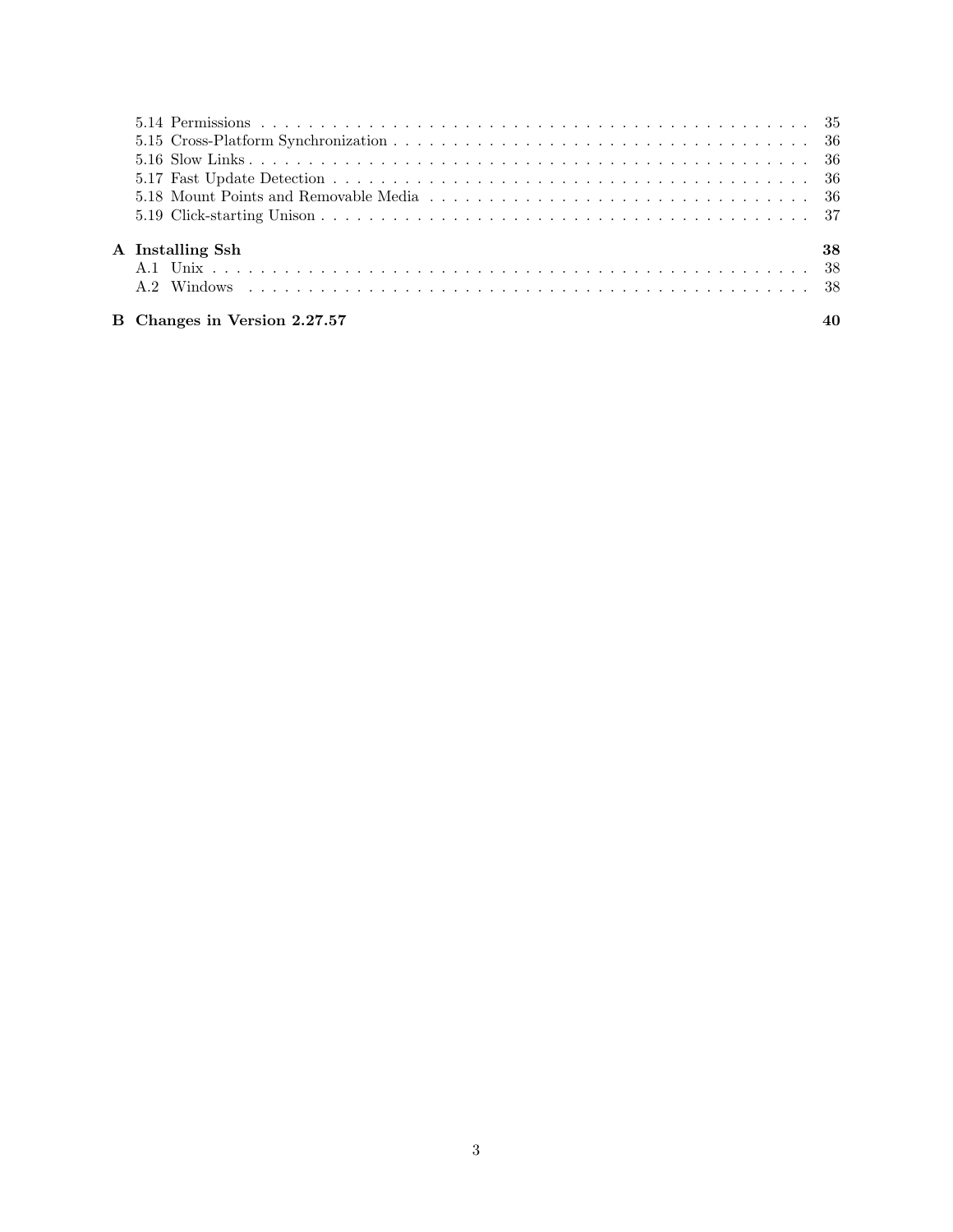| A Installing Ssh             | 38 |
|------------------------------|----|
|                              |    |
|                              |    |
| B Changes in Version 2.27.57 | 40 |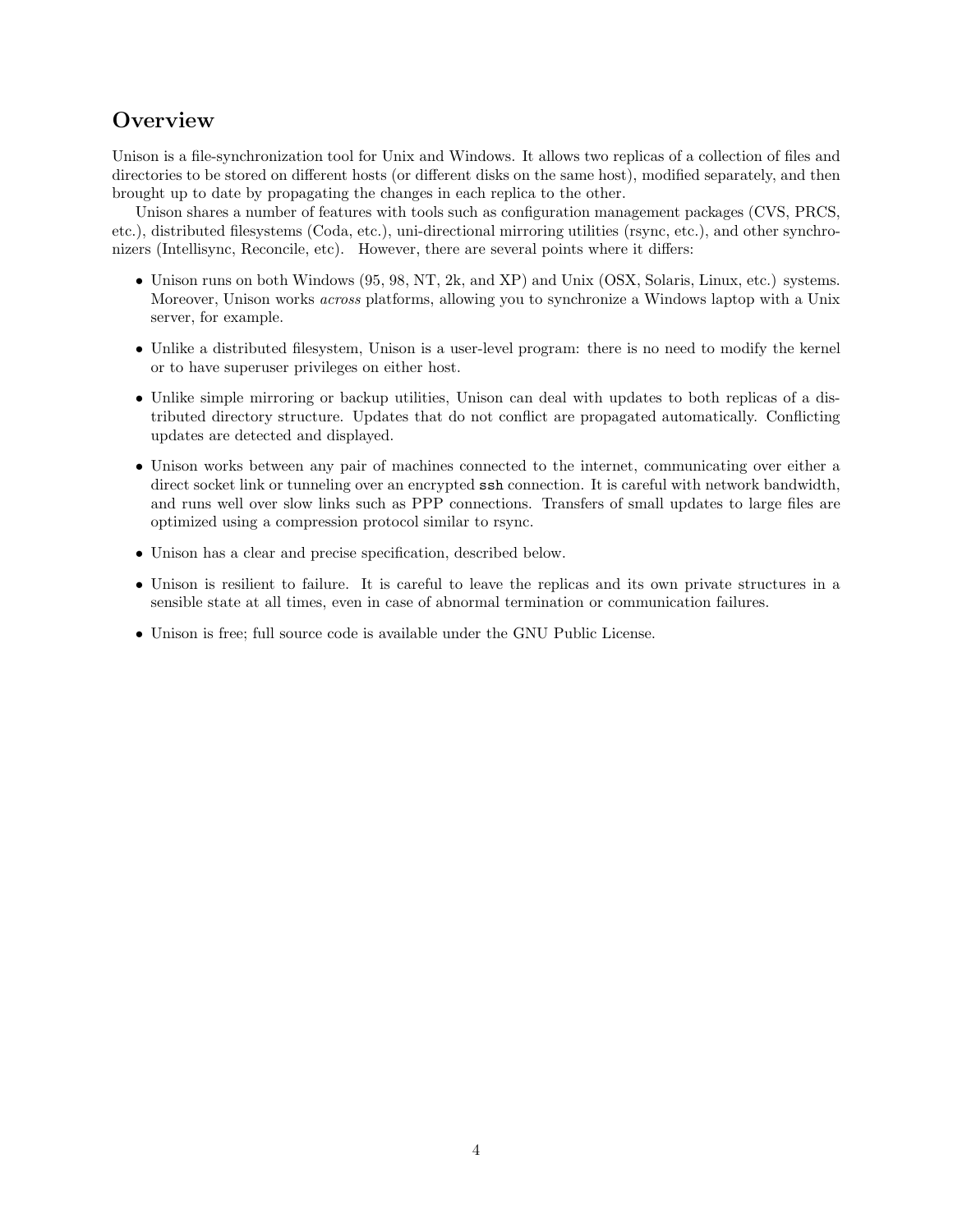# **Overview**

Unison is a file-synchronization tool for Unix and Windows. It allows two replicas of a collection of files and directories to be stored on different hosts (or different disks on the same host), modified separately, and then brought up to date by propagating the changes in each replica to the other.

Unison shares a number of features with tools such as configuration management packages (CVS, PRCS, etc.), distributed filesystems (Coda, etc.), uni-directional mirroring utilities (rsync, etc.), and other synchronizers (Intellisync, Reconcile, etc). However, there are several points where it differs:

- Unison runs on both Windows (95, 98, NT, 2k, and XP) and Unix (OSX, Solaris, Linux, etc.) systems. Moreover, Unison works across platforms, allowing you to synchronize a Windows laptop with a Unix server, for example.
- Unlike a distributed filesystem, Unison is a user-level program: there is no need to modify the kernel or to have superuser privileges on either host.
- Unlike simple mirroring or backup utilities, Unison can deal with updates to both replicas of a distributed directory structure. Updates that do not conflict are propagated automatically. Conflicting updates are detected and displayed.
- Unison works between any pair of machines connected to the internet, communicating over either a direct socket link or tunneling over an encrypted ssh connection. It is careful with network bandwidth, and runs well over slow links such as PPP connections. Transfers of small updates to large files are optimized using a compression protocol similar to rsync.
- Unison has a clear and precise specification, described below.
- Unison is resilient to failure. It is careful to leave the replicas and its own private structures in a sensible state at all times, even in case of abnormal termination or communication failures.
- Unison is free; full source code is available under the GNU Public License.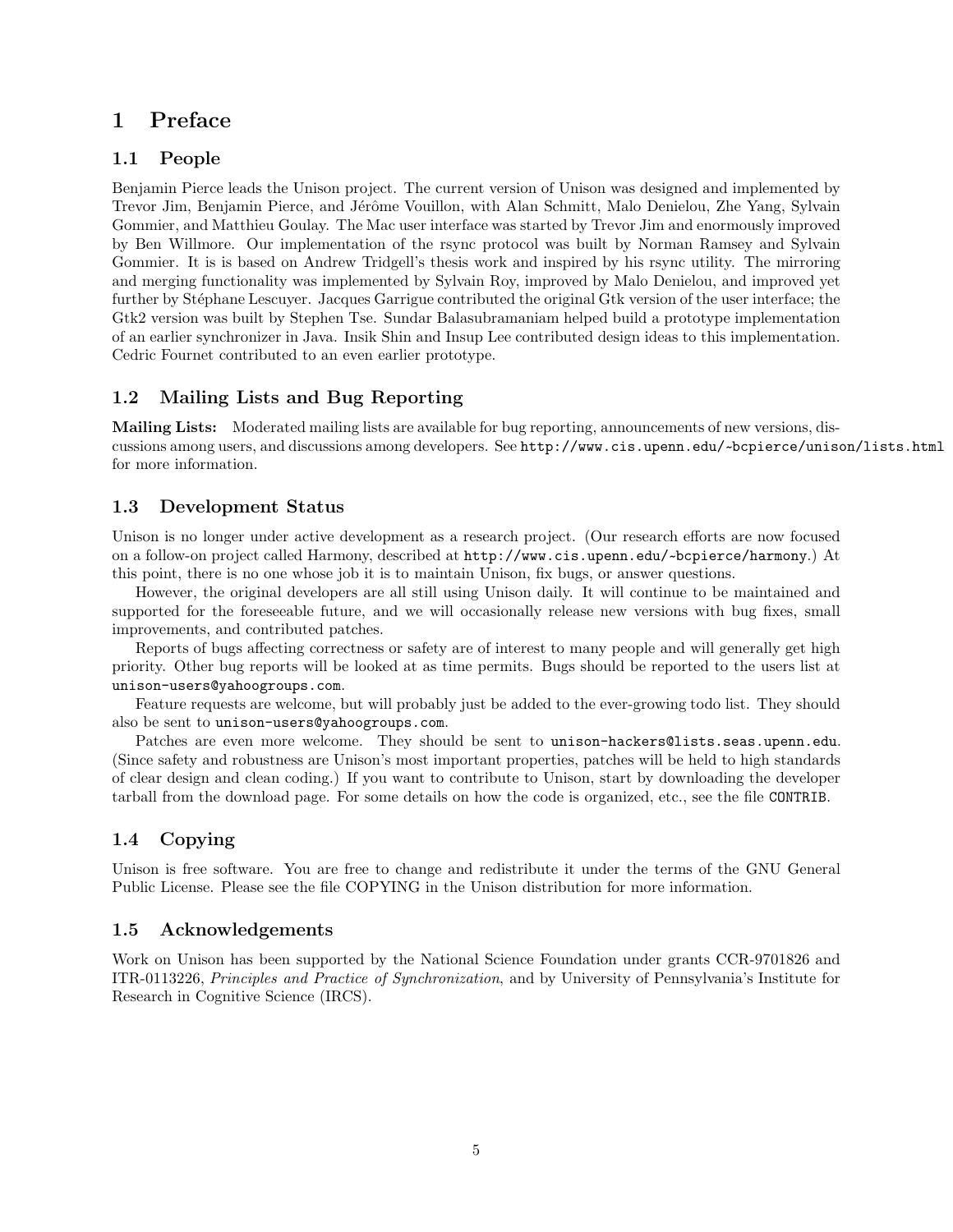# 1 Preface

## 1.1 People

Benjamin Pierce leads the Unison project. The current version of Unison was designed and implemented by Trevor Jim, Benjamin Pierce, and Jérôme Vouillon, with Alan Schmitt, Malo Denielou, Zhe Yang, Sylvain Gommier, and Matthieu Goulay. The Mac user interface was started by Trevor Jim and enormously improved by Ben Willmore. Our implementation of the rsync protocol was built by Norman Ramsey and Sylvain Gommier. It is is based on Andrew Tridgell's thesis work and inspired by his rsync utility. The mirroring and merging functionality was implemented by Sylvain Roy, improved by Malo Denielou, and improved yet further by Stéphane Lescuyer. Jacques Garrigue contributed the original Gtk version of the user interface; the Gtk2 version was built by Stephen Tse. Sundar Balasubramaniam helped build a prototype implementation of an earlier synchronizer in Java. Insik Shin and Insup Lee contributed design ideas to this implementation. Cedric Fournet contributed to an even earlier prototype.

## 1.2 Mailing Lists and Bug Reporting

Mailing Lists: Moderated mailing lists are available for bug reporting, announcements of new versions, discussions among users, and discussions among developers. See http://www.cis.upenn.edu/~ bcpierce/unison/lists.html for more information.

#### 1.3 Development Status

Unison is no longer under active development as a research project. (Our research efforts are now focused on a follow-on project called Harmony, described at http://www.cis.upenn.edu/~ bcpierce/harmony.) At this point, there is no one whose job it is to maintain Unison, fix bugs, or answer questions.

However, the original developers are all still using Unison daily. It will continue to be maintained and supported for the foreseeable future, and we will occasionally release new versions with bug fixes, small improvements, and contributed patches.

Reports of bugs affecting correctness or safety are of interest to many people and will generally get high priority. Other bug reports will be looked at as time permits. Bugs should be reported to the users list at unison-users@yahoogroups.com.

Feature requests are welcome, but will probably just be added to the ever-growing todo list. They should also be sent to unison-users@yahoogroups.com.

Patches are even more welcome. They should be sent to unison-hackers@lists.seas.upenn.edu. (Since safety and robustness are Unison's most important properties, patches will be held to high standards of clear design and clean coding.) If you want to contribute to Unison, start by downloading the developer tarball from the download page. For some details on how the code is organized, etc., see the file CONTRIB.

# 1.4 Copying

Unison is free software. You are free to change and redistribute it under the terms of the GNU General Public License. Please see the file COPYING in the Unison distribution for more information.

#### 1.5 Acknowledgements

Work on Unison has been supported by the National Science Foundation under grants CCR-9701826 and ITR-0113226, Principles and Practice of Synchronization, and by University of Pennsylvania's Institute for Research in Cognitive Science (IRCS).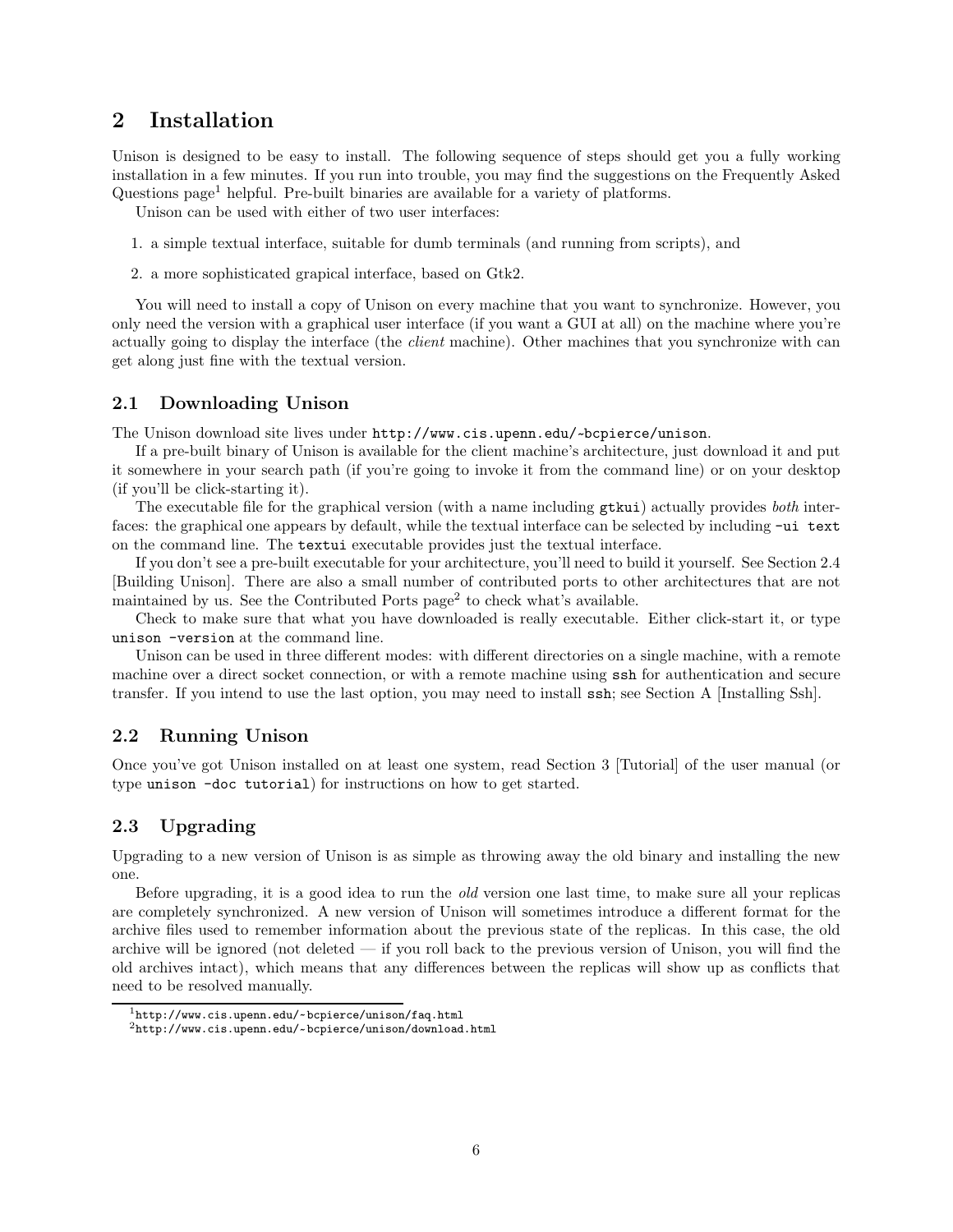# 2 Installation

Unison is designed to be easy to install. The following sequence of steps should get you a fully working installation in a few minutes. If you run into trouble, you may find the suggestions on the Frequently Asked Questions  $page<sup>1</sup>$  helpful. Pre-built binaries are available for a variety of platforms.

Unison can be used with either of two user interfaces:

- 1. a simple textual interface, suitable for dumb terminals (and running from scripts), and
- 2. a more sophisticated grapical interface, based on Gtk2.

You will need to install a copy of Unison on every machine that you want to synchronize. However, you only need the version with a graphical user interface (if you want a GUI at all) on the machine where you're actually going to display the interface (the *client* machine). Other machines that you synchronize with can get along just fine with the textual version.

#### 2.1 Downloading Unison

The Unison download site lives under http://www.cis.upenn.edu/~ bcpierce/unison.

If a pre-built binary of Unison is available for the client machine's architecture, just download it and put it somewhere in your search path (if you're going to invoke it from the command line) or on your desktop (if you'll be click-starting it).

The executable file for the graphical version (with a name including **gtkui**) actually provides *both* interfaces: the graphical one appears by default, while the textual interface can be selected by including -ui text on the command line. The textui executable provides just the textual interface.

If you don't see a pre-built executable for your architecture, you'll need to build it yourself. See Section 2.4 [Building Unison]. There are also a small number of contributed ports to other architectures that are not maintained by us. See the Contributed Ports page<sup>2</sup> to check what's available.

Check to make sure that what you have downloaded is really executable. Either click-start it, or type unison -version at the command line.

Unison can be used in three different modes: with different directories on a single machine, with a remote machine over a direct socket connection, or with a remote machine using ssh for authentication and secure transfer. If you intend to use the last option, you may need to install ssh; see Section A [Installing Ssh].

#### 2.2 Running Unison

Once you've got Unison installed on at least one system, read Section 3 [Tutorial] of the user manual (or type unison -doc tutorial) for instructions on how to get started.

## 2.3 Upgrading

Upgrading to a new version of Unison is as simple as throwing away the old binary and installing the new one.

Before upgrading, it is a good idea to run the old version one last time, to make sure all your replicas are completely synchronized. A new version of Unison will sometimes introduce a different format for the archive files used to remember information about the previous state of the replicas. In this case, the old archive will be ignored (not deleted  $-$  if you roll back to the previous version of Unison, you will find the old archives intact), which means that any differences between the replicas will show up as conflicts that need to be resolved manually.

<sup>1</sup>http://www.cis.upenn.edu/~ bcpierce/unison/faq.html

<sup>2</sup>http://www.cis.upenn.edu/~ bcpierce/unison/download.html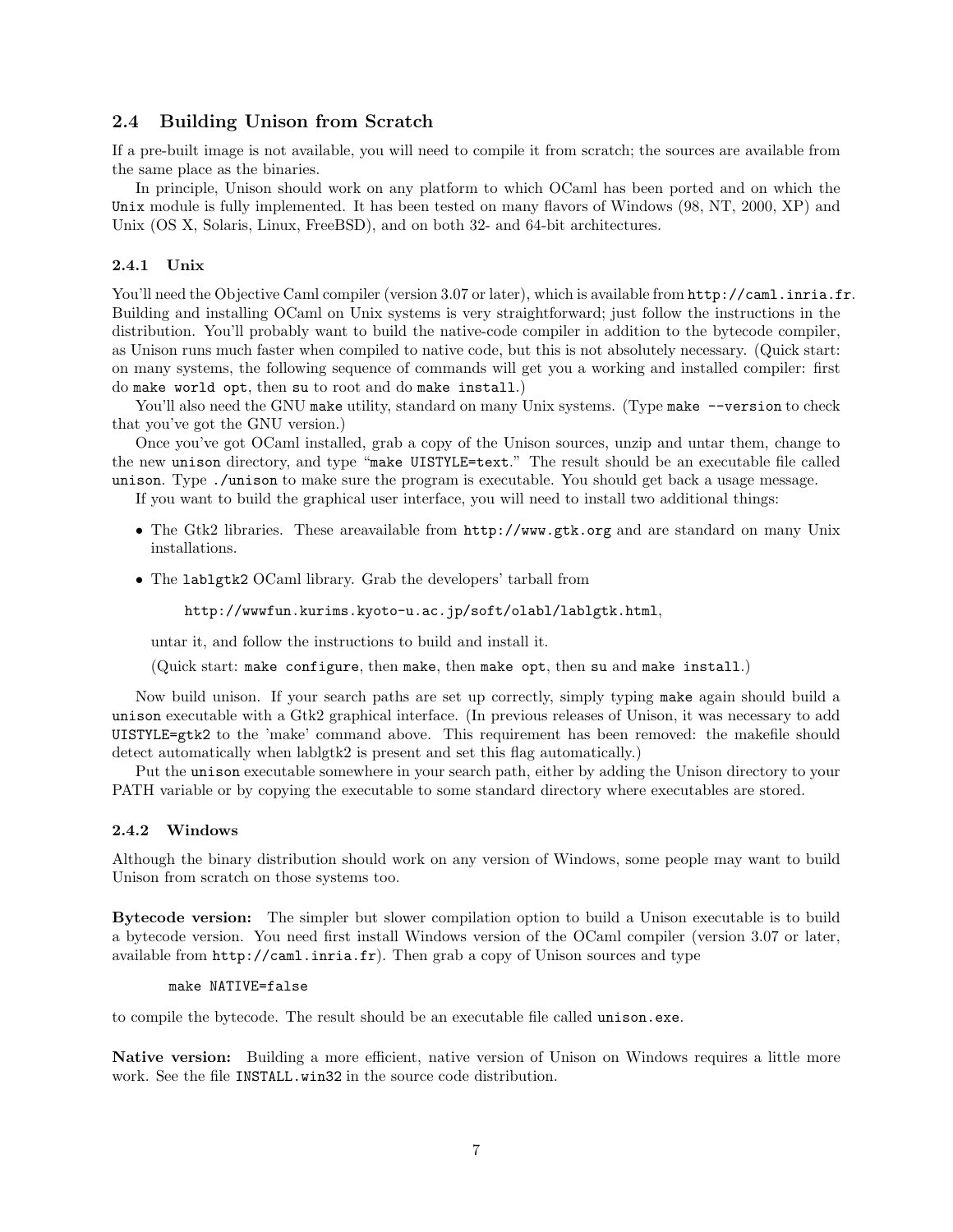#### 2.4 Building Unison from Scratch

If a pre-built image is not available, you will need to compile it from scratch; the sources are available from the same place as the binaries.

In principle, Unison should work on any platform to which OCaml has been ported and on which the Unix module is fully implemented. It has been tested on many flavors of Windows (98, NT, 2000, XP) and Unix (OS X, Solaris, Linux, FreeBSD), and on both 32- and 64-bit architectures.

#### 2.4.1 Unix

You'll need the Objective Caml compiler (version 3.07 or later), which is available from  $\text{http://cam.l.inria.fr.}$ Building and installing OCaml on Unix systems is very straightforward; just follow the instructions in the distribution. You'll probably want to build the native-code compiler in addition to the bytecode compiler, as Unison runs much faster when compiled to native code, but this is not absolutely necessary. (Quick start: on many systems, the following sequence of commands will get you a working and installed compiler: first do make world opt, then su to root and do make install.)

You'll also need the GNU make utility, standard on many Unix systems. (Type make --version to check that you've got the GNU version.)

Once you've got OCaml installed, grab a copy of the Unison sources, unzip and untar them, change to the new unison directory, and type "make UISTYLE=text." The result should be an executable file called unison. Type ./unison to make sure the program is executable. You should get back a usage message.

If you want to build the graphical user interface, you will need to install two additional things:

- The Gtk2 libraries. These areavailable from  $http://www.getk.org$  and are standard on many Unix installations.
- The lablgtk2 OCaml library. Grab the developers' tarball from

```
http://wwwfun.kurims.kyoto-u.ac.jp/soft/olabl/lablgtk.html,
```
untar it, and follow the instructions to build and install it.

(Quick start: make configure, then make, then make opt, then su and make install.)

Now build unison. If your search paths are set up correctly, simply typing make again should build a unison executable with a Gtk2 graphical interface. (In previous releases of Unison, it was necessary to add UISTYLE=gtk2 to the 'make' command above. This requirement has been removed: the makefile should detect automatically when lablgtk2 is present and set this flag automatically.)

Put the unison executable somewhere in your search path, either by adding the Unison directory to your PATH variable or by copying the executable to some standard directory where executables are stored.

#### 2.4.2 Windows

Although the binary distribution should work on any version of Windows, some people may want to build Unison from scratch on those systems too.

Bytecode version: The simpler but slower compilation option to build a Unison executable is to build a bytecode version. You need first install Windows version of the OCaml compiler (version 3.07 or later, available from http://caml.inria.fr). Then grab a copy of Unison sources and type

#### make NATIVE=false

to compile the bytecode. The result should be an executable file called unison.exe.

Native version: Building a more efficient, native version of Unison on Windows requires a little more work. See the file INSTALL.win32 in the source code distribution.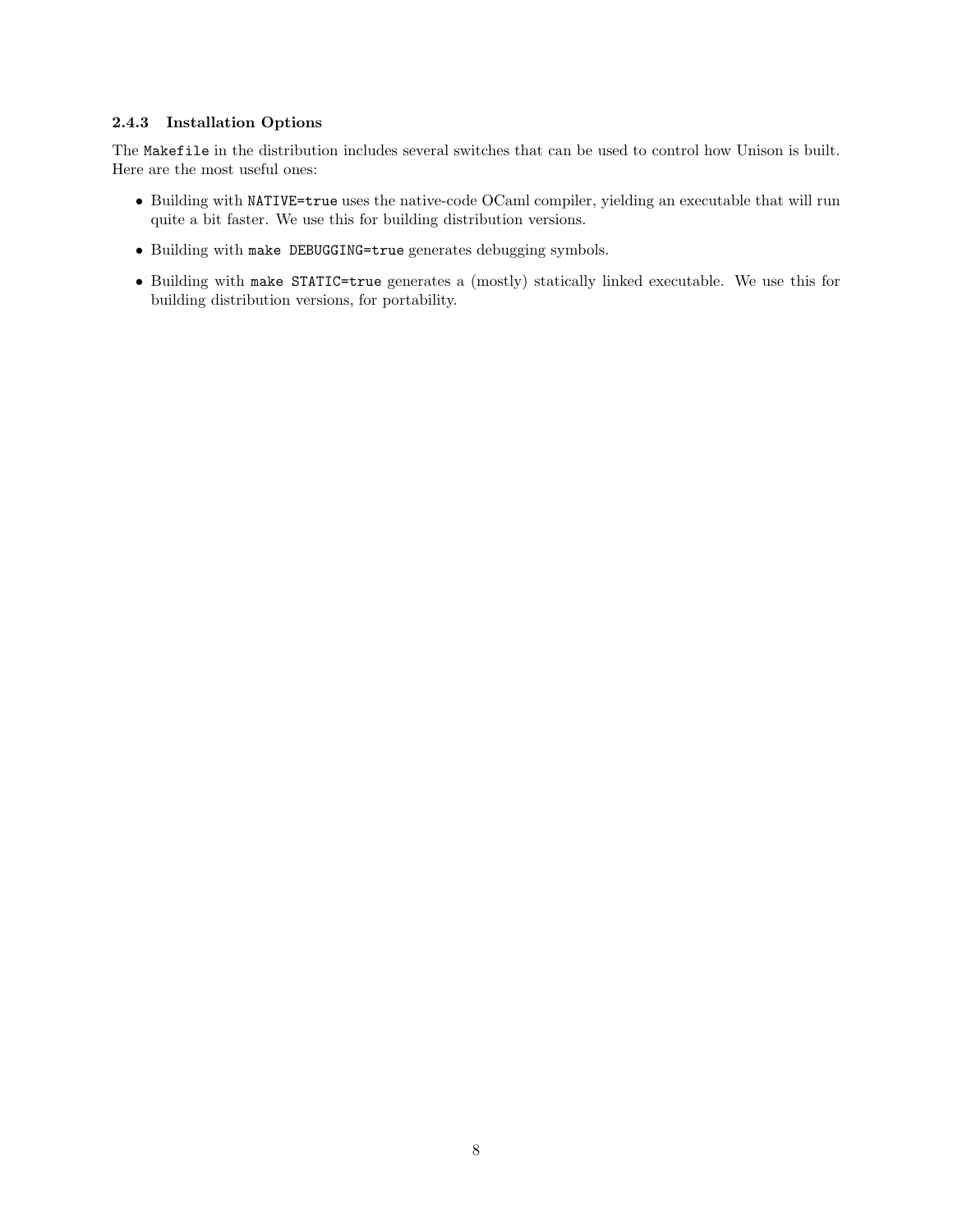#### 2.4.3 Installation Options

The Makefile in the distribution includes several switches that can be used to control how Unison is built. Here are the most useful ones:

- Building with NATIVE=true uses the native-code OCaml compiler, yielding an executable that will run quite a bit faster. We use this for building distribution versions.
- Building with make DEBUGGING=true generates debugging symbols.
- Building with make STATIC=true generates a (mostly) statically linked executable. We use this for building distribution versions, for portability.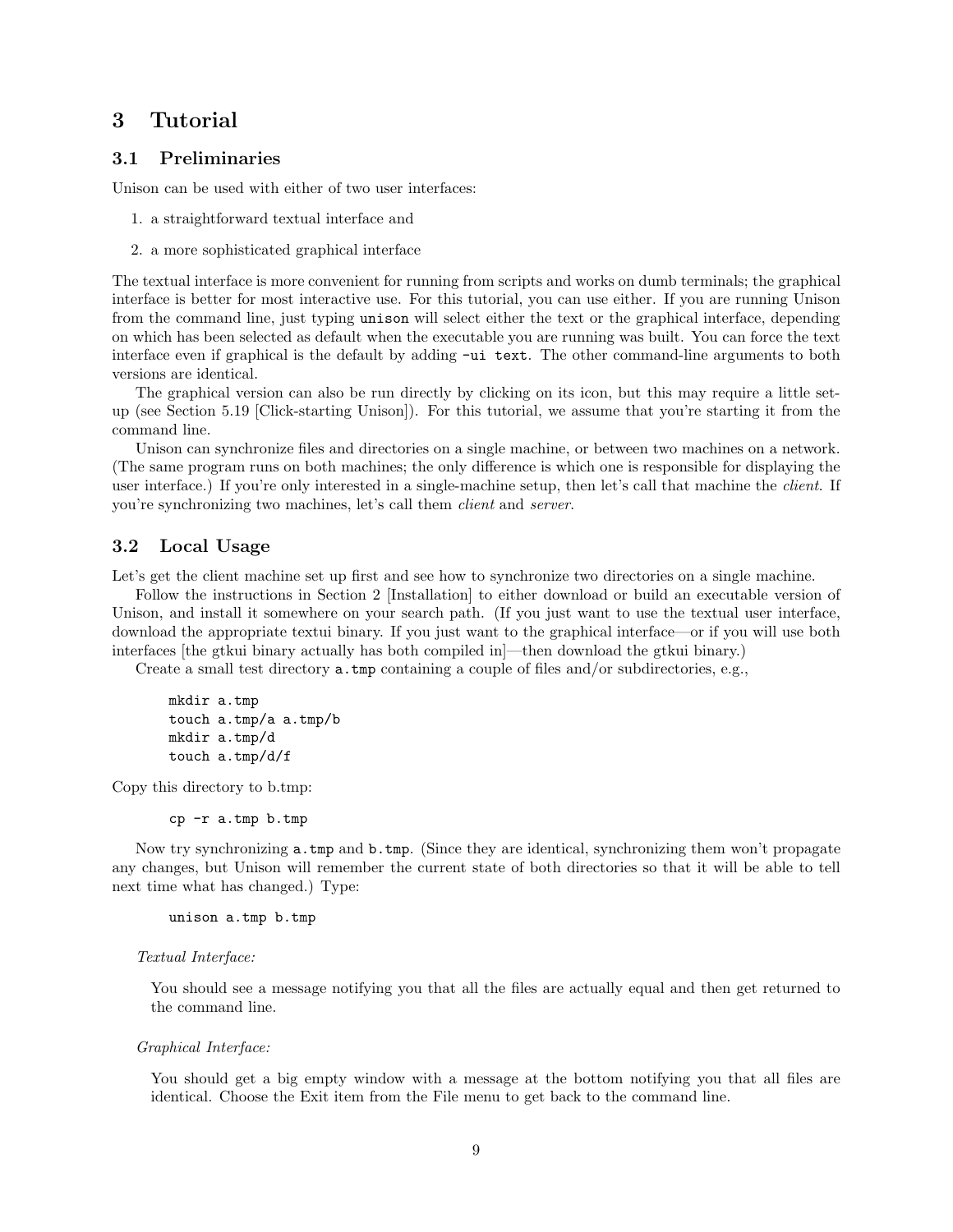# 3 Tutorial

## 3.1 Preliminaries

Unison can be used with either of two user interfaces:

- 1. a straightforward textual interface and
- 2. a more sophisticated graphical interface

The textual interface is more convenient for running from scripts and works on dumb terminals; the graphical interface is better for most interactive use. For this tutorial, you can use either. If you are running Unison from the command line, just typing unison will select either the text or the graphical interface, depending on which has been selected as default when the executable you are running was built. You can force the text interface even if graphical is the default by adding  $-\overline{\mathrm{u}}\ \mathrm{text}$ . The other command-line arguments to both versions are identical.

The graphical version can also be run directly by clicking on its icon, but this may require a little setup (see Section 5.19 [Click-starting Unison]). For this tutorial, we assume that you're starting it from the command line.

Unison can synchronize files and directories on a single machine, or between two machines on a network. (The same program runs on both machines; the only difference is which one is responsible for displaying the user interface.) If you're only interested in a single-machine setup, then let's call that machine the *client*. If you're synchronizing two machines, let's call them client and server.

### 3.2 Local Usage

Let's get the client machine set up first and see how to synchronize two directories on a single machine.

Follow the instructions in Section 2 [Installation] to either download or build an executable version of Unison, and install it somewhere on your search path. (If you just want to use the textual user interface, download the appropriate textui binary. If you just want to the graphical interface—or if you will use both interfaces [the gtkui binary actually has both compiled in]—then download the gtkui binary.)

Create a small test directory a.tmp containing a couple of files and/or subdirectories, e.g.,

```
mkdir a.tmp
touch a.tmp/a a.tmp/b
mkdir a.tmp/d
touch a.tmp/d/f
```
Copy this directory to b.tmp:

cp -r a.tmp b.tmp

Now try synchronizing **a.tmp** and **b.tmp.** (Since they are identical, synchronizing them won't propagate any changes, but Unison will remember the current state of both directories so that it will be able to tell next time what has changed.) Type:

```
unison a.tmp b.tmp
```
#### Textual Interface:

You should see a message notifying you that all the files are actually equal and then get returned to the command line.

#### Graphical Interface:

You should get a big empty window with a message at the bottom notifying you that all files are identical. Choose the Exit item from the File menu to get back to the command line.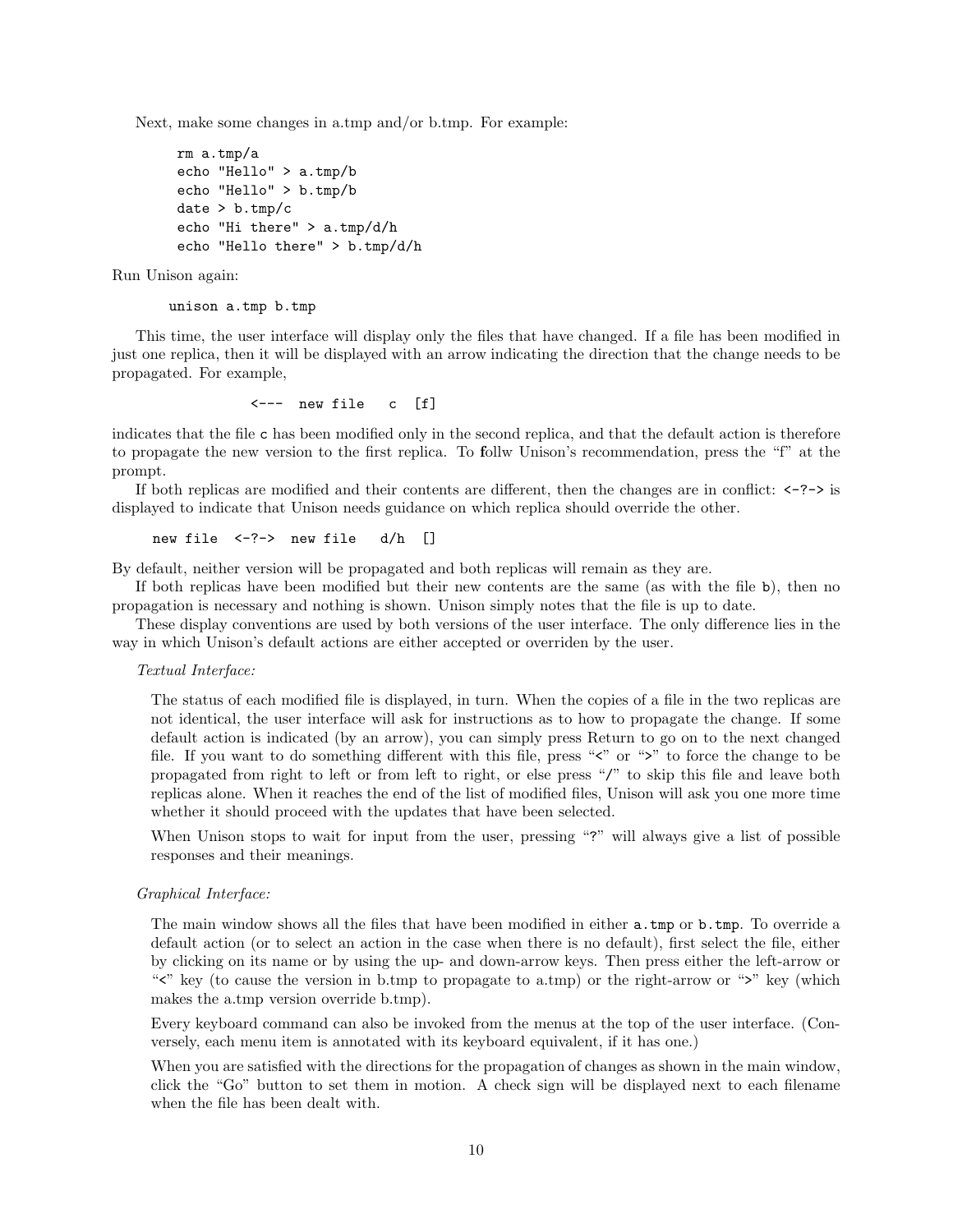Next, make some changes in a.tmp and/or b.tmp. For example:

```
rm a.tmp/a
echo "Hello" > a.tmp/b
echo "Hello" > b.tmp/b
date > b . \text{tmp}/cecho "Hi there" > a.tmp/d/h
echo "Hello there" > b.tmp/d/h
```
Run Unison again:

unison a.tmp b.tmp

This time, the user interface will display only the files that have changed. If a file has been modified in just one replica, then it will be displayed with an arrow indicating the direction that the change needs to be propagated. For example,

<--- new file c [f]

indicates that the file c has been modified only in the second replica, and that the default action is therefore to propagate the new version to the first replica. To follw Unison's recommendation, press the "f" at the prompt.

If both replicas are modified and their contents are different, then the changes are in conflict:  $\langle -\rangle$  is displayed to indicate that Unison needs guidance on which replica should override the other.

```
new file <-?-> new file d/h []
```
By default, neither version will be propagated and both replicas will remain as they are.

If both replicas have been modified but their new contents are the same (as with the file b), then no propagation is necessary and nothing is shown. Unison simply notes that the file is up to date.

These display conventions are used by both versions of the user interface. The only difference lies in the way in which Unison's default actions are either accepted or overriden by the user.

#### Textual Interface:

The status of each modified file is displayed, in turn. When the copies of a file in the two replicas are not identical, the user interface will ask for instructions as to how to propagate the change. If some default action is indicated (by an arrow), you can simply press Return to go on to the next changed file. If you want to do something different with this file, press " $\zeta$ " or ">" to force the change to be propagated from right to left or from left to right, or else press "/" to skip this file and leave both replicas alone. When it reaches the end of the list of modified files, Unison will ask you one more time whether it should proceed with the updates that have been selected.

When Unison stops to wait for input from the user, pressing "?" will always give a list of possible responses and their meanings.

#### Graphical Interface:

The main window shows all the files that have been modified in either a.tmp or b.tmp. To override a default action (or to select an action in the case when there is no default), first select the file, either by clicking on its name or by using the up- and down-arrow keys. Then press either the left-arrow or "">" key (to cause the version in b.tmp to propagate to a.tmp) or the right-arrow or " $\geq$ " key (which makes the a.tmp version override b.tmp).

Every keyboard command can also be invoked from the menus at the top of the user interface. (Conversely, each menu item is annotated with its keyboard equivalent, if it has one.)

When you are satisfied with the directions for the propagation of changes as shown in the main window, click the "Go" button to set them in motion. A check sign will be displayed next to each filename when the file has been dealt with.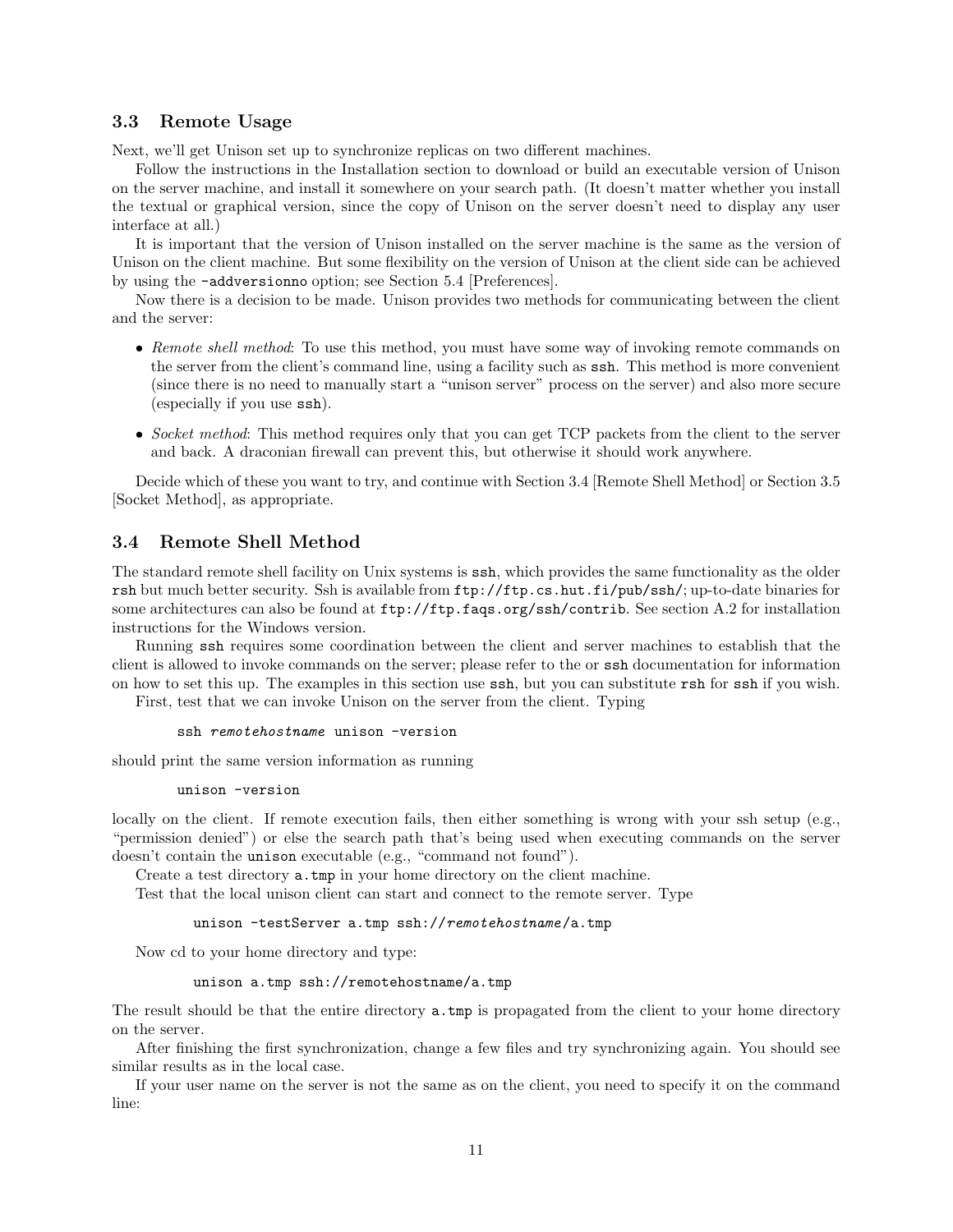#### 3.3 Remote Usage

Next, we'll get Unison set up to synchronize replicas on two different machines.

Follow the instructions in the Installation section to download or build an executable version of Unison on the server machine, and install it somewhere on your search path. (It doesn't matter whether you install the textual or graphical version, since the copy of Unison on the server doesn't need to display any user interface at all.)

It is important that the version of Unison installed on the server machine is the same as the version of Unison on the client machine. But some flexibility on the version of Unison at the client side can be achieved by using the -addversionno option; see Section 5.4 [Preferences].

Now there is a decision to be made. Unison provides two methods for communicating between the client and the server:

- Remote shell method: To use this method, you must have some way of invoking remote commands on the server from the client's command line, using a facility such as ssh. This method is more convenient (since there is no need to manually start a "unison server" process on the server) and also more secure (especially if you use ssh).
- Socket method: This method requires only that you can get TCP packets from the client to the server and back. A draconian firewall can prevent this, but otherwise it should work anywhere.

Decide which of these you want to try, and continue with Section 3.4 [Remote Shell Method] or Section 3.5 [Socket Method], as appropriate.

#### 3.4 Remote Shell Method

The standard remote shell facility on Unix systems is ssh, which provides the same functionality as the older rsh but much better security. Ssh is available from ftp://ftp.cs.hut.fi/pub/ssh/; up-to-date binaries for some architectures can also be found at ftp://ftp.faqs.org/ssh/contrib. See section A.2 for installation instructions for the Windows version.

Running ssh requires some coordination between the client and server machines to establish that the client is allowed to invoke commands on the server; please refer to the or ssh documentation for information on how to set this up. The examples in this section use ssh, but you can substitute rsh for ssh if you wish.

First, test that we can invoke Unison on the server from the client. Typing

```
ssh remotehostname unison -version
```
should print the same version information as running

```
unison -version
```
locally on the client. If remote execution fails, then either something is wrong with your ssh setup (e.g., "permission denied") or else the search path that's being used when executing commands on the server doesn't contain the unison executable (e.g., "command not found").

Create a test directory a.tmp in your home directory on the client machine.

Test that the local unison client can start and connect to the remote server. Type

unison -testServer a.tmp ssh://remotehostname/a.tmp

Now cd to your home directory and type:

```
unison a.tmp ssh://remotehostname/a.tmp
```
The result should be that the entire directory a.tmp is propagated from the client to your home directory on the server.

After finishing the first synchronization, change a few files and try synchronizing again. You should see similar results as in the local case.

If your user name on the server is not the same as on the client, you need to specify it on the command line: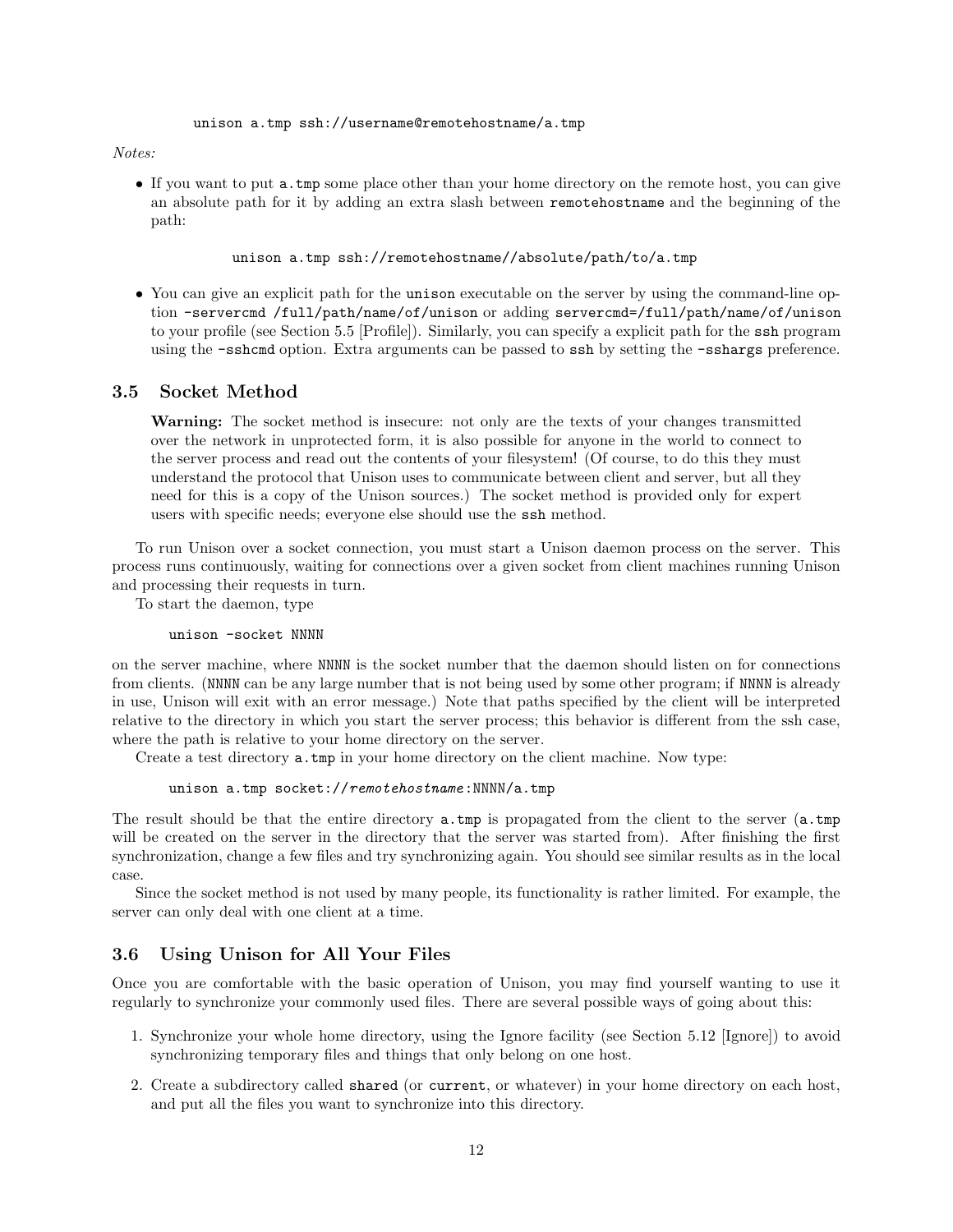#### Notes:

• If you want to put a.tmp some place other than your home directory on the remote host, you can give an absolute path for it by adding an extra slash between remotehostname and the beginning of the path:

unison a.tmp ssh://remotehostname//absolute/path/to/a.tmp

• You can give an explicit path for the unison executable on the server by using the command-line option -servercmd /full/path/name/of/unison or adding servercmd=/full/path/name/of/unison to your profile (see Section 5.5 [Profile]). Similarly, you can specify a explicit path for the ssh program using the -sshcmd option. Extra arguments can be passed to ssh by setting the -sshargs preference.

#### 3.5 Socket Method

Warning: The socket method is insecure: not only are the texts of your changes transmitted over the network in unprotected form, it is also possible for anyone in the world to connect to the server process and read out the contents of your filesystem! (Of course, to do this they must understand the protocol that Unison uses to communicate between client and server, but all they need for this is a copy of the Unison sources.) The socket method is provided only for expert users with specific needs; everyone else should use the ssh method.

To run Unison over a socket connection, you must start a Unison daemon process on the server. This process runs continuously, waiting for connections over a given socket from client machines running Unison and processing their requests in turn.

To start the daemon, type

unison -socket NNNN

on the server machine, where NNNN is the socket number that the daemon should listen on for connections from clients. (NNNN can be any large number that is not being used by some other program; if NNNN is already in use, Unison will exit with an error message.) Note that paths specified by the client will be interpreted relative to the directory in which you start the server process; this behavior is different from the ssh case, where the path is relative to your home directory on the server.

Create a test directory a.tmp in your home directory on the client machine. Now type:

unison a.tmp socket://remotehostname:NNNN/a.tmp

The result should be that the entire directory a.tmp is propagated from the client to the server (a.tmp will be created on the server in the directory that the server was started from). After finishing the first synchronization, change a few files and try synchronizing again. You should see similar results as in the local case.

Since the socket method is not used by many people, its functionality is rather limited. For example, the server can only deal with one client at a time.

#### 3.6 Using Unison for All Your Files

Once you are comfortable with the basic operation of Unison, you may find yourself wanting to use it regularly to synchronize your commonly used files. There are several possible ways of going about this:

- 1. Synchronize your whole home directory, using the Ignore facility (see Section 5.12 [Ignore]) to avoid synchronizing temporary files and things that only belong on one host.
- 2. Create a subdirectory called shared (or current, or whatever) in your home directory on each host, and put all the files you want to synchronize into this directory.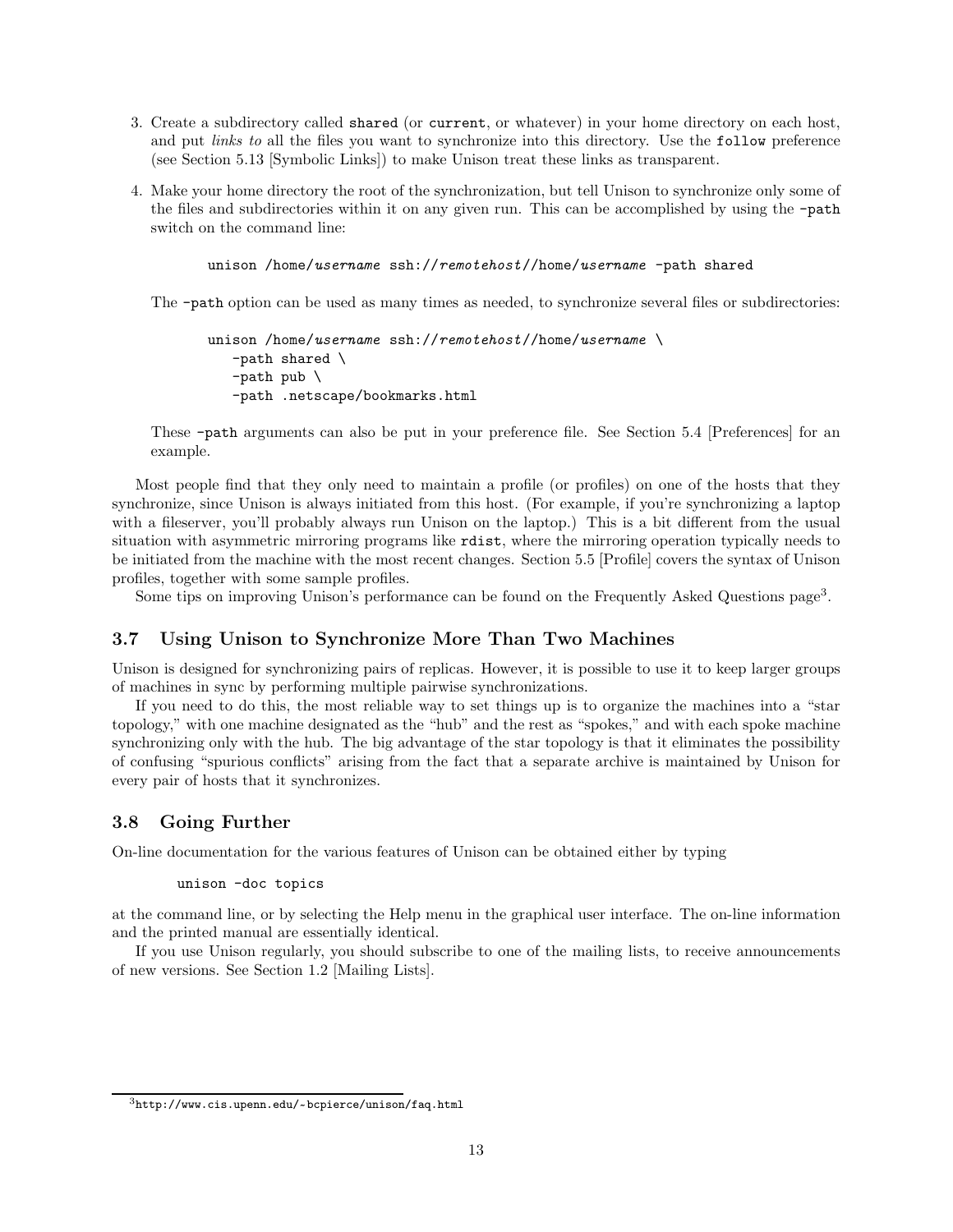- 3. Create a subdirectory called shared (or current, or whatever) in your home directory on each host, and put *links to* all the files you want to synchronize into this directory. Use the follow preference (see Section 5.13 [Symbolic Links]) to make Unison treat these links as transparent.
- 4. Make your home directory the root of the synchronization, but tell Unison to synchronize only some of the files and subdirectories within it on any given run. This can be accomplished by using the -path switch on the command line:

unison /home/username ssh://remotehost//home/username -path shared

The -path option can be used as many times as needed, to synchronize several files or subdirectories:

```
unison /home/username ssh://remotehost//home/username \
   -path shared \
   -path pub \
   -path .netscape/bookmarks.html
```
These -path arguments can also be put in your preference file. See Section 5.4 [Preferences] for an example.

Most people find that they only need to maintain a profile (or profiles) on one of the hosts that they synchronize, since Unison is always initiated from this host. (For example, if you're synchronizing a laptop with a fileserver, you'll probably always run Unison on the laptop.) This is a bit different from the usual situation with asymmetric mirroring programs like rdist, where the mirroring operation typically needs to be initiated from the machine with the most recent changes. Section 5.5 [Profile] covers the syntax of Unison profiles, together with some sample profiles.

Some tips on improving Unison's performance can be found on the Frequently Asked Questions page<sup>3</sup>.

#### 3.7 Using Unison to Synchronize More Than Two Machines

Unison is designed for synchronizing pairs of replicas. However, it is possible to use it to keep larger groups of machines in sync by performing multiple pairwise synchronizations.

If you need to do this, the most reliable way to set things up is to organize the machines into a "star topology," with one machine designated as the "hub" and the rest as "spokes," and with each spoke machine synchronizing only with the hub. The big advantage of the star topology is that it eliminates the possibility of confusing "spurious conflicts" arising from the fact that a separate archive is maintained by Unison for every pair of hosts that it synchronizes.

#### 3.8 Going Further

On-line documentation for the various features of Unison can be obtained either by typing

unison -doc topics

at the command line, or by selecting the Help menu in the graphical user interface. The on-line information and the printed manual are essentially identical.

If you use Unison regularly, you should subscribe to one of the mailing lists, to receive announcements of new versions. See Section 1.2 [Mailing Lists].

 $^3$ http://www.cis.upenn.edu/~bcpierce/unison/faq.html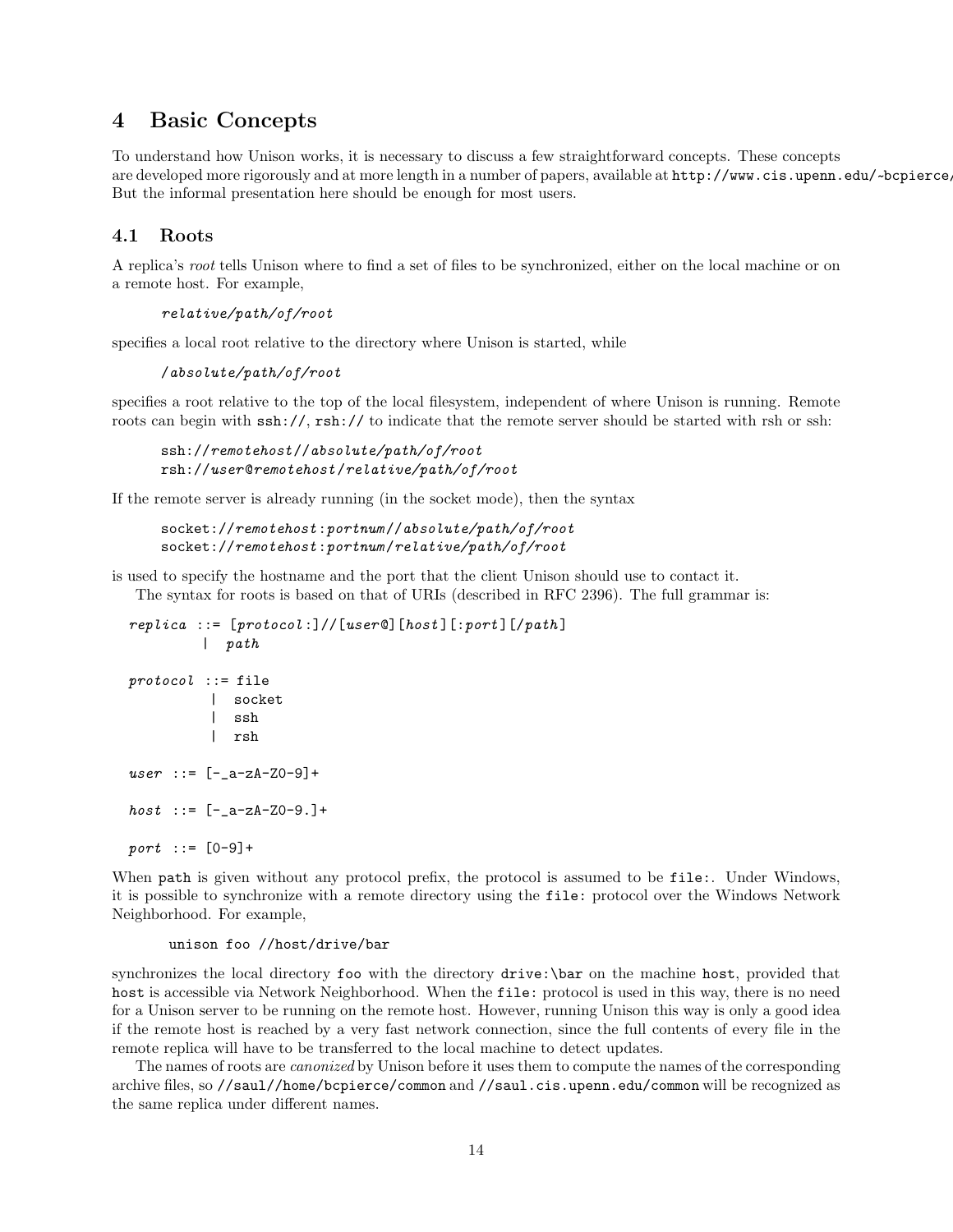# 4 Basic Concepts

To understand how Unison works, it is necessary to discuss a few straightforward concepts. These concepts are developed more rigorously and at more length in a number of papers, available at  ${\tt http://www.cis.upenn.edu/~bepiere.com/}$ But the informal presentation here should be enough for most users.

## 4.1 Roots

A replica's root tells Unison where to find a set of files to be synchronized, either on the local machine or on a remote host. For example,

```
relative/path/of/root
```
specifies a local root relative to the directory where Unison is started, while

```
/absolute/path/of/root
```
specifies a root relative to the top of the local filesystem, independent of where Unison is running. Remote roots can begin with  $\sin\frac{1}{1}$ ,  $\sin\frac{1}{1}$  to indicate that the remote server should be started with rsh or ssh:

```
ssh://remotehost//absolute/path/of/root
rsh://user@remotehost/relative/path/of/root
```
If the remote server is already running (in the socket mode), then the syntax

```
socket://remotehost:portnum //absolute/path/of/root
socket://remotehost:portnum /relative/path/of/root
```
is used to specify the hostname and the port that the client Unison should use to contact it. The syntax for roots is based on that of URIs (described in RFC 2396). The full grammar is:

```
replica ::= [protocol:]//[user@][host][:port][/path]| path
protocol :: = file| socket
         | ssh
         | rsh
user : := [-a-zA-Z0-9] +host : := [-a-zA-Z0-9.]+port :: = [0-9]+
```
When path is given without any protocol prefix, the protocol is assumed to be file:. Under Windows, it is possible to synchronize with a remote directory using the file: protocol over the Windows Network Neighborhood. For example,

#### unison foo //host/drive/bar

synchronizes the local directory foo with the directory drive:\bar on the machine host, provided that host is accessible via Network Neighborhood. When the file: protocol is used in this way, there is no need for a Unison server to be running on the remote host. However, running Unison this way is only a good idea if the remote host is reached by a very fast network connection, since the full contents of every file in the remote replica will have to be transferred to the local machine to detect updates.

The names of roots are canonized by Unison before it uses them to compute the names of the corresponding archive files, so //saul//home/bcpierce/common and //saul.cis.upenn.edu/common will be recognized as the same replica under different names.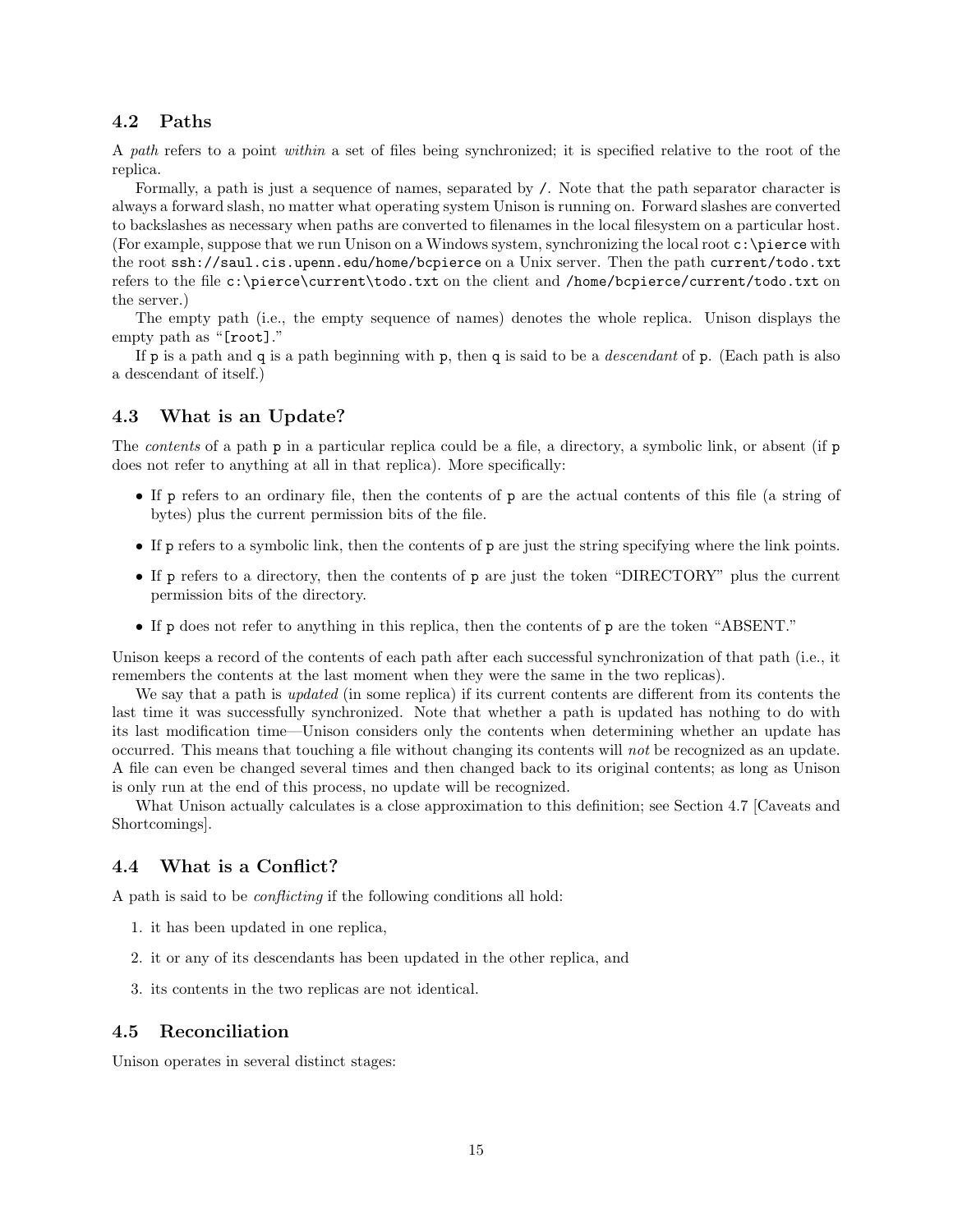## 4.2 Paths

A path refers to a point within a set of files being synchronized; it is specified relative to the root of the replica.

Formally, a path is just a sequence of names, separated by /. Note that the path separator character is always a forward slash, no matter what operating system Unison is running on. Forward slashes are converted to backslashes as necessary when paths are converted to filenames in the local filesystem on a particular host. (For example, suppose that we run Unison on a Windows system, synchronizing the local root  $c:\preccurlyeq$  with the root ssh://saul.cis.upenn.edu/home/bcpierce on a Unix server. Then the path current/todo.txt refers to the file c:\pierce\current\todo.txt on the client and /home/bcpierce/current/todo.txt on the server.)

The empty path (i.e., the empty sequence of names) denotes the whole replica. Unison displays the empty path as "[root]."

If p is a path and q is a path beginning with p, then q is said to be a *descendant* of p. (Each path is also a descendant of itself.)

#### 4.3 What is an Update?

The *contents* of a path **p** in a particular replica could be a file, a directory, a symbolic link, or absent (if **p** does not refer to anything at all in that replica). More specifically:

- If p refers to an ordinary file, then the contents of p are the actual contents of this file (a string of bytes) plus the current permission bits of the file.
- If p refers to a symbolic link, then the contents of p are just the string specifying where the link points.
- If p refers to a directory, then the contents of p are just the token "DIRECTORY" plus the current permission bits of the directory.
- If p does not refer to anything in this replica, then the contents of p are the token "ABSENT."

Unison keeps a record of the contents of each path after each successful synchronization of that path (i.e., it remembers the contents at the last moment when they were the same in the two replicas).

We say that a path is *updated* (in some replica) if its current contents are different from its contents the last time it was successfully synchronized. Note that whether a path is updated has nothing to do with its last modification time—Unison considers only the contents when determining whether an update has occurred. This means that touching a file without changing its contents will not be recognized as an update. A file can even be changed several times and then changed back to its original contents; as long as Unison is only run at the end of this process, no update will be recognized.

What Unison actually calculates is a close approximation to this definition; see Section 4.7 [Caveats and Shortcomings].

#### 4.4 What is a Conflict?

A path is said to be conflicting if the following conditions all hold:

- 1. it has been updated in one replica,
- 2. it or any of its descendants has been updated in the other replica, and
- 3. its contents in the two replicas are not identical.

#### 4.5 Reconciliation

Unison operates in several distinct stages: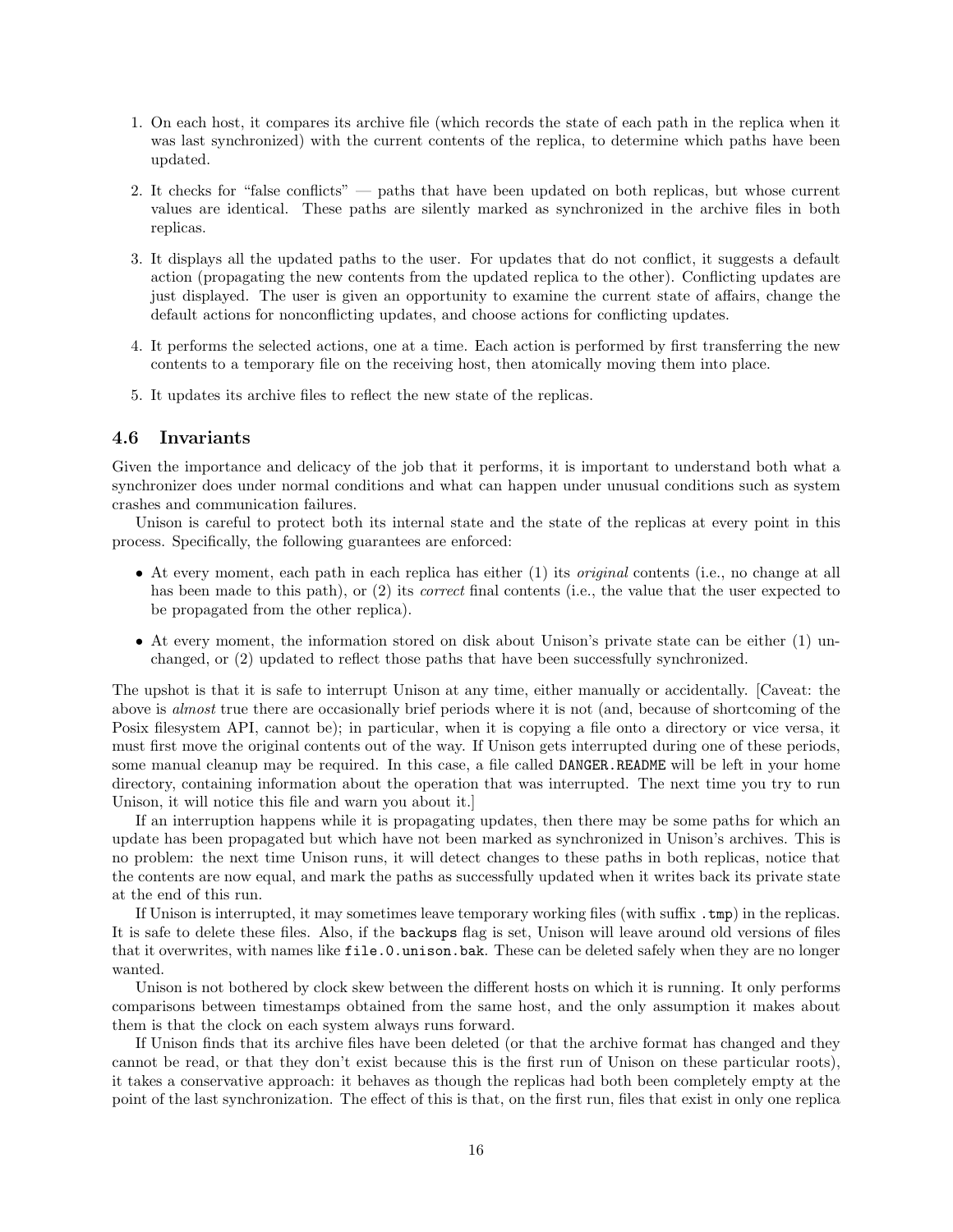- 1. On each host, it compares its archive file (which records the state of each path in the replica when it was last synchronized) with the current contents of the replica, to determine which paths have been updated.
- 2. It checks for "false conflicts" paths that have been updated on both replicas, but whose current values are identical. These paths are silently marked as synchronized in the archive files in both replicas.
- 3. It displays all the updated paths to the user. For updates that do not conflict, it suggests a default action (propagating the new contents from the updated replica to the other). Conflicting updates are just displayed. The user is given an opportunity to examine the current state of affairs, change the default actions for nonconflicting updates, and choose actions for conflicting updates.
- 4. It performs the selected actions, one at a time. Each action is performed by first transferring the new contents to a temporary file on the receiving host, then atomically moving them into place.
- 5. It updates its archive files to reflect the new state of the replicas.

#### 4.6 Invariants

Given the importance and delicacy of the job that it performs, it is important to understand both what a synchronizer does under normal conditions and what can happen under unusual conditions such as system crashes and communication failures.

Unison is careful to protect both its internal state and the state of the replicas at every point in this process. Specifically, the following guarantees are enforced:

- At every moment, each path in each replica has either (1) its *original* contents (i.e., no change at all has been made to this path), or (2) its *correct* final contents (i.e., the value that the user expected to be propagated from the other replica).
- At every moment, the information stored on disk about Unison's private state can be either (1) unchanged, or (2) updated to reflect those paths that have been successfully synchronized.

The upshot is that it is safe to interrupt Unison at any time, either manually or accidentally. [Caveat: the above is almost true there are occasionally brief periods where it is not (and, because of shortcoming of the Posix filesystem API, cannot be); in particular, when it is copying a file onto a directory or vice versa, it must first move the original contents out of the way. If Unison gets interrupted during one of these periods, some manual cleanup may be required. In this case, a file called DANGER.README will be left in your home directory, containing information about the operation that was interrupted. The next time you try to run Unison, it will notice this file and warn you about it.]

If an interruption happens while it is propagating updates, then there may be some paths for which an update has been propagated but which have not been marked as synchronized in Unison's archives. This is no problem: the next time Unison runs, it will detect changes to these paths in both replicas, notice that the contents are now equal, and mark the paths as successfully updated when it writes back its private state at the end of this run.

If Unison is interrupted, it may sometimes leave temporary working files (with suffix .tmp) in the replicas. It is safe to delete these files. Also, if the backups flag is set, Unison will leave around old versions of files that it overwrites, with names like file.0.unison.bak. These can be deleted safely when they are no longer wanted.

Unison is not bothered by clock skew between the different hosts on which it is running. It only performs comparisons between timestamps obtained from the same host, and the only assumption it makes about them is that the clock on each system always runs forward.

If Unison finds that its archive files have been deleted (or that the archive format has changed and they cannot be read, or that they don't exist because this is the first run of Unison on these particular roots), it takes a conservative approach: it behaves as though the replicas had both been completely empty at the point of the last synchronization. The effect of this is that, on the first run, files that exist in only one replica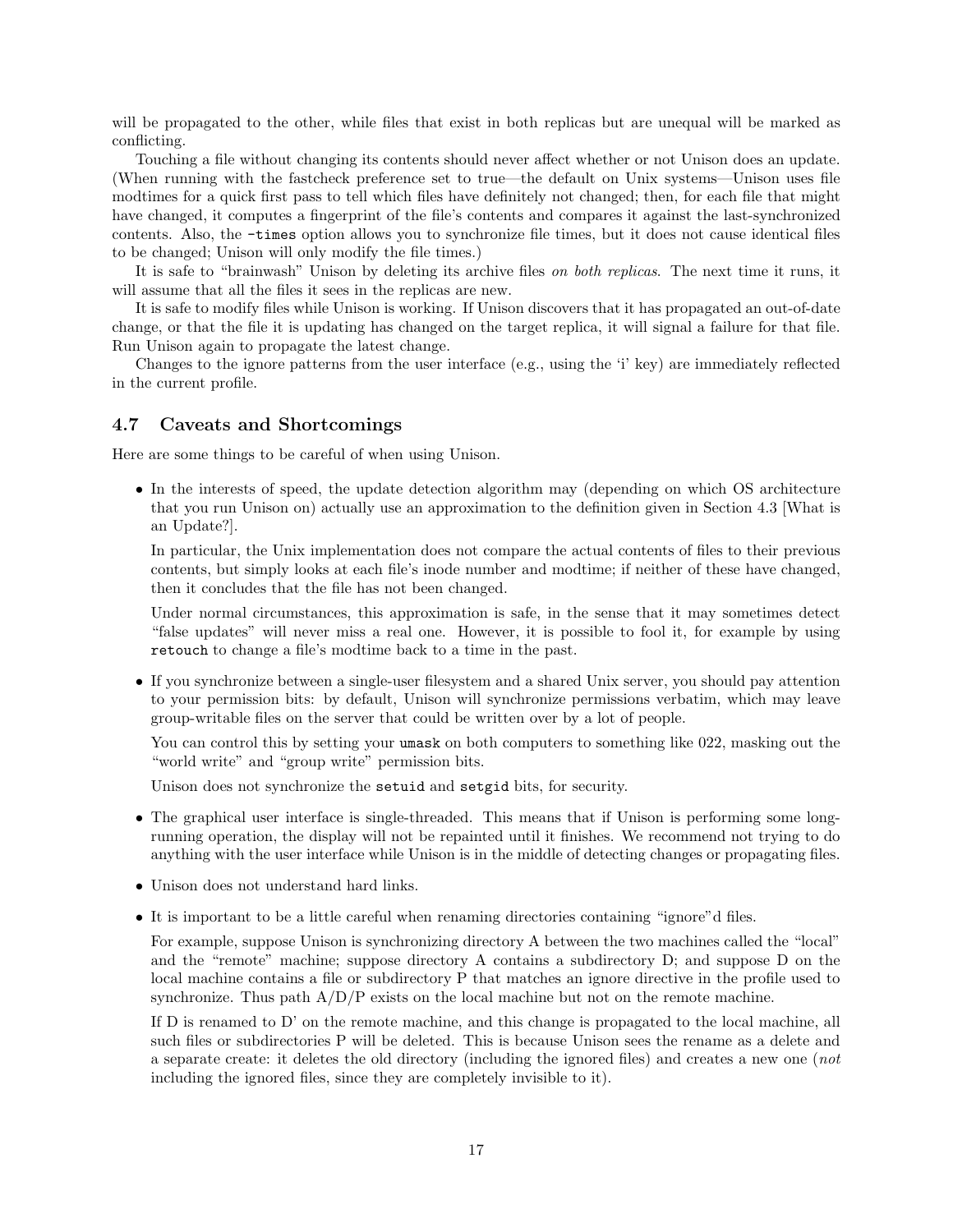will be propagated to the other, while files that exist in both replicas but are unequal will be marked as conflicting.

Touching a file without changing its contents should never affect whether or not Unison does an update. (When running with the fastcheck preference set to true—the default on Unix systems—Unison uses file modtimes for a quick first pass to tell which files have definitely not changed; then, for each file that might have changed, it computes a fingerprint of the file's contents and compares it against the last-synchronized contents. Also, the -times option allows you to synchronize file times, but it does not cause identical files to be changed; Unison will only modify the file times.)

It is safe to "brainwash" Unison by deleting its archive files on both replicas. The next time it runs, it will assume that all the files it sees in the replicas are new.

It is safe to modify files while Unison is working. If Unison discovers that it has propagated an out-of-date change, or that the file it is updating has changed on the target replica, it will signal a failure for that file. Run Unison again to propagate the latest change.

Changes to the ignore patterns from the user interface (e.g., using the 'i' key) are immediately reflected in the current profile.

#### 4.7 Caveats and Shortcomings

Here are some things to be careful of when using Unison.

• In the interests of speed, the update detection algorithm may (depending on which OS architecture that you run Unison on) actually use an approximation to the definition given in Section 4.3 [What is an Update?].

In particular, the Unix implementation does not compare the actual contents of files to their previous contents, but simply looks at each file's inode number and modtime; if neither of these have changed, then it concludes that the file has not been changed.

Under normal circumstances, this approximation is safe, in the sense that it may sometimes detect "false updates" will never miss a real one. However, it is possible to fool it, for example by using retouch to change a file's modtime back to a time in the past.

• If you synchronize between a single-user filesystem and a shared Unix server, you should pay attention to your permission bits: by default, Unison will synchronize permissions verbatim, which may leave group-writable files on the server that could be written over by a lot of people.

You can control this by setting your umask on both computers to something like 022, masking out the "world write" and "group write" permission bits.

Unison does not synchronize the setuid and setgid bits, for security.

- The graphical user interface is single-threaded. This means that if Unison is performing some longrunning operation, the display will not be repainted until it finishes. We recommend not trying to do anything with the user interface while Unison is in the middle of detecting changes or propagating files.
- Unison does not understand hard links.
- It is important to be a little careful when renaming directories containing "ignore"d files.

For example, suppose Unison is synchronizing directory A between the two machines called the "local" and the "remote" machine; suppose directory A contains a subdirectory D; and suppose D on the local machine contains a file or subdirectory P that matches an ignore directive in the profile used to synchronize. Thus path  $A/D/P$  exists on the local machine but not on the remote machine.

If D is renamed to D' on the remote machine, and this change is propagated to the local machine, all such files or subdirectories P will be deleted. This is because Unison sees the rename as a delete and a separate create: it deletes the old directory (including the ignored files) and creates a new one (not including the ignored files, since they are completely invisible to it).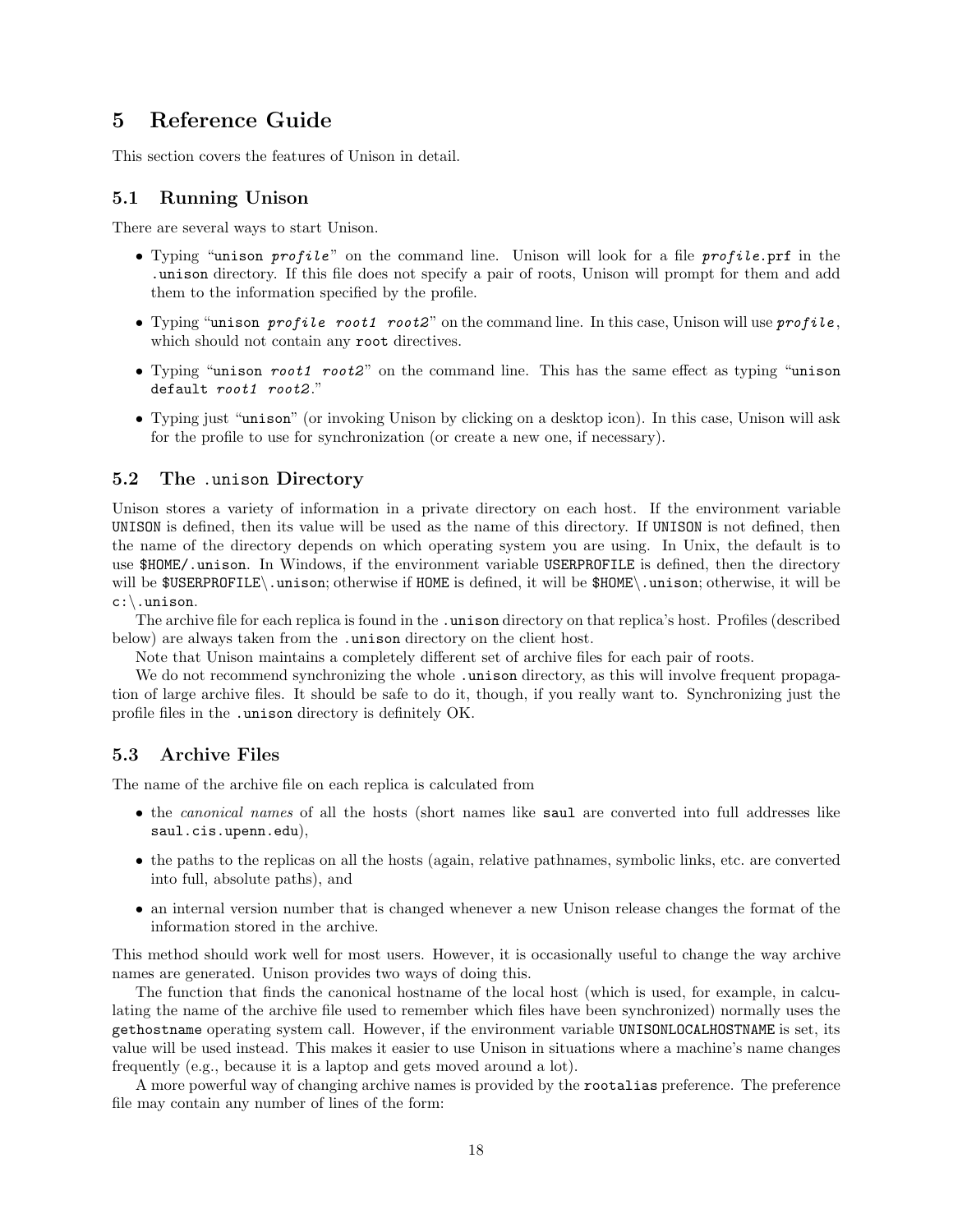# 5 Reference Guide

This section covers the features of Unison in detail.

#### 5.1 Running Unison

There are several ways to start Unison.

- Typing "unison profile" on the command line. Unison will look for a file profile.prf in the .unison directory. If this file does not specify a pair of roots, Unison will prompt for them and add them to the information specified by the profile.
- Typing "unison profile root1 root2" on the command line. In this case, Unison will use  $profile$ , which should not contain any root directives.
- Typing "unison root1 root2" on the command line. This has the same effect as typing "unison" default root1 root2."
- Typing just "unison" (or invoking Unison by clicking on a desktop icon). In this case, Unison will ask for the profile to use for synchronization (or create a new one, if necessary).

#### 5.2 The .unison Directory

Unison stores a variety of information in a private directory on each host. If the environment variable UNISON is defined, then its value will be used as the name of this directory. If UNISON is not defined, then the name of the directory depends on which operating system you are using. In Unix, the default is to use \$HOME/.unison. In Windows, if the environment variable USERPROFILE is defined, then the directory will be \$USERPROFILE\.unison; otherwise if HOME is defined, it will be \$HOME\.unison; otherwise, it will be c:\.unison.

The archive file for each replica is found in the .unison directory on that replica's host. Profiles (described below) are always taken from the .unison directory on the client host.

Note that Unison maintains a completely different set of archive files for each pair of roots.

We do not recommend synchronizing the whole . unison directory, as this will involve frequent propagation of large archive files. It should be safe to do it, though, if you really want to. Synchronizing just the profile files in the .unison directory is definitely OK.

#### 5.3 Archive Files

The name of the archive file on each replica is calculated from

- the *canonical names* of all the hosts (short names like saul are converted into full addresses like saul.cis.upenn.edu),
- the paths to the replicas on all the hosts (again, relative pathnames, symbolic links, etc. are converted into full, absolute paths), and
- an internal version number that is changed whenever a new Unison release changes the format of the information stored in the archive.

This method should work well for most users. However, it is occasionally useful to change the way archive names are generated. Unison provides two ways of doing this.

The function that finds the canonical hostname of the local host (which is used, for example, in calculating the name of the archive file used to remember which files have been synchronized) normally uses the gethostname operating system call. However, if the environment variable UNISONLOCALHOSTNAME is set, its value will be used instead. This makes it easier to use Unison in situations where a machine's name changes frequently (e.g., because it is a laptop and gets moved around a lot).

A more powerful way of changing archive names is provided by the rootalias preference. The preference file may contain any number of lines of the form: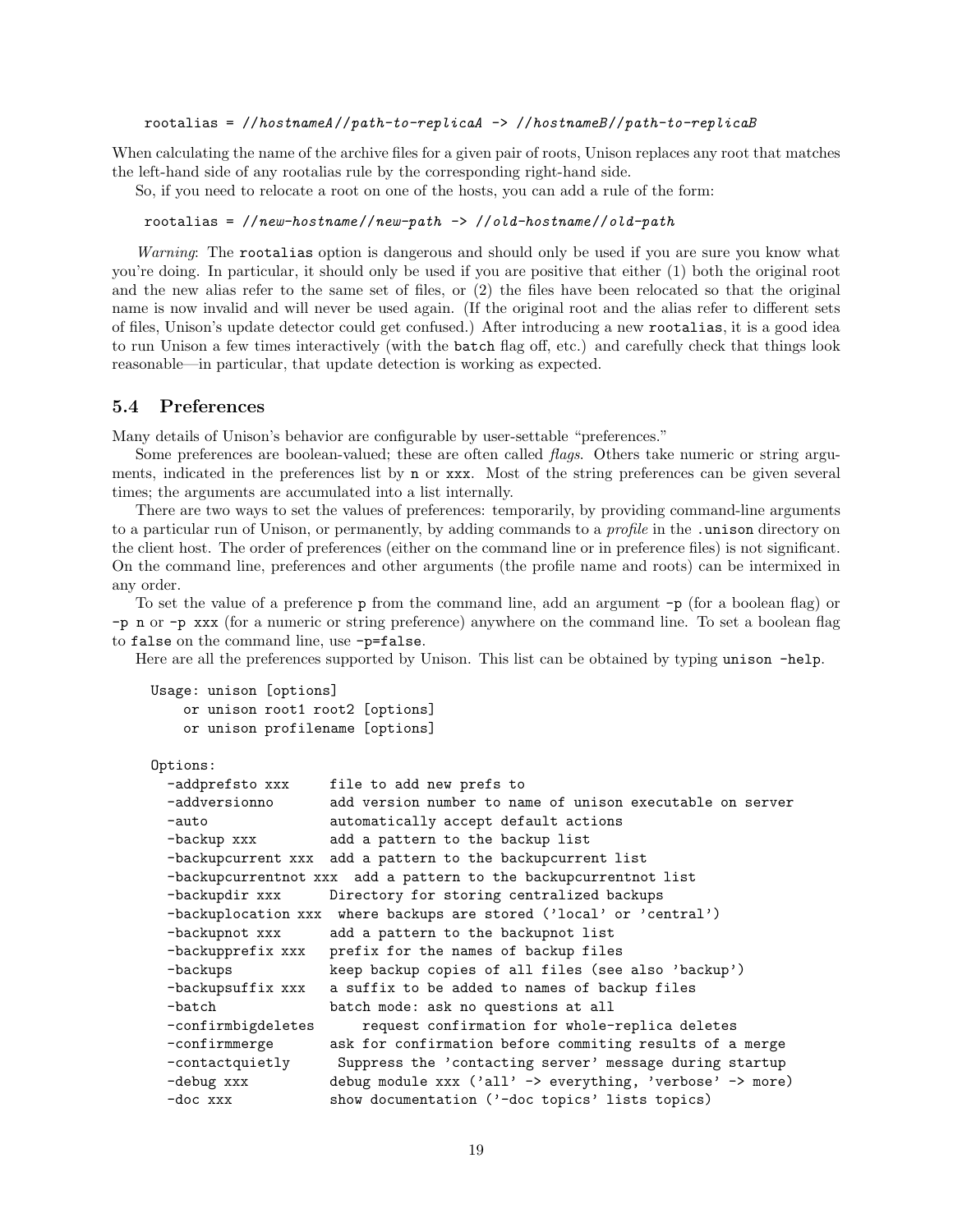rootalias =  $//hotnameA//path-to-replicaA -> //hostnameB//path-to-replicaB$ 

When calculating the name of the archive files for a given pair of roots, Unison replaces any root that matches the left-hand side of any rootalias rule by the corresponding right-hand side.

So, if you need to relocate a root on one of the hosts, you can add a rule of the form:

rootalias =  $//new-hostname//new-path$  ->  $//old-hostname//old-path$ 

Warning: The rootalias option is dangerous and should only be used if you are sure you know what you're doing. In particular, it should only be used if you are positive that either (1) both the original root and the new alias refer to the same set of files, or (2) the files have been relocated so that the original name is now invalid and will never be used again. (If the original root and the alias refer to different sets of files, Unison's update detector could get confused.) After introducing a new rootalias, it is a good idea to run Unison a few times interactively (with the batch flag off, etc.) and carefully check that things look reasonable—in particular, that update detection is working as expected.

#### 5.4 Preferences

Many details of Unison's behavior are configurable by user-settable "preferences."

Some preferences are boolean-valued; these are often called *flags*. Others take numeric or string arguments, indicated in the preferences list by n or xxx. Most of the string preferences can be given several times; the arguments are accumulated into a list internally.

There are two ways to set the values of preferences: temporarily, by providing command-line arguments to a particular run of Unison, or permanently, by adding commands to a *profile* in the .unison directory on the client host. The order of preferences (either on the command line or in preference files) is not significant. On the command line, preferences and other arguments (the profile name and roots) can be intermixed in any order.

To set the value of a preference p from the command line, add an argument -p (for a boolean flag) or -p n or -p xxx (for a numeric or string preference) anywhere on the command line. To set a boolean flag to false on the command line, use -p=false.

Here are all the preferences supported by Unison. This list can be obtained by typing unison -help.

```
Usage: unison [options]
    or unison root1 root2 [options]
    or unison profilename [options]
```
#### Options:

```
-addprefsto xxx file to add new prefs to
-addversionno add version number to name of unison executable on server
-auto automatically accept default actions
-backup xxx add a pattern to the backup list
-backupcurrent xxx add a pattern to the backupcurrent list
-backupcurrentnot xxx add a pattern to the backupcurrentnot list
-backupdir xxx Directory for storing centralized backups
-backuplocation xxx where backups are stored ('local' or 'central')
-backupnot xxx add a pattern to the backupnot list
-backupprefix xxx prefix for the names of backup files
-backups keep backup copies of all files (see also 'backup')
-backupsuffix xxx a suffix to be added to names of backup files
-batch batch mode: ask no questions at all
-confirmbigdeletes request confirmation for whole-replica deletes
-confirmmerge ask for confirmation before commiting results of a merge
-contactquietly Suppress the 'contacting server' message during startup
-debug xxx debug module xxx ('all' -> everything, 'verbose' -> more)
-doc xxx show documentation ('-doc topics' lists topics)
```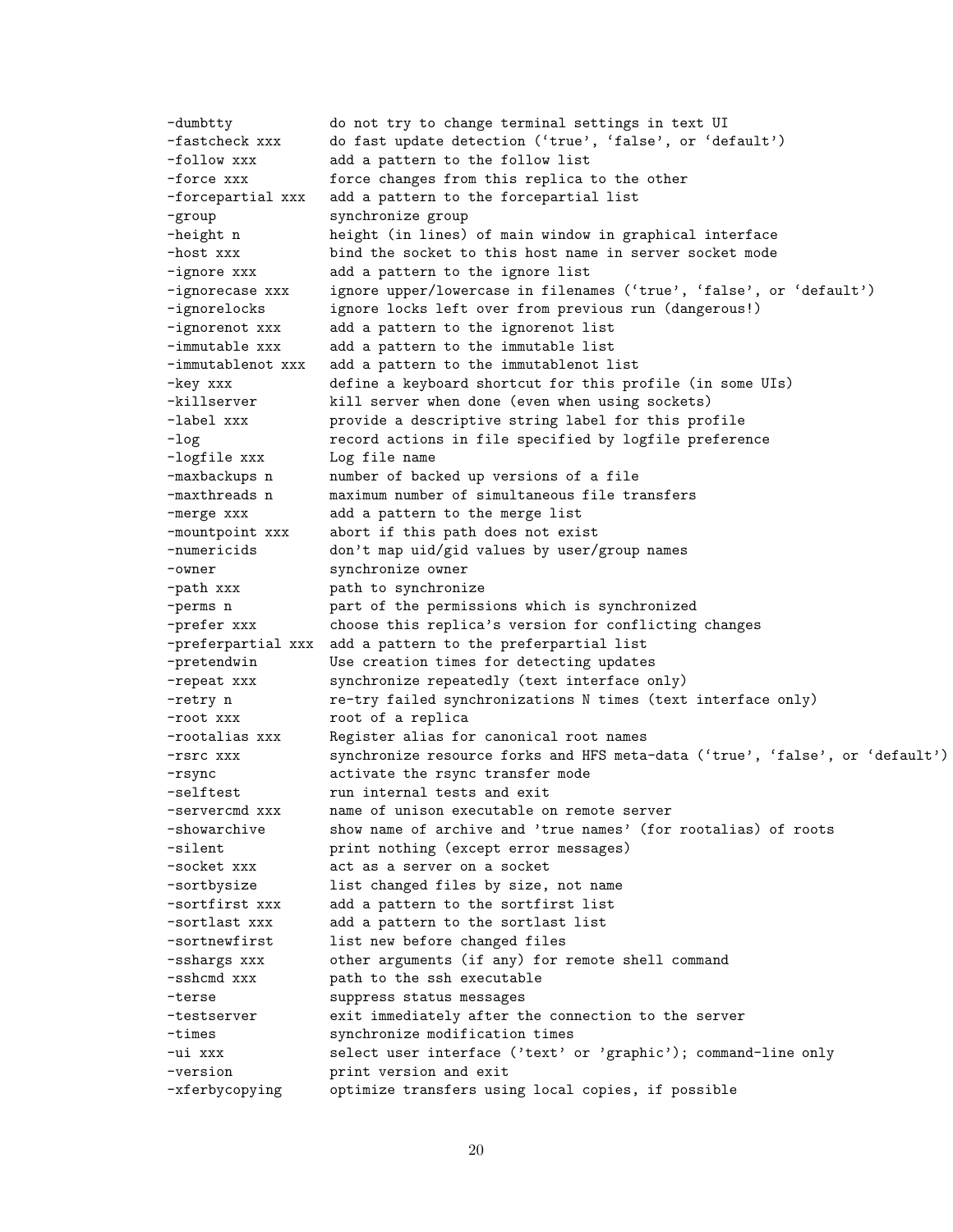-dumbtty do not try to change terminal settings in text UI -fastcheck xxx do fast update detection ('true', 'false', or 'default') -follow xxx add a pattern to the follow list -force xxx force changes from this replica to the other -forcepartial xxx add a pattern to the forcepartial list -group synchronize group -height n height (in lines) of main window in graphical interface -host xxx bind the socket to this host name in server socket mode -ignore xxx add a pattern to the ignore list -ignorecase xxx ignore upper/lowercase in filenames ('true', 'false', or 'default') -ignorelocks ignore locks left over from previous run (dangerous!) -ignorenot xxx add a pattern to the ignorenot list -immutable xxx add a pattern to the immutable list -immutablenot xxx add a pattern to the immutablenot list -key xxx define a keyboard shortcut for this profile (in some UIs) -killserver kill server when done (even when using sockets) -label xxx provide a descriptive string label for this profile -log record actions in file specified by logfile preference -logfile xxx Log file name -maxbackups n anumber of backed up versions of a file -maxthreads n maximum number of simultaneous file transfers -merge xxx add a pattern to the merge list -mountpoint xxx abort if this path does not exist -numericids don't map uid/gid values by user/group names -owner synchronize owner -path xxx **path** to synchronize -perms n **part of the permissions which is synchronized** -prefer xxx choose this replica's version for conflicting changes -preferpartial xxx add a pattern to the preferpartial list -pretendwin Use creation times for detecting updates -repeat xxx synchronize repeatedly (text interface only) -retry n **re-try failed synchronizations N** times (text interface only) -root xxx root of a replica -rootalias xxx Register alias for canonical root names -rsrc xxx synchronize resource forks and HFS meta-data ('true', 'false', or 'default') -rsync activate the rsync transfer mode -selftest run internal tests and exit -servercmd xxx name of unison executable on remote server -showarchive show name of archive and 'true names' (for rootalias) of roots -silent **print nothing** (except error messages) -socket xxx act as a server on a socket -sortbysize list changed files by size, not name -sortfirst xxx add a pattern to the sortfirst list -sortlast xxx add a pattern to the sortlast list -sortnewfirst list new before changed files -sshargs xxx other arguments (if any) for remote shell command -sshcmd xxx path to the ssh executable -terse suppress status messages -testserver exit immediately after the connection to the server -times synchronize modification times -ui xxx select user interface ('text' or 'graphic'); command-line only -version print version and exit -xferbycopying optimize transfers using local copies, if possible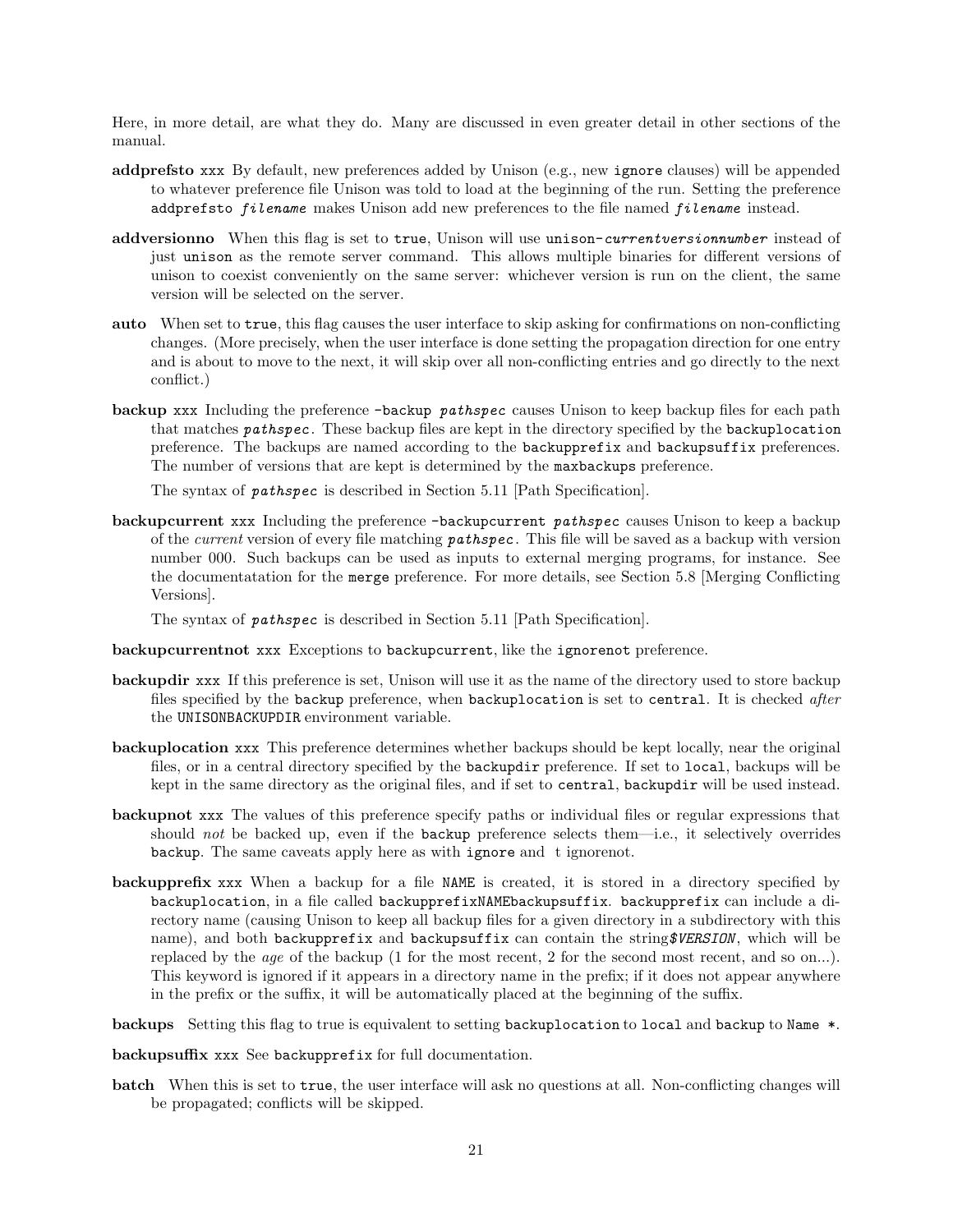Here, in more detail, are what they do. Many are discussed in even greater detail in other sections of the manual.

- addprefsto xxx By default, new preferences added by Unison (e.g., new ignore clauses) will be appended to whatever preference file Unison was told to load at the beginning of the run. Setting the preference addprefsto *filename* makes Unison add new preferences to the file named *filename* instead.
- addversionno When this flag is set to true, Unison will use unison-currentversionnumber instead of just unison as the remote server command. This allows multiple binaries for different versions of unison to coexist conveniently on the same server: whichever version is run on the client, the same version will be selected on the server.
- auto When set to true, this flag causes the user interface to skip asking for confirmations on non-conflicting changes. (More precisely, when the user interface is done setting the propagation direction for one entry and is about to move to the next, it will skip over all non-conflicting entries and go directly to the next conflict.)
- backup xxx Including the preference -backup pathspec causes Unison to keep backup files for each path that matches *pathspec*. These backup files are kept in the directory specified by the backuplocation preference. The backups are named according to the backupprefix and backupsuffix preferences. The number of versions that are kept is determined by the maxbackups preference.

The syntax of pathspec is described in Section 5.11 [Path Specification].

backupcurrent xxx Including the preference -backupcurrent pathspec causes Unison to keep a backup of the *current* version of every file matching *pathspec*. This file will be saved as a backup with version number 000. Such backups can be used as inputs to external merging programs, for instance. See the documentatation for the merge preference. For more details, see Section 5.8 [Merging Conflicting Versions].

The syntax of pathspec is described in Section 5.11 [Path Specification].

- backupcurrentnot xxx Exceptions to backupcurrent, like the ignorenot preference.
- backupdir xxx If this preference is set, Unison will use it as the name of the directory used to store backup files specified by the backup preference, when backuplocation is set to central. It is checked after the UNISONBACKUPDIR environment variable.
- backuplocation xxx This preference determines whether backups should be kept locally, near the original files, or in a central directory specified by the backupdir preference. If set to local, backups will be kept in the same directory as the original files, and if set to central, backupdir will be used instead.
- backupnot xxx The values of this preference specify paths or individual files or regular expressions that should not be backed up, even if the backup preference selects them—i.e., it selectively overrides backup. The same caveats apply here as with ignore and t ignorenot.
- backupprefix xxx When a backup for a file NAME is created, it is stored in a directory specified by backuplocation, in a file called backupprefixNAMEbackupsuffix. backupprefix can include a directory name (causing Unison to keep all backup files for a given directory in a subdirectory with this name), and both backupprefix and backupsuffix can contain the string\$VERSION, which will be replaced by the age of the backup (1 for the most recent, 2 for the second most recent, and so on...). This keyword is ignored if it appears in a directory name in the prefix; if it does not appear anywhere in the prefix or the suffix, it will be automatically placed at the beginning of the suffix.
- backups Setting this flag to true is equivalent to setting backuplocation to local and backup to Name \*.

backupsuffix xxx See backupprefix for full documentation.

batch When this is set to true, the user interface will ask no questions at all. Non-conflicting changes will be propagated; conflicts will be skipped.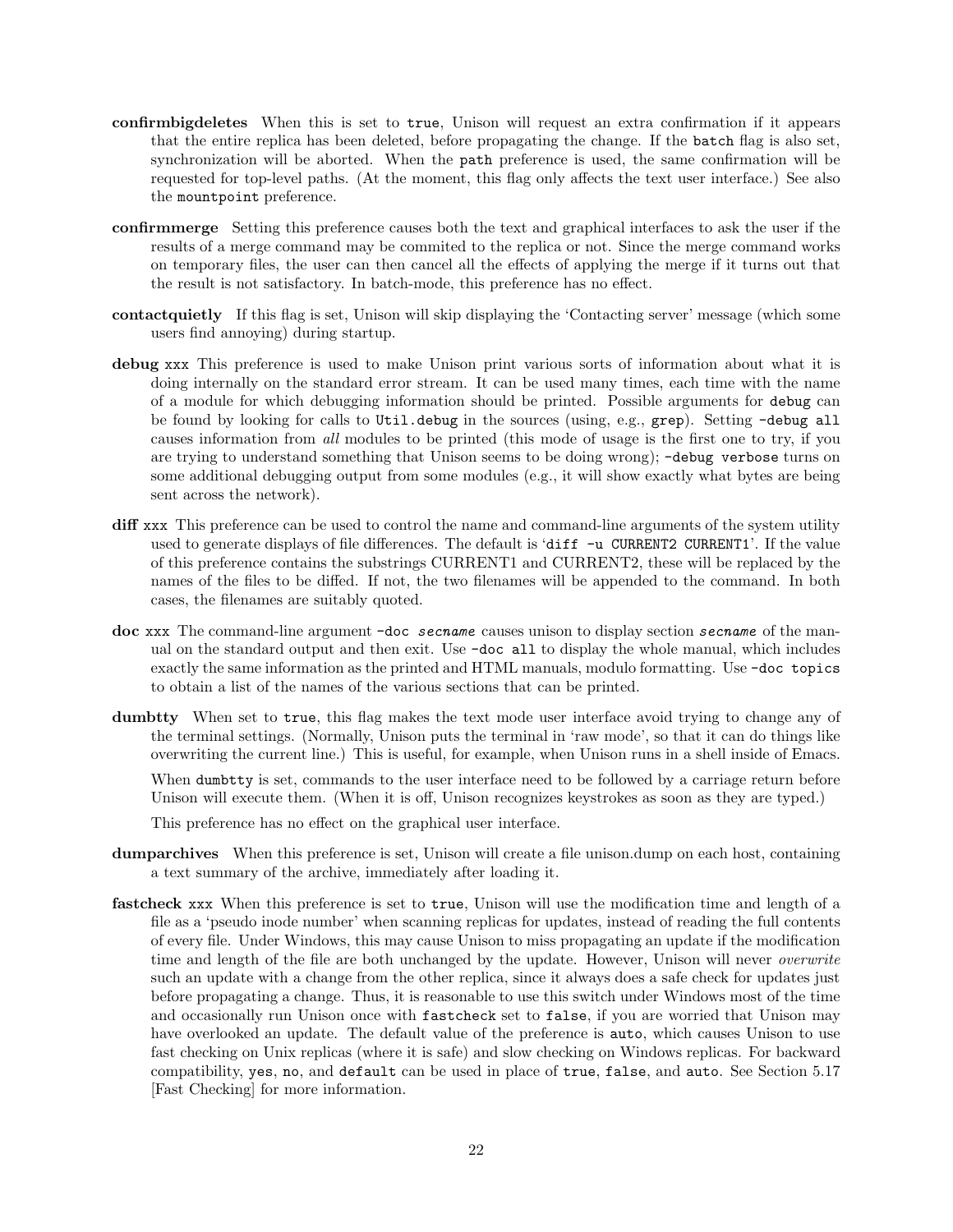- confirmbigdeletes When this is set to true, Unison will request an extra confirmation if it appears that the entire replica has been deleted, before propagating the change. If the batch flag is also set, synchronization will be aborted. When the path preference is used, the same confirmation will be requested for top-level paths. (At the moment, this flag only affects the text user interface.) See also the mountpoint preference.
- confirmmerge Setting this preference causes both the text and graphical interfaces to ask the user if the results of a merge command may be commited to the replica or not. Since the merge command works on temporary files, the user can then cancel all the effects of applying the merge if it turns out that the result is not satisfactory. In batch-mode, this preference has no effect.
- contactquietly If this flag is set, Unison will skip displaying the 'Contacting server' message (which some users find annoying) during startup.
- debug xxx This preference is used to make Unison print various sorts of information about what it is doing internally on the standard error stream. It can be used many times, each time with the name of a module for which debugging information should be printed. Possible arguments for debug can be found by looking for calls to Util.debug in the sources (using, e.g., grep). Setting -debug all causes information from all modules to be printed (this mode of usage is the first one to try, if you are trying to understand something that Unison seems to be doing wrong); -debug verbose turns on some additional debugging output from some modules (e.g., it will show exactly what bytes are being sent across the network).
- diff xxx. This preference can be used to control the name and command-line arguments of the system utility used to generate displays of file differences. The default is 'diff  $-u$  CURRENT2 CURRENT1'. If the value of this preference contains the substrings CURRENT1 and CURRENT2, these will be replaced by the names of the files to be diffed. If not, the two filenames will be appended to the command. In both cases, the filenames are suitably quoted.
- doc xxx The command-line argument -doc secname causes unison to display section secname of the manual on the standard output and then exit. Use -doc all to display the whole manual, which includes exactly the same information as the printed and HTML manuals, modulo formatting. Use -doc topics to obtain a list of the names of the various sections that can be printed.
- dumbtty When set to true, this flag makes the text mode user interface avoid trying to change any of the terminal settings. (Normally, Unison puts the terminal in 'raw mode', so that it can do things like overwriting the current line.) This is useful, for example, when Unison runs in a shell inside of Emacs. When dumbtty is set, commands to the user interface need to be followed by a carriage return before Unison will execute them. (When it is off, Unison recognizes keystrokes as soon as they are typed.)

This preference has no effect on the graphical user interface.

- dumparchives When this preference is set, Unison will create a file unison.dump on each host, containing a text summary of the archive, immediately after loading it.
- fastcheck xxx When this preference is set to true, Unison will use the modification time and length of a file as a 'pseudo inode number' when scanning replicas for updates, instead of reading the full contents of every file. Under Windows, this may cause Unison to miss propagating an update if the modification time and length of the file are both unchanged by the update. However, Unison will never *overwrite* such an update with a change from the other replica, since it always does a safe check for updates just before propagating a change. Thus, it is reasonable to use this switch under Windows most of the time and occasionally run Unison once with fastcheck set to false, if you are worried that Unison may have overlooked an update. The default value of the preference is auto, which causes Unison to use fast checking on Unix replicas (where it is safe) and slow checking on Windows replicas. For backward compatibility, yes, no, and default can be used in place of true, false, and auto. See Section 5.17 [Fast Checking] for more information.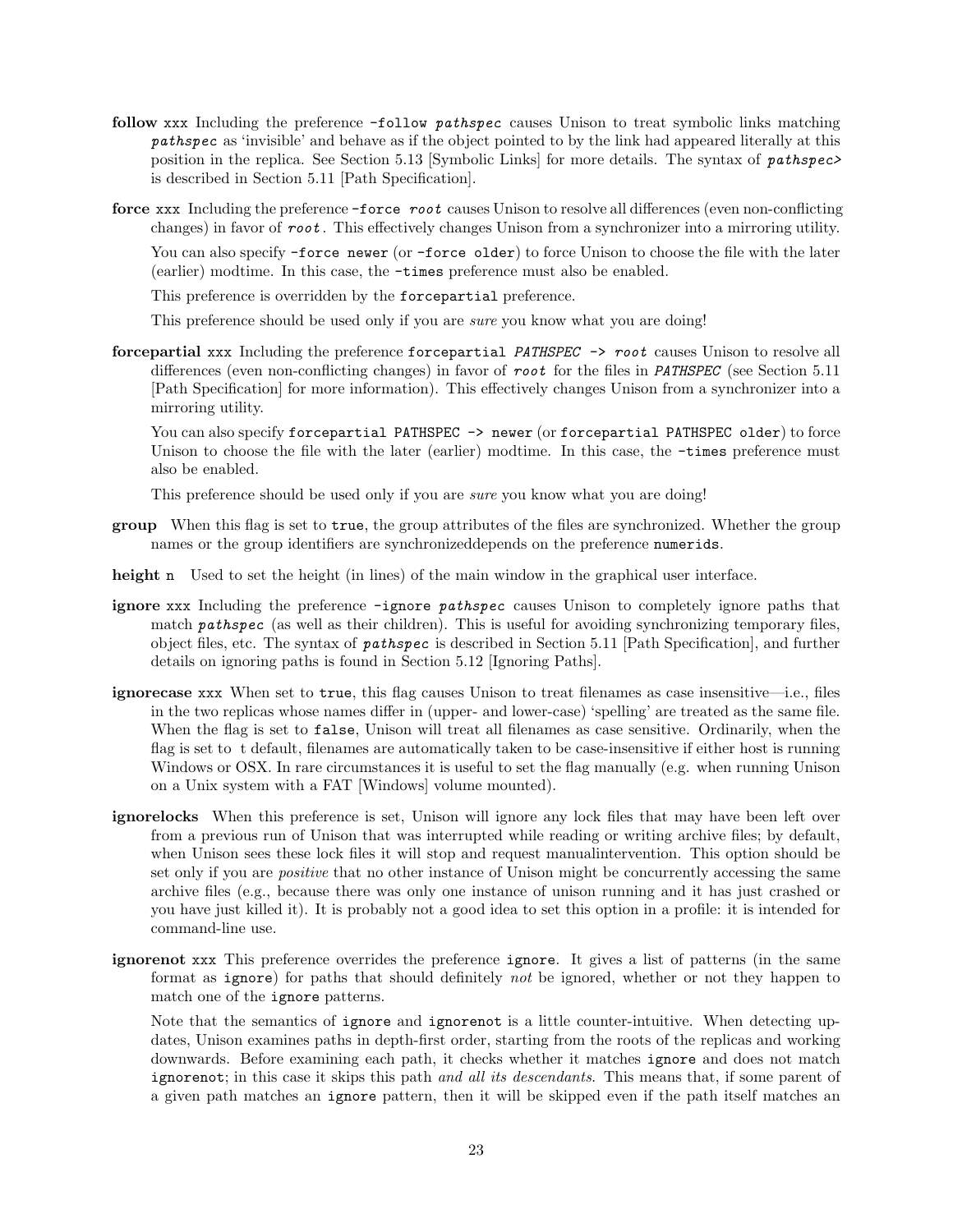- follow xxx Including the preference -follow *pathspec* causes Unison to treat symbolic links matching pathspec as 'invisible' and behave as if the object pointed to by the link had appeared literally at this position in the replica. See Section 5.13 [Symbolic Links] for more details. The syntax of pathspec> is described in Section 5.11 [Path Specification].
- force xxx Including the preference -force root causes Unison to resolve all differences (even non-conflicting changes) in favor of root . This effectively changes Unison from a synchronizer into a mirroring utility.

You can also specify -force newer (or -force older) to force Unison to choose the file with the later (earlier) modtime. In this case, the -times preference must also be enabled.

This preference is overridden by the forcepartial preference.

This preference should be used only if you are *sure* you know what you are doing!

forcepartial xxx Including the preference forcepartial PATHSPEC -> root causes Unison to resolve all differences (even non-conflicting changes) in favor of root for the files in PATHSPEC (see Section 5.11) [Path Specification] for more information). This effectively changes Unison from a synchronizer into a mirroring utility.

You can also specify for cepartial PATHSPEC -> newer (or forcepartial PATHSPEC older) to force Unison to choose the file with the later (earlier) modtime. In this case, the  $-\tau$  times preference must also be enabled.

This preference should be used only if you are *sure* you know what you are doing!

- group When this flag is set to true, the group attributes of the files are synchronized. Whether the group names or the group identifiers are synchronizeddepends on the preference numerids.
- height n Used to set the height (in lines) of the main window in the graphical user interface.
- ignore xxx Including the preference -ignore pathspec causes Unison to completely ignore paths that match *pathspec* (as well as their children). This is useful for avoiding synchronizing temporary files, object files, etc. The syntax of pathspec is described in Section 5.11 [Path Specification], and further details on ignoring paths is found in Section 5.12 [Ignoring Paths].
- ignorecase xxx When set to true, this flag causes Unison to treat filenames as case insensitive—i.e., files in the two replicas whose names differ in (upper- and lower-case) 'spelling' are treated as the same file. When the flag is set to false, Unison will treat all filenames as case sensitive. Ordinarily, when the flag is set to t default, filenames are automatically taken to be case-insensitive if either host is running Windows or OSX. In rare circumstances it is useful to set the flag manually (e.g. when running Unison on a Unix system with a FAT [Windows] volume mounted).
- ignorelocks When this preference is set, Unison will ignore any lock files that may have been left over from a previous run of Unison that was interrupted while reading or writing archive files; by default, when Unison sees these lock files it will stop and request manualintervention. This option should be set only if you are *positive* that no other instance of Unison might be concurrently accessing the same archive files (e.g., because there was only one instance of unison running and it has just crashed or you have just killed it). It is probably not a good idea to set this option in a profile: it is intended for command-line use.
- ignorenot xxx This preference overrides the preference ignore. It gives a list of patterns (in the same format as ignore) for paths that should definitely not be ignored, whether or not they happen to match one of the ignore patterns.

Note that the semantics of ignore and ignorenot is a little counter-intuitive. When detecting updates, Unison examines paths in depth-first order, starting from the roots of the replicas and working downwards. Before examining each path, it checks whether it matches ignore and does not match ignore not; in this case it skips this path and all its descendants. This means that, if some parent of a given path matches an ignore pattern, then it will be skipped even if the path itself matches an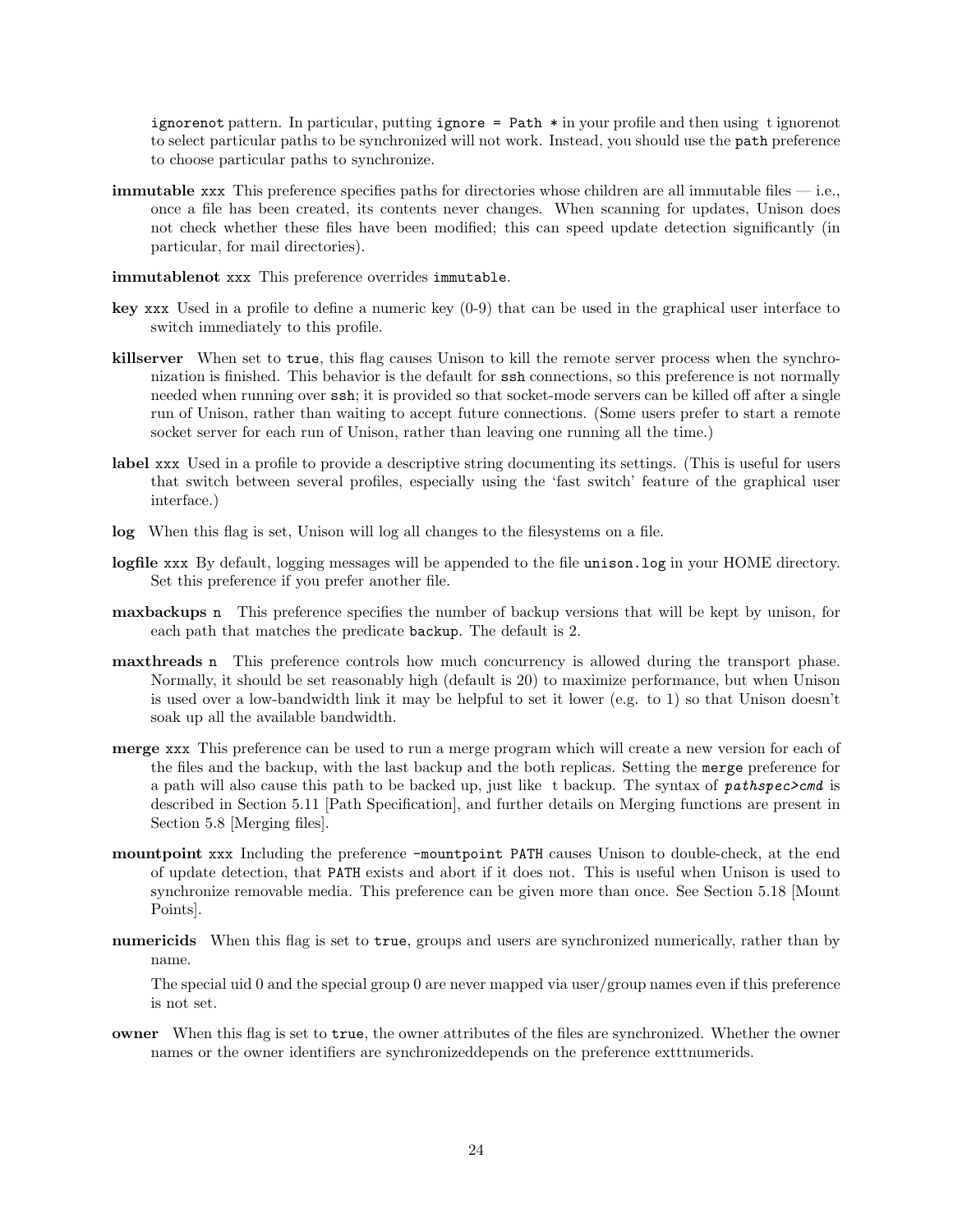ignorenot pattern. In particular, putting ignore  $=$  Path  $*$  in your profile and then using t ignorenot to select particular paths to be synchronized will not work. Instead, you should use the path preference to choose particular paths to synchronize.

immutable xxx This preference specifies paths for directories whose children are all immutable files — i.e., once a file has been created, its contents never changes. When scanning for updates, Unison does not check whether these files have been modified; this can speed update detection significantly (in particular, for mail directories).

immutablenot xxx This preference overrides immutable.

- key xxx Used in a profile to define a numeric key (0-9) that can be used in the graphical user interface to switch immediately to this profile.
- killserver When set to true, this flag causes Unison to kill the remote server process when the synchronization is finished. This behavior is the default for ssh connections, so this preference is not normally needed when running over ssh; it is provided so that socket-mode servers can be killed off after a single run of Unison, rather than waiting to accept future connections. (Some users prefer to start a remote socket server for each run of Unison, rather than leaving one running all the time.)
- label xxx Used in a profile to provide a descriptive string documenting its settings. (This is useful for users that switch between several profiles, especially using the 'fast switch' feature of the graphical user interface.)
- log When this flag is set, Unison will log all changes to the filesystems on a file.
- logfile xxx By default, logging messages will be appended to the file unison.log in your HOME directory. Set this preference if you prefer another file.
- maxbackups n This preference specifies the number of backup versions that will be kept by unison, for each path that matches the predicate backup. The default is 2.
- maxthreads n This preference controls how much concurrency is allowed during the transport phase. Normally, it should be set reasonably high (default is 20) to maximize performance, but when Unison is used over a low-bandwidth link it may be helpful to set it lower (e.g. to 1) so that Unison doesn't soak up all the available bandwidth.
- merge xxx This preference can be used to run a merge program which will create a new version for each of the files and the backup, with the last backup and the both replicas. Setting the merge preference for a path will also cause this path to be backed up, just like t backup. The syntax of *pathspec*>cmd is described in Section 5.11 [Path Specification], and further details on Merging functions are present in Section 5.8 [Merging files].
- mountpoint xxx Including the preference -mountpoint PATH causes Unison to double-check, at the end of update detection, that PATH exists and abort if it does not. This is useful when Unison is used to synchronize removable media. This preference can be given more than once. See Section 5.18 [Mount Points].
- numericids When this flag is set to true, groups and users are synchronized numerically, rather than by name.

The special uid 0 and the special group 0 are never mapped via user/group names even if this preference is not set.

owner When this flag is set to true, the owner attributes of the files are synchronized. Whether the owner names or the owner identifiers are synchronizeddepends on the preference extttnumerids.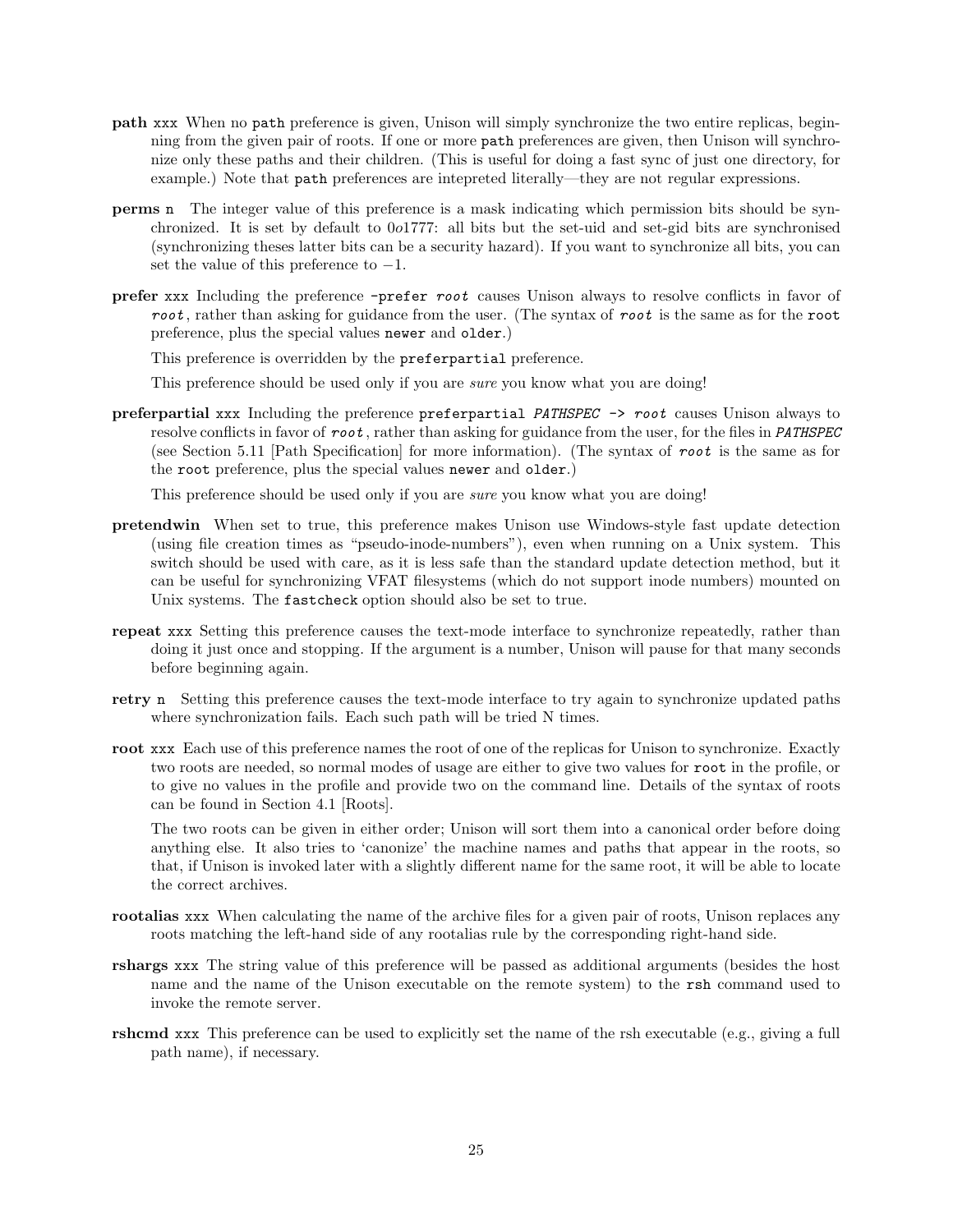- path xxx When no path preference is given, Unison will simply synchronize the two entire replicas, beginning from the given pair of roots. If one or more path preferences are given, then Unison will synchronize only these paths and their children. (This is useful for doing a fast sync of just one directory, for example.) Note that path preferences are intepreted literally—they are not regular expressions.
- perms n The integer value of this preference is a mask indicating which permission bits should be synchronized. It is set by default to 0o1777: all bits but the set-uid and set-gid bits are synchronised (synchronizing theses latter bits can be a security hazard). If you want to synchronize all bits, you can set the value of this preference to  $-1$ .
- prefer xxx Including the preference -prefer root causes Unison always to resolve conflicts in favor of root, rather than asking for guidance from the user. (The syntax of root is the same as for the root preference, plus the special values newer and older.)

This preference is overridden by the preferpartial preference.

This preference should be used only if you are *sure* you know what you are doing!

preferpartial xxx Including the preference preferpartial PATHSPEC -> root causes Unison always to resolve conflicts in favor of  $root$ , rather than asking for guidance from the user, for the files in PATHSPEC (see Section 5.11 [Path Specification] for more information). (The syntax of root is the same as for the root preference, plus the special values newer and older.)

This preference should be used only if you are *sure* you know what you are doing!

- pretendwin When set to true, this preference makes Unison use Windows-style fast update detection (using file creation times as "pseudo-inode-numbers"), even when running on a Unix system. This switch should be used with care, as it is less safe than the standard update detection method, but it can be useful for synchronizing VFAT filesystems (which do not support inode numbers) mounted on Unix systems. The fastcheck option should also be set to true.
- repeat xxx Setting this preference causes the text-mode interface to synchronize repeatedly, rather than doing it just once and stopping. If the argument is a number, Unison will pause for that many seconds before beginning again.
- retry n Setting this preference causes the text-mode interface to try again to synchronize updated paths where synchronization fails. Each such path will be tried N times.
- root xxx Each use of this preference names the root of one of the replicas for Unison to synchronize. Exactly two roots are needed, so normal modes of usage are either to give two values for root in the profile, or to give no values in the profile and provide two on the command line. Details of the syntax of roots can be found in Section 4.1 [Roots].

The two roots can be given in either order; Unison will sort them into a canonical order before doing anything else. It also tries to 'canonize' the machine names and paths that appear in the roots, so that, if Unison is invoked later with a slightly different name for the same root, it will be able to locate the correct archives.

- rootalias xxx When calculating the name of the archive files for a given pair of roots, Unison replaces any roots matching the left-hand side of any rootalias rule by the corresponding right-hand side.
- rshargs xxx The string value of this preference will be passed as additional arguments (besides the host name and the name of the Unison executable on the remote system) to the rsh command used to invoke the remote server.
- rshcmd xxx This preference can be used to explicitly set the name of the rsh executable (e.g., giving a full path name), if necessary.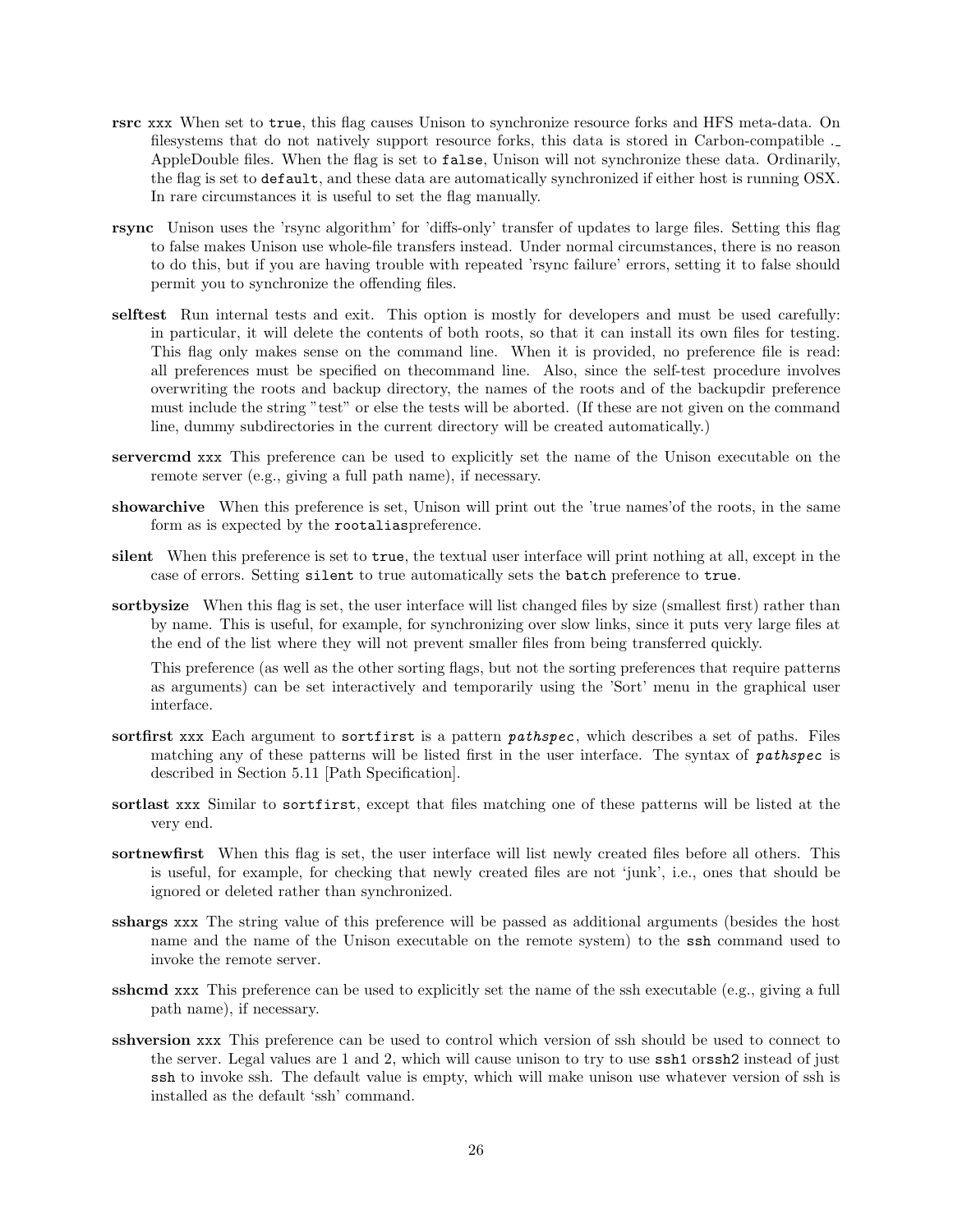- rsrc xxx When set to true, this flag causes Unison to synchronize resource forks and HFS meta-data. On filesystems that do not natively support resource forks, this data is stored in Carbon-compatible . AppleDouble files. When the flag is set to false, Unison will not synchronize these data. Ordinarily, the flag is set to default, and these data are automatically synchronized if either host is running OSX. In rare circumstances it is useful to set the flag manually.
- rsync Unison uses the 'rsync algorithm' for 'diffs-only' transfer of updates to large files. Setting this flag to false makes Unison use whole-file transfers instead. Under normal circumstances, there is no reason to do this, but if you are having trouble with repeated 'rsync failure' errors, setting it to false should permit you to synchronize the offending files.
- selftest Run internal tests and exit. This option is mostly for developers and must be used carefully: in particular, it will delete the contents of both roots, so that it can install its own files for testing. This flag only makes sense on the command line. When it is provided, no preference file is read: all preferences must be specified on thecommand line. Also, since the self-test procedure involves overwriting the roots and backup directory, the names of the roots and of the backupdir preference must include the string "test" or else the tests will be aborted. (If these are not given on the command line, dummy subdirectories in the current directory will be created automatically.)
- servercmd xxx This preference can be used to explicitly set the name of the Unison executable on the remote server (e.g., giving a full path name), if necessary.
- showarchive When this preference is set, Unison will print out the 'true names'of the roots, in the same form as is expected by the rootaliaspreference.
- silent When this preference is set to true, the textual user interface will print nothing at all, except in the case of errors. Setting silent to true automatically sets the batch preference to true.
- sortbysize When this flag is set, the user interface will list changed files by size (smallest first) rather than by name. This is useful, for example, for synchronizing over slow links, since it puts very large files at the end of the list where they will not prevent smaller files from being transferred quickly.

This preference (as well as the other sorting flags, but not the sorting preferences that require patterns as arguments) can be set interactively and temporarily using the 'Sort' menu in the graphical user interface.

- sortfirst xxx Each argument to sortfirst is a pattern *pathspec*, which describes a set of paths. Files matching any of these patterns will be listed first in the user interface. The syntax of pathspec is described in Section 5.11 [Path Specification].
- sortlast xxx Similar to sortfirst, except that files matching one of these patterns will be listed at the very end.
- sortnewfirst When this flag is set, the user interface will list newly created files before all others. This is useful, for example, for checking that newly created files are not 'junk', i.e., ones that should be ignored or deleted rather than synchronized.
- sshargs xxx The string value of this preference will be passed as additional arguments (besides the host name and the name of the Unison executable on the remote system) to the ssh command used to invoke the remote server.
- sshcmd xxx This preference can be used to explicitly set the name of the ssh executable (e.g., giving a full path name), if necessary.
- sshversion xxx This preference can be used to control which version of ssh should be used to connect to the server. Legal values are 1 and 2, which will cause unison to try to use ssh1 orssh2 instead of just ssh to invoke ssh. The default value is empty, which will make unison use whatever version of ssh is installed as the default 'ssh' command.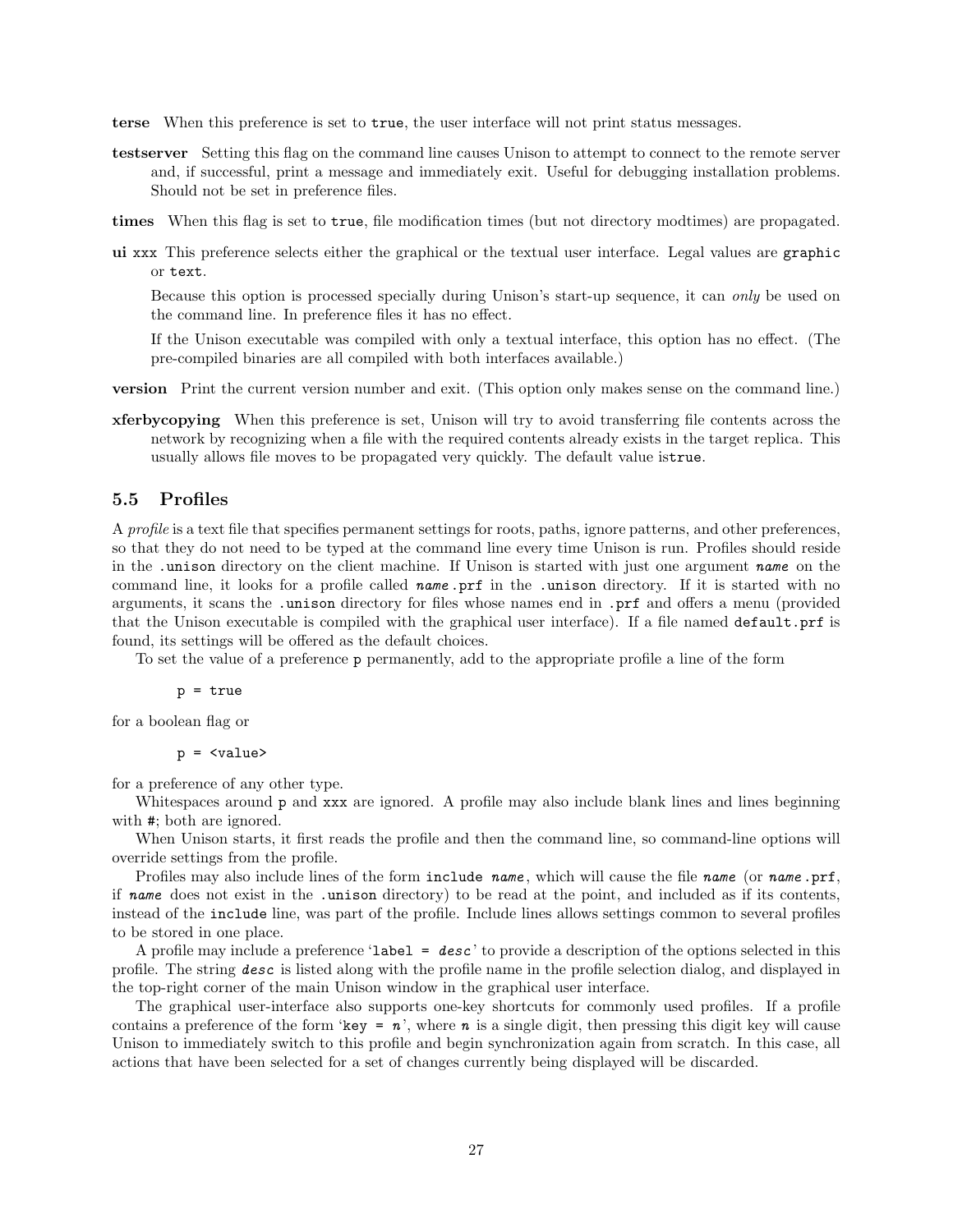- terse When this preference is set to true, the user interface will not print status messages.
- testserver Setting this flag on the command line causes Unison to attempt to connect to the remote server and, if successful, print a message and immediately exit. Useful for debugging installation problems. Should not be set in preference files.
- times When this flag is set to true, file modification times (but not directory modtimes) are propagated.
- ui xxx This preference selects either the graphical or the textual user interface. Legal values are graphic or text.

Because this option is processed specially during Unison's start-up sequence, it can only be used on the command line. In preference files it has no effect.

If the Unison executable was compiled with only a textual interface, this option has no effect. (The pre-compiled binaries are all compiled with both interfaces available.)

- version Print the current version number and exit. (This option only makes sense on the command line.)
- xferbycopying When this preference is set, Unison will try to avoid transferring file contents across the network by recognizing when a file with the required contents already exists in the target replica. This usually allows file moves to be propagated very quickly. The default value istrue.

#### 5.5 Profiles

A profile is a text file that specifies permanent settings for roots, paths, ignore patterns, and other preferences, so that they do not need to be typed at the command line every time Unison is run. Profiles should reside in the .unison directory on the client machine. If Unison is started with just one argument name on the command line, it looks for a profile called name .prf in the .unison directory. If it is started with no arguments, it scans the .unison directory for files whose names end in .prf and offers a menu (provided that the Unison executable is compiled with the graphical user interface). If a file named default.prf is found, its settings will be offered as the default choices.

To set the value of a preference p permanently, add to the appropriate profile a line of the form

p = true

for a boolean flag or

 $p = \langle value \rangle$ 

for a preference of any other type.

Whitespaces around p and xxx are ignored. A profile may also include blank lines and lines beginning with #; both are ignored.

When Unison starts, it first reads the profile and then the command line, so command-line options will override settings from the profile.

Profiles may also include lines of the form include name, which will cause the file name (or name .prf, if name does not exist in the .unison directory) to be read at the point, and included as if its contents, instead of the include line, was part of the profile. Include lines allows settings common to several profiles to be stored in one place.

A profile may include a preference '**label = desc**' to provide a description of the options selected in this profile. The string desc is listed along with the profile name in the profile selection dialog, and displayed in the top-right corner of the main Unison window in the graphical user interface.

The graphical user-interface also supports one-key shortcuts for commonly used profiles. If a profile contains a preference of the form 'key =  $n$ ', where n is a single digit, then pressing this digit key will cause Unison to immediately switch to this profile and begin synchronization again from scratch. In this case, all actions that have been selected for a set of changes currently being displayed will be discarded.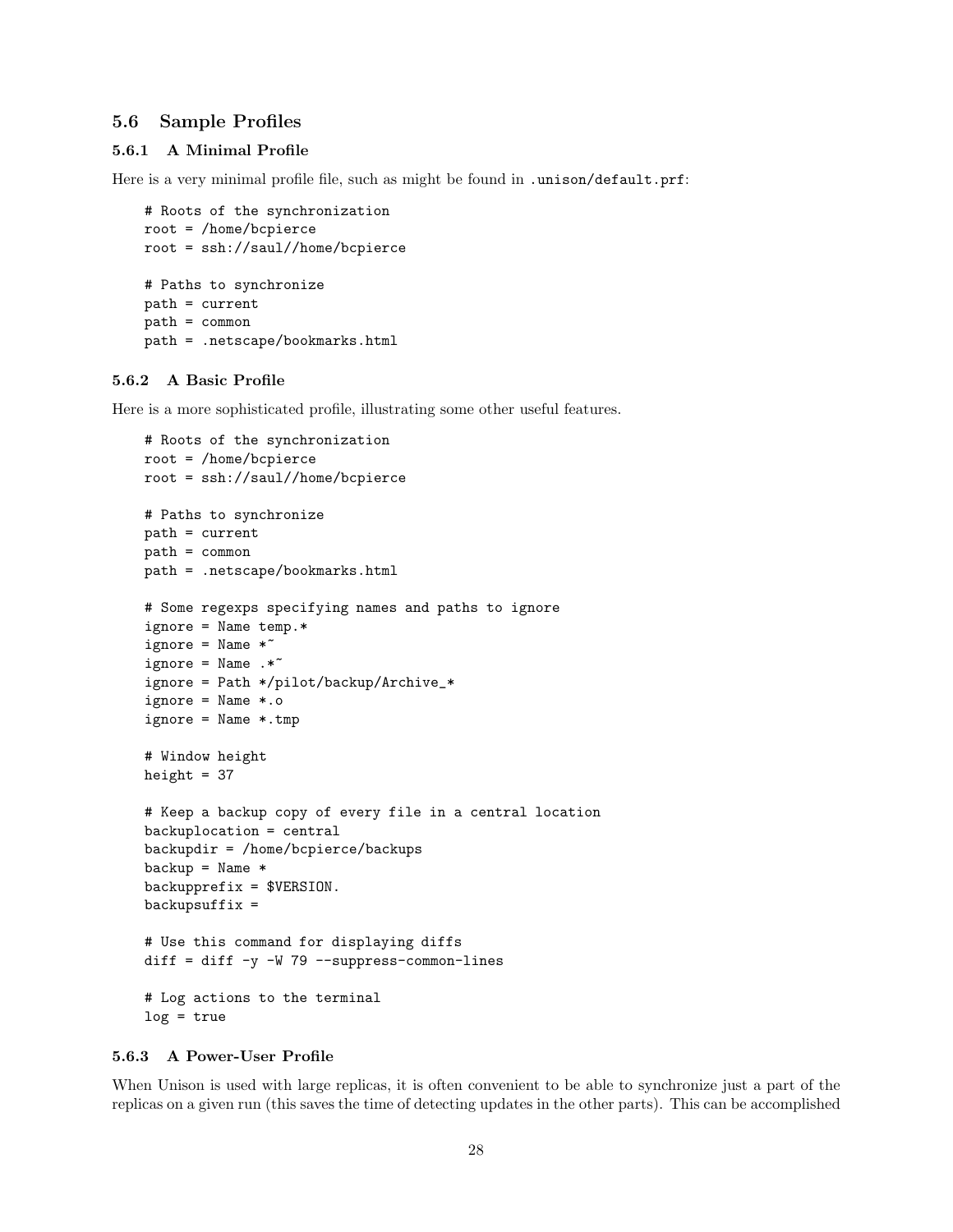#### 5.6 Sample Profiles

#### 5.6.1 A Minimal Profile

Here is a very minimal profile file, such as might be found in .unison/default.prf:

```
# Roots of the synchronization
root = /home/bcpierce
root = ssh://saul//home/bcpierce
# Paths to synchronize
path = current
path = common
path = .netscape/bookmarks.html
```
#### 5.6.2 A Basic Profile

Here is a more sophisticated profile, illustrating some other useful features.

```
# Roots of the synchronization
root = /home/bcpierce
root = ssh://saul//home/bcpierce
# Paths to synchronize
path = current
path = common
path = .netscape/bookmarks.html
# Some regexps specifying names and paths to ignore
ignore = Name temp.*
ignore = Name *ignore = Name : *^*ignore = Path */pilot/backup/Archive_*
ignore = Name *.o
ignore = Name *.tmp
# Window height
height = 37# Keep a backup copy of every file in a central location
backuplocation = central
backupdir = /home/bcpierce/backups
backup = Name *backupprefix = $VERSION.
backupsuffix =# Use this command for displaying diffs
diff = diff -y -W 79 --suppress-common-lines
# Log actions to the terminal
log = true
```
#### 5.6.3 A Power-User Profile

When Unison is used with large replicas, it is often convenient to be able to synchronize just a part of the replicas on a given run (this saves the time of detecting updates in the other parts). This can be accomplished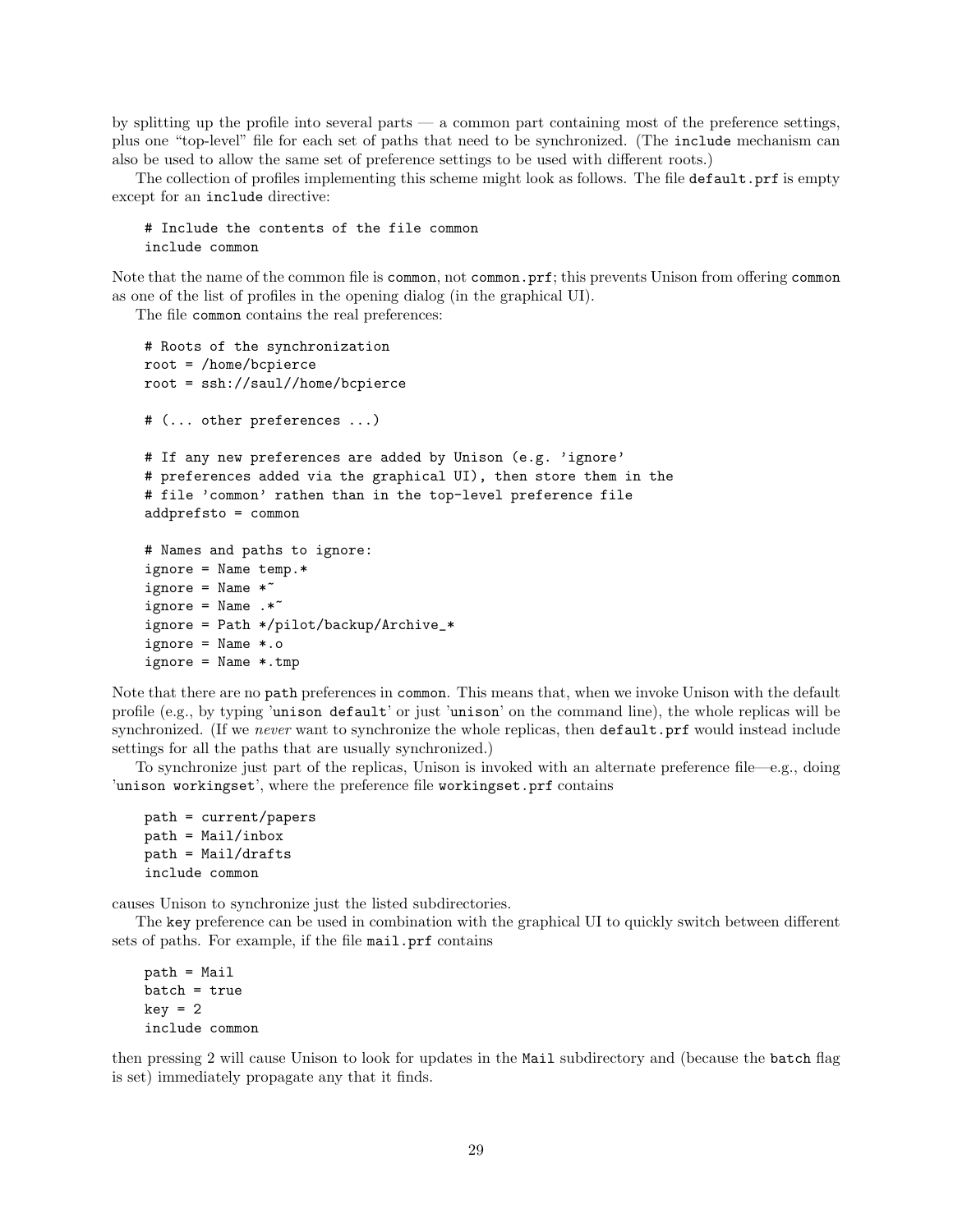by splitting up the profile into several parts  $-$  a common part containing most of the preference settings, plus one "top-level" file for each set of paths that need to be synchronized. (The include mechanism can also be used to allow the same set of preference settings to be used with different roots.)

The collection of profiles implementing this scheme might look as follows. The file default.prf is empty except for an include directive:

```
# Include the contents of the file common
include common
```
Note that the name of the common file is common, not common.prf; this prevents Unison from offering common as one of the list of profiles in the opening dialog (in the graphical UI).

The file common contains the real preferences:

```
# Roots of the synchronization
root = /home/bcpierce
root = ssh://saul//home/bcpierce
# (... other preferences ...)
# If any new preferences are added by Unison (e.g. 'ignore'
# preferences added via the graphical UI), then store them in the
# file 'common' rathen than in the top-level preference file
addprefsto = common
# Names and paths to ignore:
ignore = Name temp.*
ignore = Name *ignore = Name : *^*ignore = Path */pilot/backup/Archive_*
ignore = Name *.o
ignore = Name *.tmp
```
Note that there are no path preferences in common. This means that, when we invoke Unison with the default profile (e.g., by typing 'unison default' or just 'unison' on the command line), the whole replicas will be synchronized. (If we never want to synchronize the whole replicas, then **default**.prf would instead include settings for all the paths that are usually synchronized.)

To synchronize just part of the replicas, Unison is invoked with an alternate preference file—e.g., doing 'unison workingset', where the preference file workingset.prf contains

```
path = current/papers
path = Mail/inbox
path = Mail/drafts
include common
```
causes Unison to synchronize just the listed subdirectories.

The key preference can be used in combination with the graphical UI to quickly switch between different sets of paths. For example, if the file mail.prf contains

path = Mail batch = true  $key = 2$ include common

then pressing 2 will cause Unison to look for updates in the Mail subdirectory and (because the batch flag is set) immediately propagate any that it finds.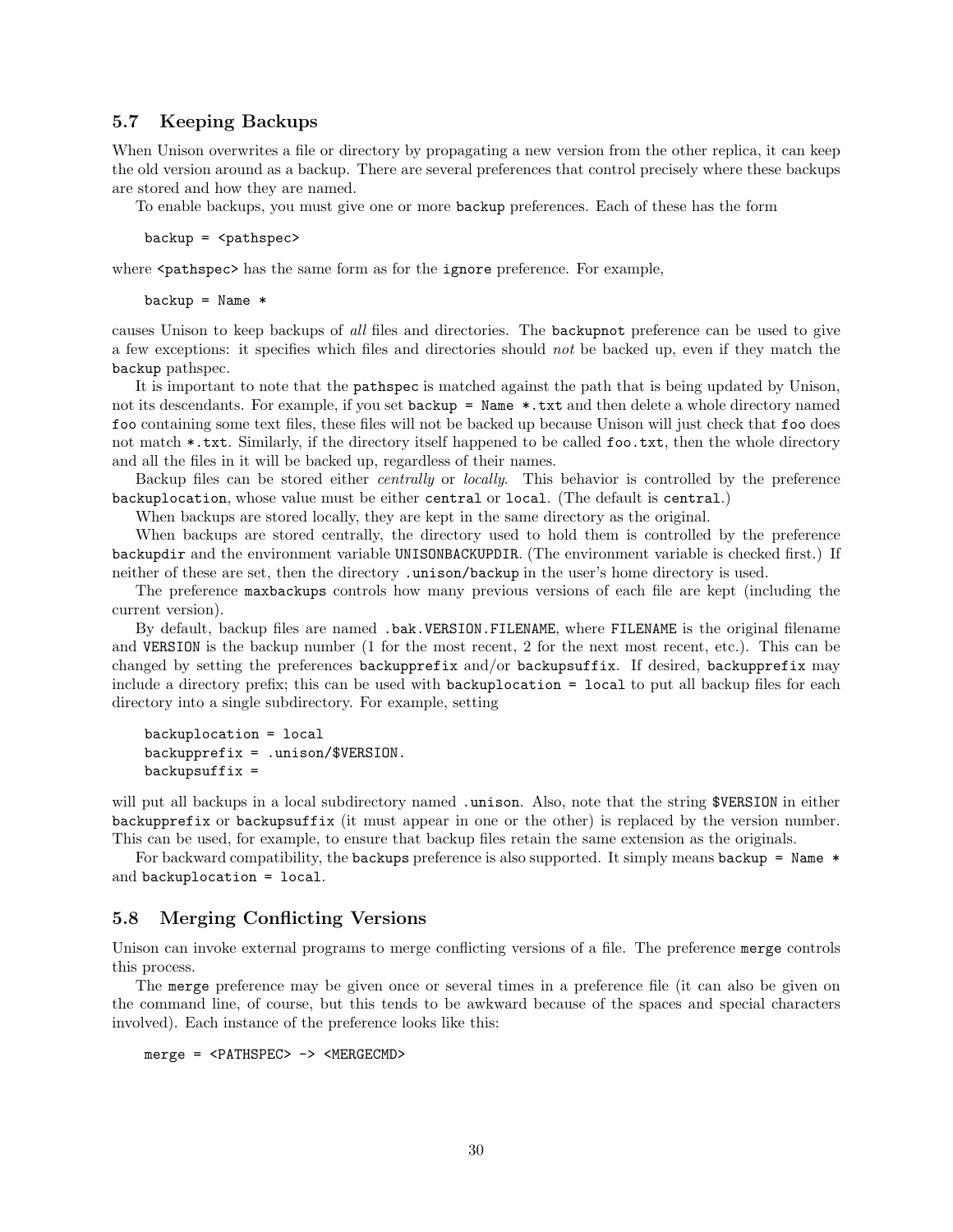#### 5.7 Keeping Backups

When Unison overwrites a file or directory by propagating a new version from the other replica, it can keep the old version around as a backup. There are several preferences that control precisely where these backups are stored and how they are named.

To enable backups, you must give one or more backup preferences. Each of these has the form

backup = <pathspec>

where  $\epsilon$  pathspec> has the same form as for the ignore preference. For example,

 $backup = Name *$ 

causes Unison to keep backups of all files and directories. The backupnot preference can be used to give a few exceptions: it specifies which files and directories should not be backed up, even if they match the backup pathspec.

It is important to note that the pathspec is matched against the path that is being updated by Unison, not its descendants. For example, if you set backup = Name \*.txt and then delete a whole directory named foo containing some text files, these files will not be backed up because Unison will just check that foo does not match \*.txt. Similarly, if the directory itself happened to be called foo.txt, then the whole directory and all the files in it will be backed up, regardless of their names.

Backup files can be stored either centrally or locally. This behavior is controlled by the preference backuplocation, whose value must be either central or local. (The default is central.)

When backups are stored locally, they are kept in the same directory as the original.

When backups are stored centrally, the directory used to hold them is controlled by the preference backupdir and the environment variable UNISONBACKUPDIR. (The environment variable is checked first.) If neither of these are set, then the directory .unison/backup in the user's home directory is used.

The preference maxbackups controls how many previous versions of each file are kept (including the current version).

By default, backup files are named .bak.VERSION.FILENAME, where FILENAME is the original filename and VERSION is the backup number (1 for the most recent, 2 for the next most recent, etc.). This can be changed by setting the preferences backupprefix and/or backupsuffix. If desired, backupprefix may include a directory prefix; this can be used with backuplocation = local to put all backup files for each directory into a single subdirectory. For example, setting

```
backuplocation = local
backupprefix = .unison/$VERSION.
background =
```
will put all backups in a local subdirectory named .unison. Also, note that the string \$VERSION in either backupprefix or backupsuffix (it must appear in one or the other) is replaced by the version number. This can be used, for example, to ensure that backup files retain the same extension as the originals.

For backward compatibility, the backups preference is also supported. It simply means backup = Name  $*$ and backuplocation = local.

#### 5.8 Merging Conflicting Versions

Unison can invoke external programs to merge conflicting versions of a file. The preference merge controls this process.

The merge preference may be given once or several times in a preference file (it can also be given on the command line, of course, but this tends to be awkward because of the spaces and special characters involved). Each instance of the preference looks like this:

merge = <PATHSPEC> -> <MERGECMD>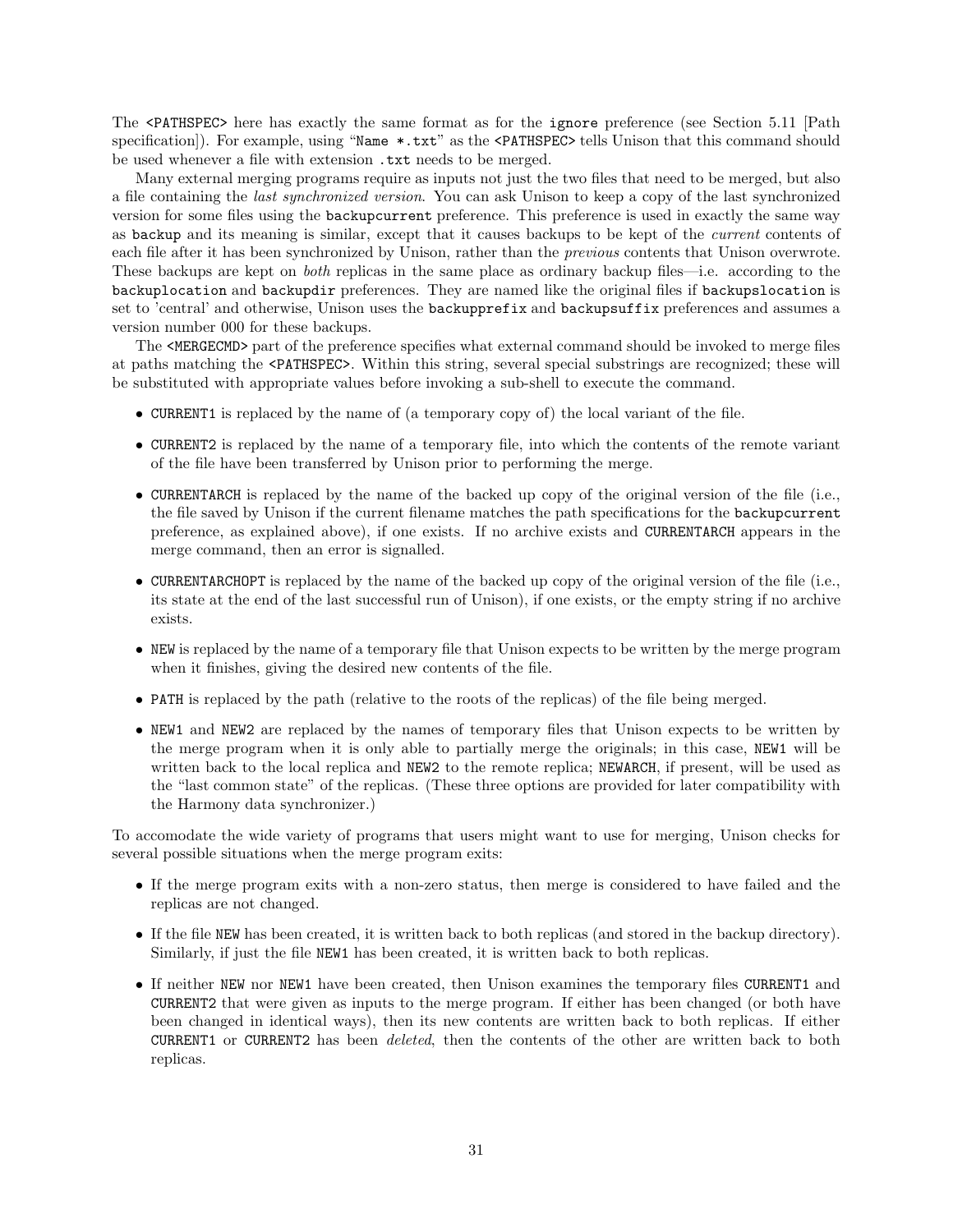The <PATHSPEC> here has exactly the same format as for the ignore preference (see Section 5.11 [Path specification]). For example, using "Name \*.txt" as the <PATHSPEC> tells Unison that this command should be used whenever a file with extension  $.txt$  needs to be merged.

Many external merging programs require as inputs not just the two files that need to be merged, but also a file containing the last synchronized version. You can ask Unison to keep a copy of the last synchronized version for some files using the backupcurrent preference. This preference is used in exactly the same way as backup and its meaning is similar, except that it causes backups to be kept of the current contents of each file after it has been synchronized by Unison, rather than the previous contents that Unison overwrote. These backups are kept on both replicas in the same place as ordinary backup files—i.e. according to the backuplocation and backupdir preferences. They are named like the original files if backupslocation is set to 'central' and otherwise, Unison uses the backupprefix and backupsuffix preferences and assumes a version number 000 for these backups.

The <MERGECMD> part of the preference specifies what external command should be invoked to merge files at paths matching the <PATHSPEC>. Within this string, several special substrings are recognized; these will be substituted with appropriate values before invoking a sub-shell to execute the command.

- CURRENT1 is replaced by the name of (a temporary copy of) the local variant of the file.
- CURRENT2 is replaced by the name of a temporary file, into which the contents of the remote variant of the file have been transferred by Unison prior to performing the merge.
- CURRENTARCH is replaced by the name of the backed up copy of the original version of the file (i.e., the file saved by Unison if the current filename matches the path specifications for the backupcurrent preference, as explained above), if one exists. If no archive exists and CURRENTARCH appears in the merge command, then an error is signalled.
- CURRENTARCHOPT is replaced by the name of the backed up copy of the original version of the file (i.e., its state at the end of the last successful run of Unison), if one exists, or the empty string if no archive exists.
- NEW is replaced by the name of a temporary file that Unison expects to be written by the merge program when it finishes, giving the desired new contents of the file.
- PATH is replaced by the path (relative to the roots of the replicas) of the file being merged.
- NEW1 and NEW2 are replaced by the names of temporary files that Unison expects to be written by the merge program when it is only able to partially merge the originals; in this case, NEW1 will be written back to the local replica and NEW2 to the remote replica; NEWARCH, if present, will be used as the "last common state" of the replicas. (These three options are provided for later compatibility with the Harmony data synchronizer.)

To accomodate the wide variety of programs that users might want to use for merging, Unison checks for several possible situations when the merge program exits:

- If the merge program exits with a non-zero status, then merge is considered to have failed and the replicas are not changed.
- If the file NEW has been created, it is written back to both replicas (and stored in the backup directory). Similarly, if just the file NEW1 has been created, it is written back to both replicas.
- If neither NEW nor NEW1 have been created, then Unison examines the temporary files CURRENT1 and CURRENT2 that were given as inputs to the merge program. If either has been changed (or both have been changed in identical ways), then its new contents are written back to both replicas. If either CURRENT1 or CURRENT2 has been deleted, then the contents of the other are written back to both replicas.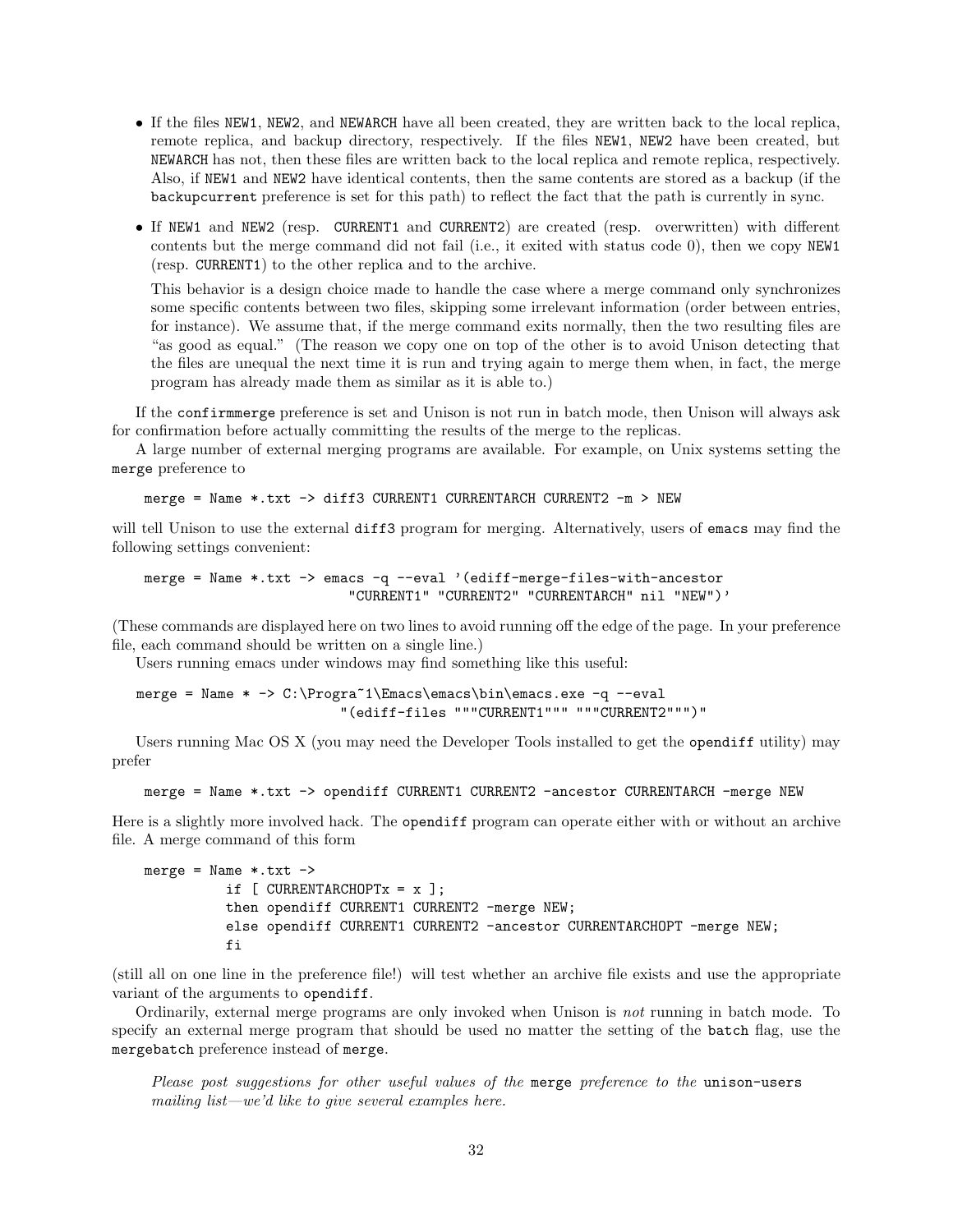- If the files NEW1, NEW2, and NEWARCH have all been created, they are written back to the local replica, remote replica, and backup directory, respectively. If the files NEW1, NEW2 have been created, but NEWARCH has not, then these files are written back to the local replica and remote replica, respectively. Also, if NEW1 and NEW2 have identical contents, then the same contents are stored as a backup (if the backupcurrent preference is set for this path) to reflect the fact that the path is currently in sync.
- If NEW1 and NEW2 (resp. CURRENT1 and CURRENT2) are created (resp. overwritten) with different contents but the merge command did not fail (i.e., it exited with status code 0), then we copy NEW1 (resp. CURRENT1) to the other replica and to the archive.

This behavior is a design choice made to handle the case where a merge command only synchronizes some specific contents between two files, skipping some irrelevant information (order between entries, for instance). We assume that, if the merge command exits normally, then the two resulting files are "as good as equal." (The reason we copy one on top of the other is to avoid Unison detecting that the files are unequal the next time it is run and trying again to merge them when, in fact, the merge program has already made them as similar as it is able to.)

If the confirmmerge preference is set and Unison is not run in batch mode, then Unison will always ask for confirmation before actually committing the results of the merge to the replicas.

A large number of external merging programs are available. For example, on Unix systems setting the merge preference to

merge = Name \*.txt -> diff3 CURRENT1 CURRENTARCH CURRENT2 -m > NEW

will tell Unison to use the external diff3 program for merging. Alternatively, users of emacs may find the following settings convenient:

merge = Name \*.txt -> emacs -q --eval '(ediff-merge-files-with-ancestor "CURRENT1" "CURRENT2" "CURRENTARCH" nil "NEW")'

(These commands are displayed here on two lines to avoid running off the edge of the page. In your preference file, each command should be written on a single line.)

Users running emacs under windows may find something like this useful:

merge = Name \* -> C:\Progra~1\Emacs\emacs\bin\emacs.exe -q --eval "(ediff-files """CURRENT1""" """CURRENT2""")"

Users running Mac OS X (you may need the Developer Tools installed to get the opendiff utility) may prefer

merge = Name \*.txt -> opendiff CURRENT1 CURRENT2 -ancestor CURRENTARCH -merge NEW

Here is a slightly more involved hack. The opendiff program can operate either with or without an archive file. A merge command of this form

```
merge = Name * .txt ->if [ CURRENTARCHOPTx = x ];
          then opendiff CURRENT1 CURRENT2 -merge NEW;
          else opendiff CURRENT1 CURRENT2 -ancestor CURRENTARCHOPT -merge NEW;
          fi
```
(still all on one line in the preference file!) will test whether an archive file exists and use the appropriate variant of the arguments to opendiff.

Ordinarily, external merge programs are only invoked when Unison is not running in batch mode. To specify an external merge program that should be used no matter the setting of the batch flag, use the mergebatch preference instead of merge.

Please post suggestions for other useful values of the merge preference to the unison-users mailing list—we'd like to give several examples here.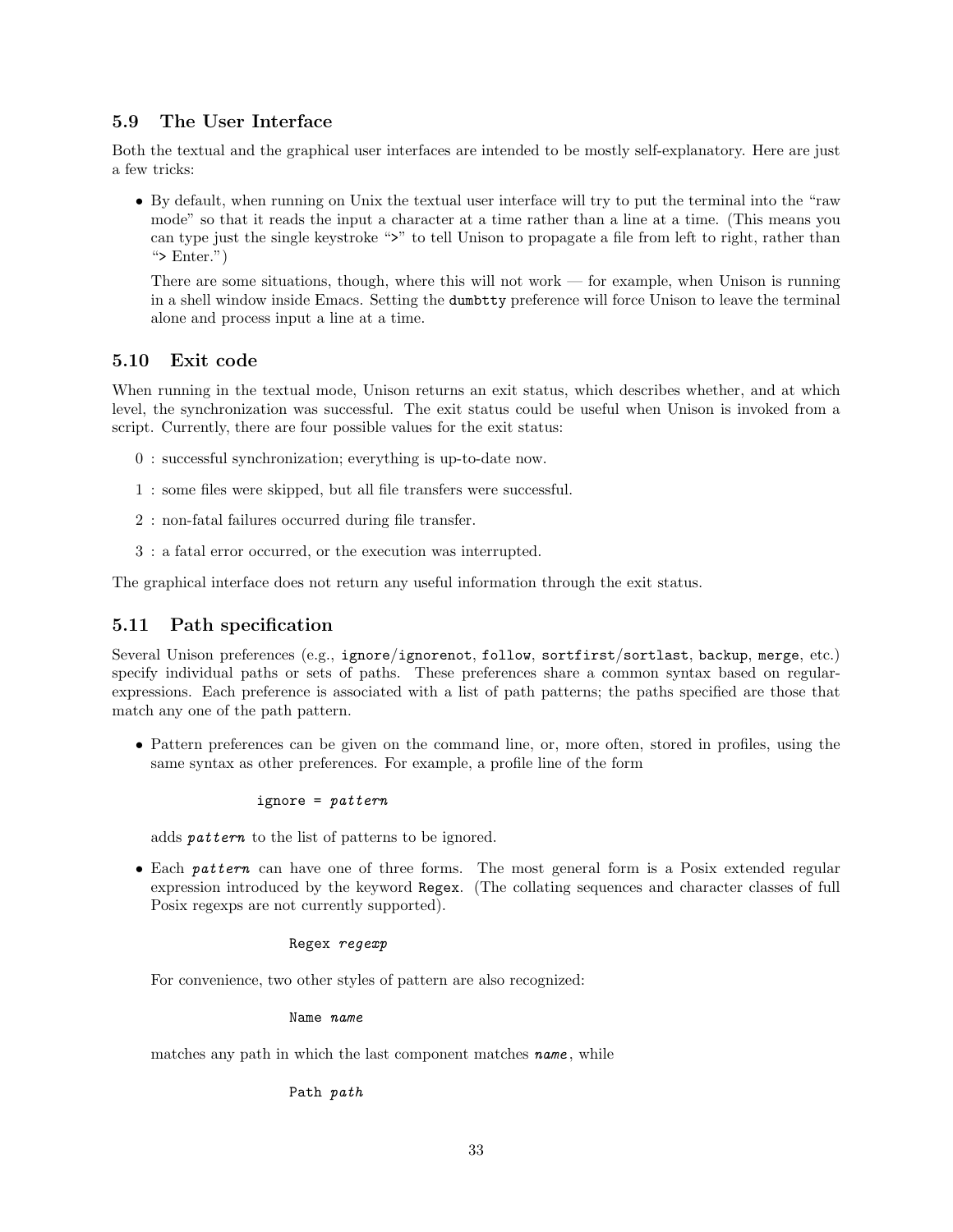## 5.9 The User Interface

Both the textual and the graphical user interfaces are intended to be mostly self-explanatory. Here are just a few tricks:

• By default, when running on Unix the textual user interface will try to put the terminal into the "raw mode" so that it reads the input a character at a time rather than a line at a time. (This means you can type just the single keystroke ">" to tell Unison to propagate a file from left to right, rather than ">  $Enter."$ )

There are some situations, though, where this will not work — for example, when Unison is running in a shell window inside Emacs. Setting the dumbtty preference will force Unison to leave the terminal alone and process input a line at a time.

# 5.10 Exit code

When running in the textual mode, Unison returns an exit status, which describes whether, and at which level, the synchronization was successful. The exit status could be useful when Unison is invoked from a script. Currently, there are four possible values for the exit status:

- 0 : successful synchronization; everything is up-to-date now.
- 1 : some files were skipped, but all file transfers were successful.
- 2 : non-fatal failures occurred during file transfer.
- 3 : a fatal error occurred, or the execution was interrupted.

The graphical interface does not return any useful information through the exit status.

# 5.11 Path specification

Several Unison preferences (e.g., ignore/ignorenot, follow, sortfirst/sortlast, backup, merge, etc.) specify individual paths or sets of paths. These preferences share a common syntax based on regularexpressions. Each preference is associated with a list of path patterns; the paths specified are those that match any one of the path pattern.

• Pattern preferences can be given on the command line, or, more often, stored in profiles, using the same syntax as other preferences. For example, a profile line of the form

#### ignore =  $pattern$

adds pattern to the list of patterns to be ignored.

• Each pattern can have one of three forms. The most general form is a Posix extended regular expression introduced by the keyword Regex. (The collating sequences and character classes of full Posix regexps are not currently supported).

#### Regex regexp

For convenience, two other styles of pattern are also recognized:

Name name

matches any path in which the last component matches **name**, while

Path path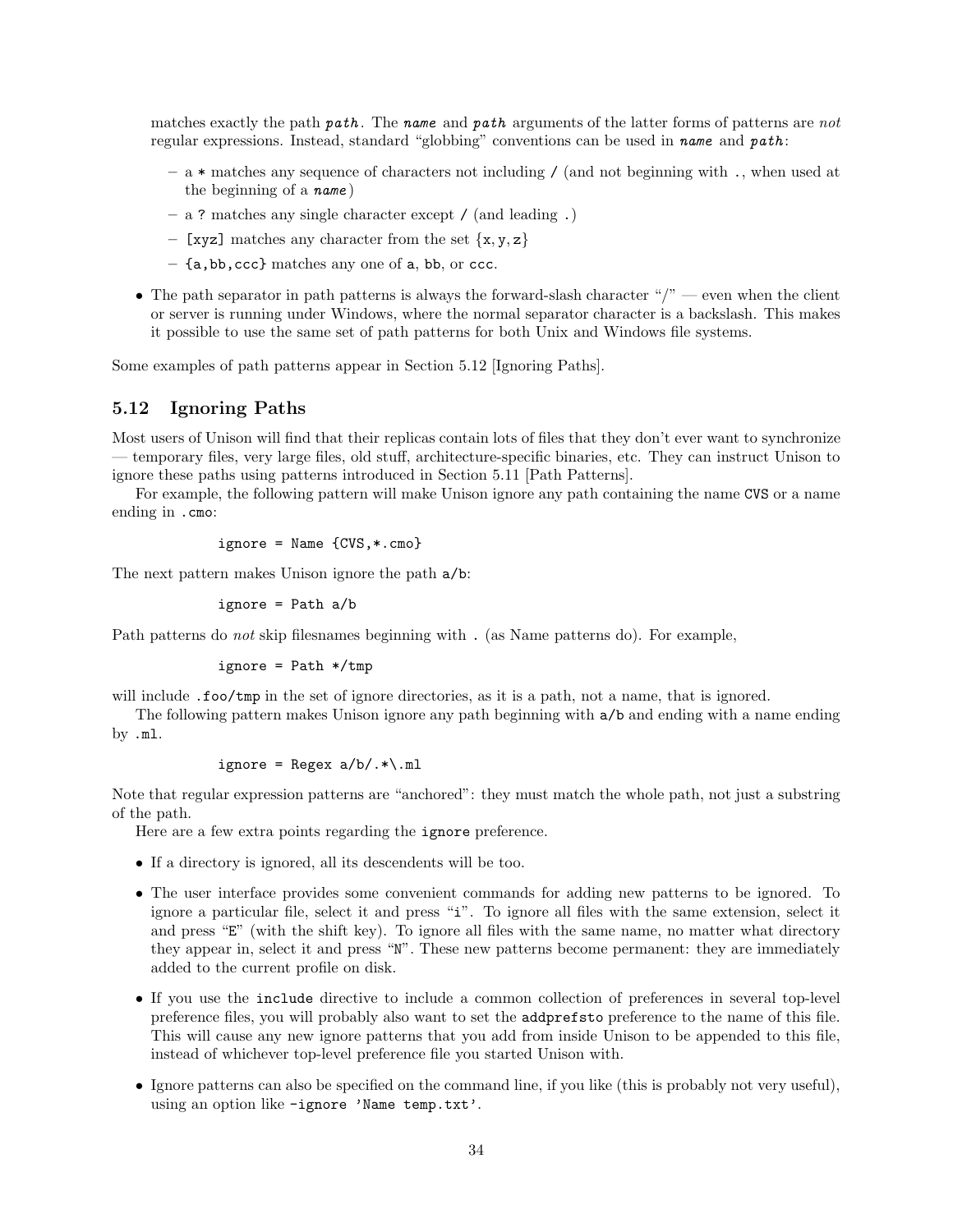matches exactly the path path. The name and path arguments of the latter forms of patterns are not regular expressions. Instead, standard "globbing" conventions can be used in name and path:

- a \* matches any sequence of characters not including / (and not beginning with ., when used at the beginning of a name )
- a ? matches any single character except / (and leading .)
- [xyz] matches any character from the set  $\{x, y, z\}$
- {a,bb,ccc} matches any one of a, bb, or ccc.
- The path separator in path patterns is always the forward-slash character " $\gamma$ " even when the client or server is running under Windows, where the normal separator character is a backslash. This makes it possible to use the same set of path patterns for both Unix and Windows file systems.

Some examples of path patterns appear in Section 5.12 [Ignoring Paths].

## 5.12 Ignoring Paths

Most users of Unison will find that their replicas contain lots of files that they don't ever want to synchronize — temporary files, very large files, old stuff, architecture-specific binaries, etc. They can instruct Unison to ignore these paths using patterns introduced in Section 5.11 [Path Patterns].

For example, the following pattern will make Unison ignore any path containing the name CVS or a name ending in .cmo:

$$
ignore = Name \{CVS, *, cmo\}
$$

The next pattern makes Unison ignore the path a/b:

ignore = Path a/b

Path patterns do *not* skip filesnames beginning with . (as Name patterns do). For example,

$$
ignore = Path * /tmp
$$

will include .foo/tmp in the set of ignore directories, as it is a path, not a name, that is ignored.

The following pattern makes Unison ignore any path beginning with a/b and ending with a name ending by .ml.

$$
ignore = Regex a/b/.*\\.ml
$$

Note that regular expression patterns are "anchored": they must match the whole path, not just a substring of the path.

Here are a few extra points regarding the ignore preference.

- If a directory is ignored, all its descendents will be too.
- The user interface provides some convenient commands for adding new patterns to be ignored. To ignore a particular file, select it and press "i". To ignore all files with the same extension, select it and press "E" (with the shift key). To ignore all files with the same name, no matter what directory they appear in, select it and press "N". These new patterns become permanent: they are immediately added to the current profile on disk.
- If you use the include directive to include a common collection of preferences in several top-level preference files, you will probably also want to set the addprefsto preference to the name of this file. This will cause any new ignore patterns that you add from inside Unison to be appended to this file, instead of whichever top-level preference file you started Unison with.
- Ignore patterns can also be specified on the command line, if you like (this is probably not very useful), using an option like -ignore 'Name temp.txt'.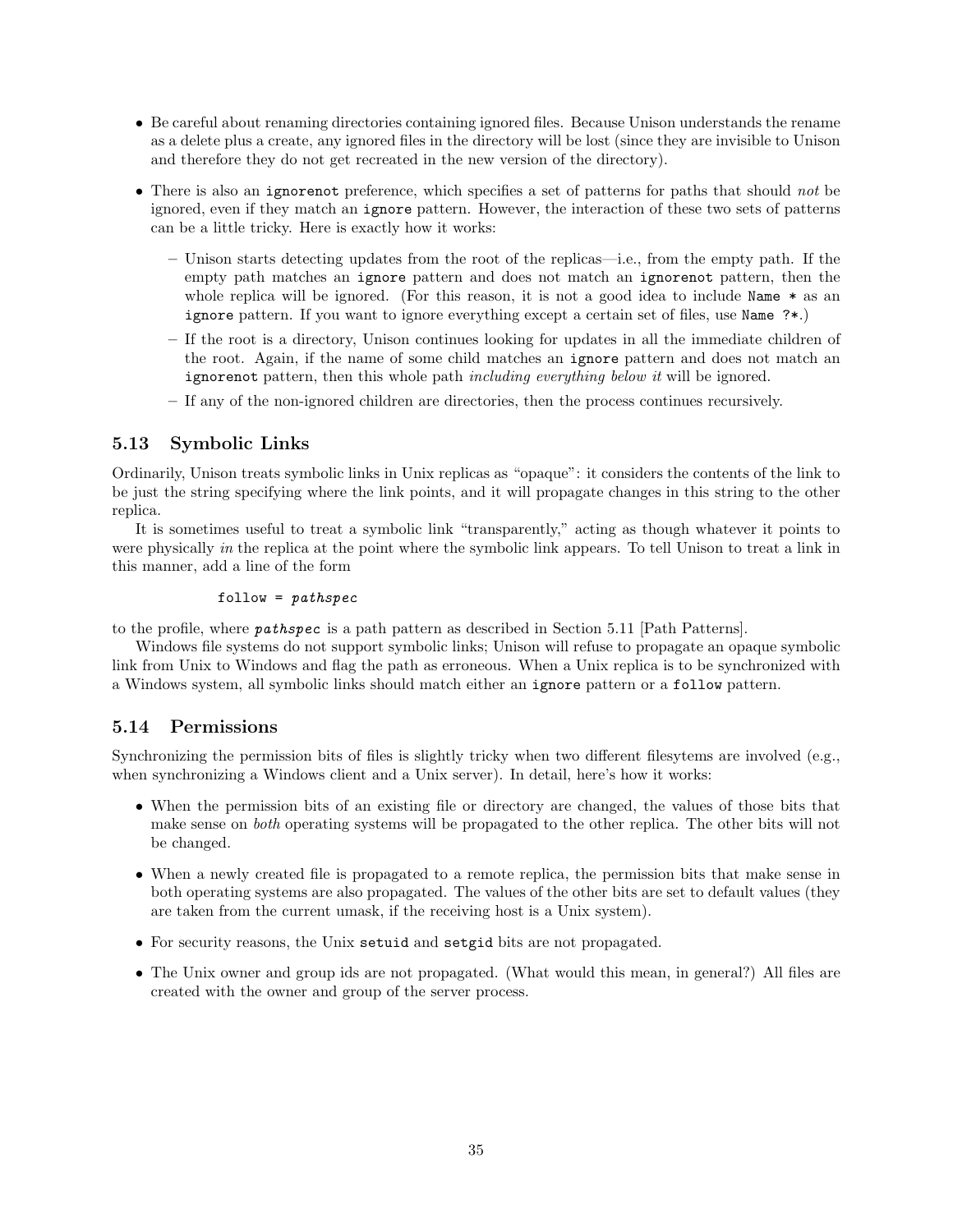- Be careful about renaming directories containing ignored files. Because Unison understands the rename as a delete plus a create, any ignored files in the directory will be lost (since they are invisible to Unison and therefore they do not get recreated in the new version of the directory).
- There is also an ignorenot preference, which specifies a set of patterns for paths that should not be ignored, even if they match an ignore pattern. However, the interaction of these two sets of patterns can be a little tricky. Here is exactly how it works:
	- Unison starts detecting updates from the root of the replicas—i.e., from the empty path. If the empty path matches an ignore pattern and does not match an ignorenot pattern, then the whole replica will be ignored. (For this reason, it is not a good idea to include Name \* as an ignore pattern. If you want to ignore everything except a certain set of files, use Name ?\*.)
	- If the root is a directory, Unison continues looking for updates in all the immediate children of the root. Again, if the name of some child matches an ignore pattern and does not match an ignorenot pattern, then this whole path *including everything below it* will be ignored.
	- If any of the non-ignored children are directories, then the process continues recursively.

# 5.13 Symbolic Links

Ordinarily, Unison treats symbolic links in Unix replicas as "opaque": it considers the contents of the link to be just the string specifying where the link points, and it will propagate changes in this string to the other replica.

It is sometimes useful to treat a symbolic link "transparently," acting as though whatever it points to were physically in the replica at the point where the symbolic link appears. To tell Unison to treat a link in this manner, add a line of the form

#### $follow = pathspec$

to the profile, where pathspec is a path pattern as described in Section 5.11 [Path Patterns].

Windows file systems do not support symbolic links; Unison will refuse to propagate an opaque symbolic link from Unix to Windows and flag the path as erroneous. When a Unix replica is to be synchronized with a Windows system, all symbolic links should match either an ignore pattern or a follow pattern.

# 5.14 Permissions

Synchronizing the permission bits of files is slightly tricky when two different filesytems are involved (e.g., when synchronizing a Windows client and a Unix server). In detail, here's how it works:

- When the permission bits of an existing file or directory are changed, the values of those bits that make sense on both operating systems will be propagated to the other replica. The other bits will not be changed.
- When a newly created file is propagated to a remote replica, the permission bits that make sense in both operating systems are also propagated. The values of the other bits are set to default values (they are taken from the current umask, if the receiving host is a Unix system).
- For security reasons, the Unix setuid and setgid bits are not propagated.
- The Unix owner and group ids are not propagated. (What would this mean, in general?) All files are created with the owner and group of the server process.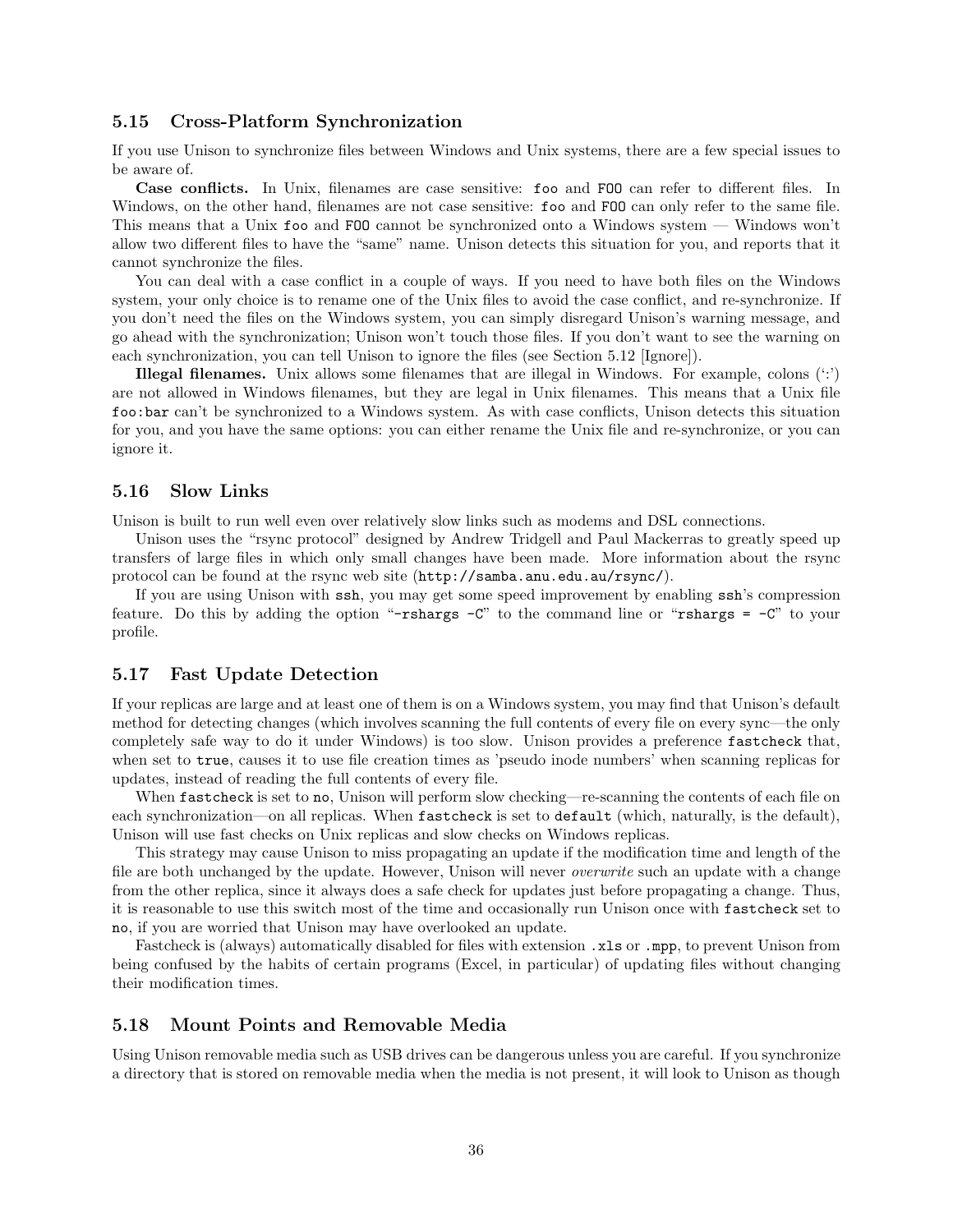#### 5.15 Cross-Platform Synchronization

If you use Unison to synchronize files between Windows and Unix systems, there are a few special issues to be aware of.

Case conflicts. In Unix, filenames are case sensitive: foo and FOO can refer to different files. In Windows, on the other hand, filenames are not case sensitive: foo and FOO can only refer to the same file. This means that a Unix foo and FOO cannot be synchronized onto a Windows system — Windows won't allow two different files to have the "same" name. Unison detects this situation for you, and reports that it cannot synchronize the files.

You can deal with a case conflict in a couple of ways. If you need to have both files on the Windows system, your only choice is to rename one of the Unix files to avoid the case conflict, and re-synchronize. If you don't need the files on the Windows system, you can simply disregard Unison's warning message, and go ahead with the synchronization; Unison won't touch those files. If you don't want to see the warning on each synchronization, you can tell Unison to ignore the files (see Section 5.12 [Ignore]).

**Illegal filenames.** Unix allows some filenames that are illegal in Windows. For example, colons  $(\cdot;\cdot)$ are not allowed in Windows filenames, but they are legal in Unix filenames. This means that a Unix file foo:bar can't be synchronized to a Windows system. As with case conflicts, Unison detects this situation for you, and you have the same options: you can either rename the Unix file and re-synchronize, or you can ignore it.

#### 5.16 Slow Links

Unison is built to run well even over relatively slow links such as modems and DSL connections.

Unison uses the "rsync protocol" designed by Andrew Tridgell and Paul Mackerras to greatly speed up transfers of large files in which only small changes have been made. More information about the rsync protocol can be found at the rsync web site (http://samba.anu.edu.au/rsync/).

If you are using Unison with ssh, you may get some speed improvement by enabling ssh's compression feature. Do this by adding the option "-rshargs  $-C$ " to the command line or "rshargs =  $-C$ " to your profile.

#### 5.17 Fast Update Detection

If your replicas are large and at least one of them is on a Windows system, you may find that Unison's default method for detecting changes (which involves scanning the full contents of every file on every sync—the only completely safe way to do it under Windows) is too slow. Unison provides a preference fastcheck that, when set to true, causes it to use file creation times as 'pseudo inode numbers' when scanning replicas for updates, instead of reading the full contents of every file.

When fastcheck is set to no, Unison will perform slow checking—re-scanning the contents of each file on each synchronization—on all replicas. When fastcheck is set to default (which, naturally, is the default), Unison will use fast checks on Unix replicas and slow checks on Windows replicas.

This strategy may cause Unison to miss propagating an update if the modification time and length of the file are both unchanged by the update. However, Unison will never overwrite such an update with a change from the other replica, since it always does a safe check for updates just before propagating a change. Thus, it is reasonable to use this switch most of the time and occasionally run Unison once with fastcheck set to no, if you are worried that Unison may have overlooked an update.

Fastcheck is (always) automatically disabled for files with extension .xls or .mpp, to prevent Unison from being confused by the habits of certain programs (Excel, in particular) of updating files without changing their modification times.

#### 5.18 Mount Points and Removable Media

Using Unison removable media such as USB drives can be dangerous unless you are careful. If you synchronize a directory that is stored on removable media when the media is not present, it will look to Unison as though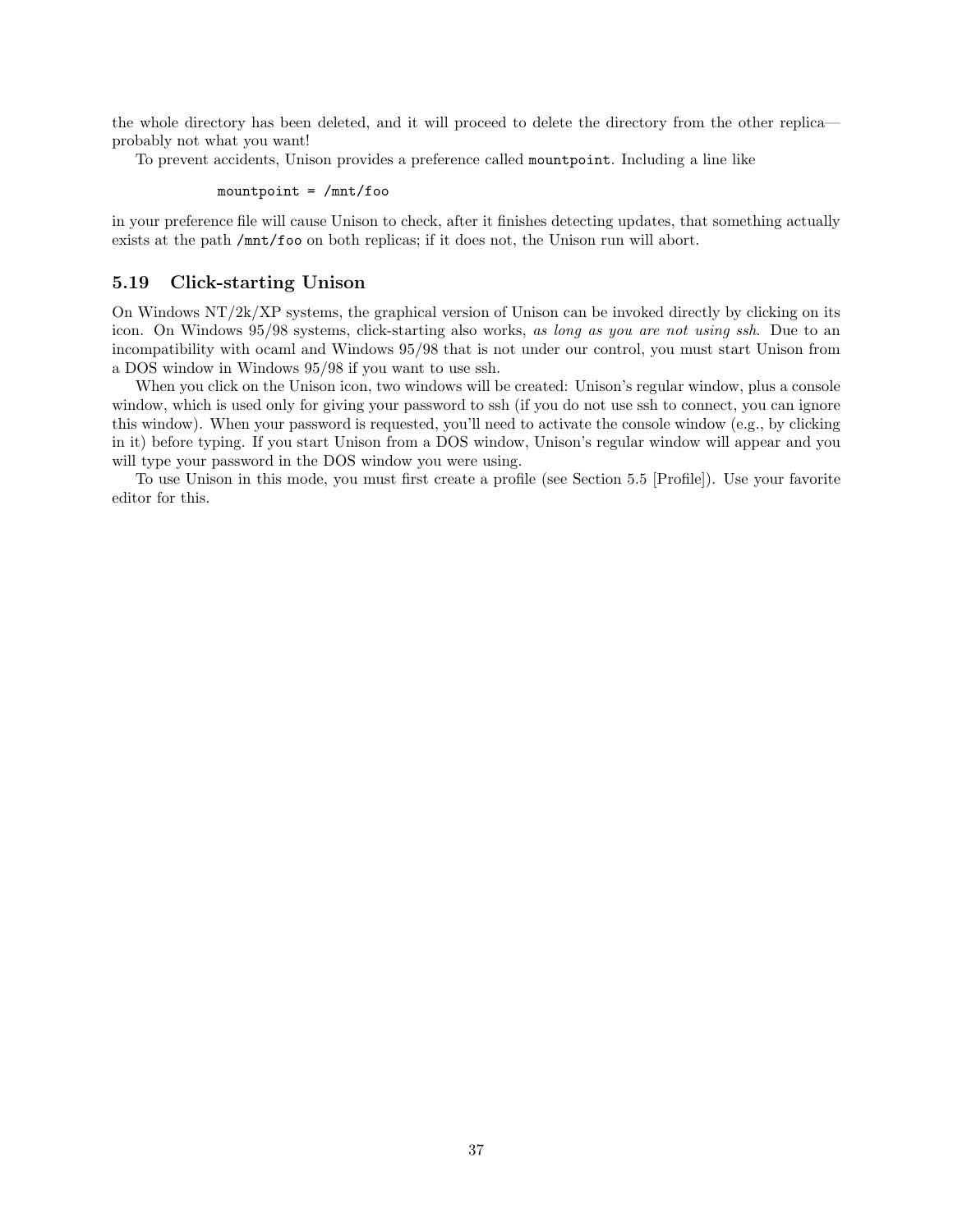the whole directory has been deleted, and it will proceed to delete the directory from the other replica probably not what you want!

To prevent accidents, Unison provides a preference called mountpoint. Including a line like

mountpoint =  $/mnt/foo$ 

in your preference file will cause Unison to check, after it finishes detecting updates, that something actually exists at the path /mnt/foo on both replicas; if it does not, the Unison run will abort.

## 5.19 Click-starting Unison

On Windows NT/2k/XP systems, the graphical version of Unison can be invoked directly by clicking on its icon. On Windows 95/98 systems, click-starting also works, as long as you are not using ssh. Due to an incompatibility with ocaml and Windows 95/98 that is not under our control, you must start Unison from a DOS window in Windows 95/98 if you want to use ssh.

When you click on the Unison icon, two windows will be created: Unison's regular window, plus a console window, which is used only for giving your password to ssh (if you do not use ssh to connect, you can ignore this window). When your password is requested, you'll need to activate the console window (e.g., by clicking in it) before typing. If you start Unison from a DOS window, Unison's regular window will appear and you will type your password in the DOS window you were using.

To use Unison in this mode, you must first create a profile (see Section 5.5 [Profile]). Use your favorite editor for this.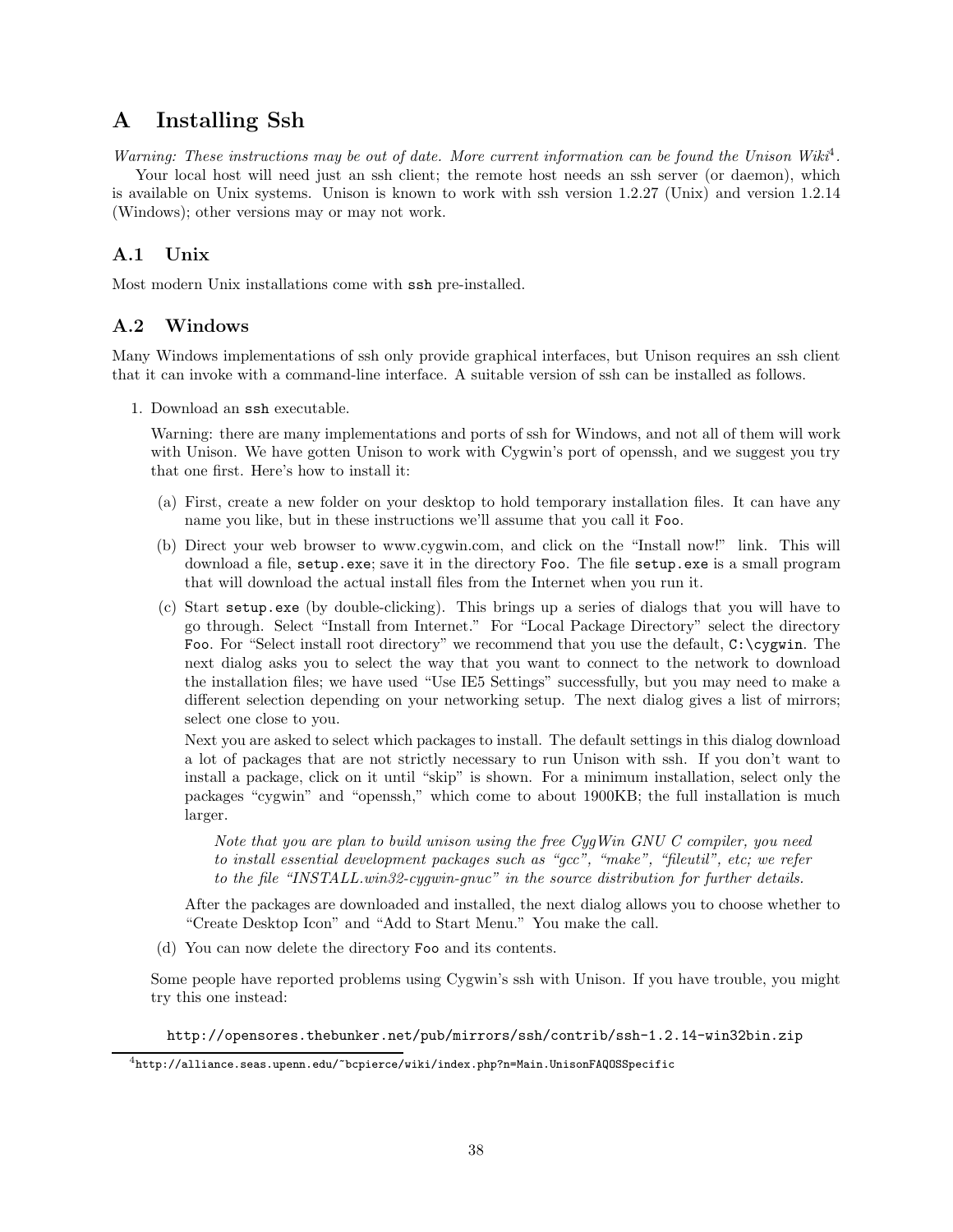# A Installing Ssh

Warning: These instructions may be out of date. More current information can be found the Unison Wiki<sup>4</sup>. Your local host will need just an ssh client; the remote host needs an ssh server (or daemon), which is available on Unix systems. Unison is known to work with ssh version 1.2.27 (Unix) and version 1.2.14 (Windows); other versions may or may not work.

# A.1 Unix

Most modern Unix installations come with ssh pre-installed.

## A.2 Windows

Many Windows implementations of ssh only provide graphical interfaces, but Unison requires an ssh client that it can invoke with a command-line interface. A suitable version of ssh can be installed as follows.

1. Download an ssh executable.

Warning: there are many implementations and ports of ssh for Windows, and not all of them will work with Unison. We have gotten Unison to work with Cygwin's port of openssh, and we suggest you try that one first. Here's how to install it:

- (a) First, create a new folder on your desktop to hold temporary installation files. It can have any name you like, but in these instructions we'll assume that you call it Foo.
- (b) Direct your web browser to www.cygwin.com, and click on the "Install now!" link. This will download a file, setup.exe; save it in the directory Foo. The file setup.exe is a small program that will download the actual install files from the Internet when you run it.
- (c) Start setup.exe (by double-clicking). This brings up a series of dialogs that you will have to go through. Select "Install from Internet." For "Local Package Directory" select the directory Foo. For "Select install root directory" we recommend that you use the default,  $C:\c{c}ygwin$ . The next dialog asks you to select the way that you want to connect to the network to download the installation files; we have used "Use IE5 Settings" successfully, but you may need to make a different selection depending on your networking setup. The next dialog gives a list of mirrors; select one close to you.

Next you are asked to select which packages to install. The default settings in this dialog download a lot of packages that are not strictly necessary to run Unison with ssh. If you don't want to install a package, click on it until "skip" is shown. For a minimum installation, select only the packages "cygwin" and "openssh," which come to about 1900KB; the full installation is much larger.

Note that you are plan to build unison using the free CygWin GNU C compiler, you need to install essential development packages such as "gcc", "make", "fileutil", etc; we refer to the file "INSTALL.win32-cygwin-gnuc" in the source distribution for further details.

After the packages are downloaded and installed, the next dialog allows you to choose whether to "Create Desktop Icon" and "Add to Start Menu." You make the call.

(d) You can now delete the directory Foo and its contents.

Some people have reported problems using Cygwin's ssh with Unison. If you have trouble, you might try this one instead:

http://opensores.thebunker.net/pub/mirrors/ssh/contrib/ssh-1.2.14-win32bin.zip

 $^4$ http://alliance.seas.upenn.edu/~bcpierce/wiki/index.php?n=Main.UnisonFAQOSSpecific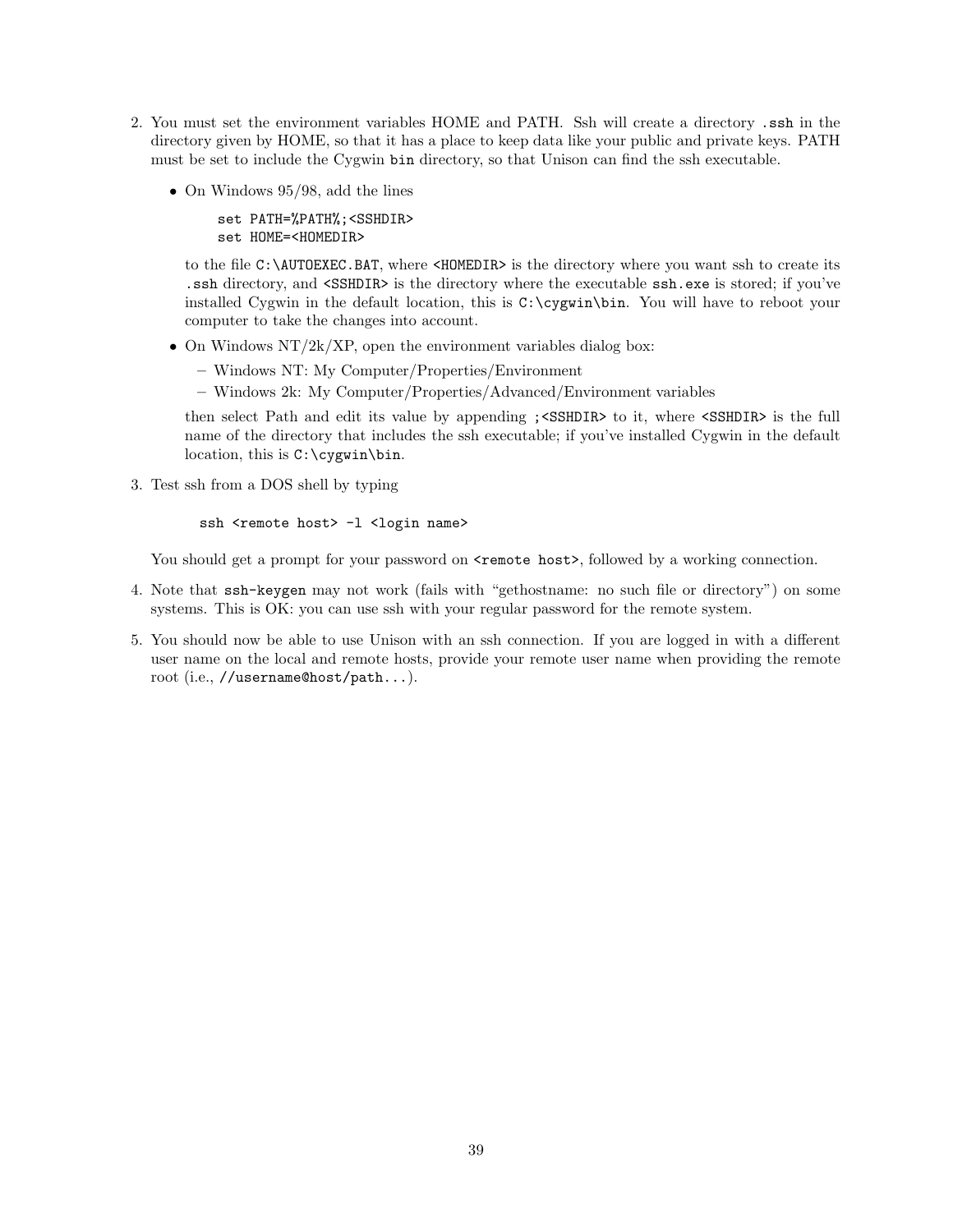- 2. You must set the environment variables HOME and PATH. Ssh will create a directory .ssh in the directory given by HOME, so that it has a place to keep data like your public and private keys. PATH must be set to include the Cygwin bin directory, so that Unison can find the ssh executable.
	- On Windows 95/98, add the lines

set PATH=%PATH%;<SSHDIR> set HOME=<HOMEDIR>

to the file C:\AUTOEXEC.BAT, where <HOMEDIR> is the directory where you want ssh to create its .ssh directory, and <SSHDIR> is the directory where the executable ssh.exe is stored; if you've installed Cygwin in the default location, this is  $C:\c{cygwin\binom{bin}{\text{row}}}\$ . You will have to reboot your computer to take the changes into account.

- $\bullet~$  On Windows NT/2k/XP, open the environment variables dialog box:
	- Windows NT: My Computer/Properties/Environment
	- Windows 2k: My Computer/Properties/Advanced/Environment variables

then select Path and edit its value by appending ;<SSHDIR> to it, where <SSHDIR> is the full name of the directory that includes the ssh executable; if you've installed Cygwin in the default location, this is C:\cygwin\bin.

3. Test ssh from a DOS shell by typing

```
ssh <remote host> -1 <login name>
```
You should get a prompt for your password on  $\epsilon$  remote host>, followed by a working connection.

- 4. Note that ssh-keygen may not work (fails with "gethostname: no such file or directory") on some systems. This is OK: you can use ssh with your regular password for the remote system.
- 5. You should now be able to use Unison with an ssh connection. If you are logged in with a different user name on the local and remote hosts, provide your remote user name when providing the remote root (i.e., //username@host/path...).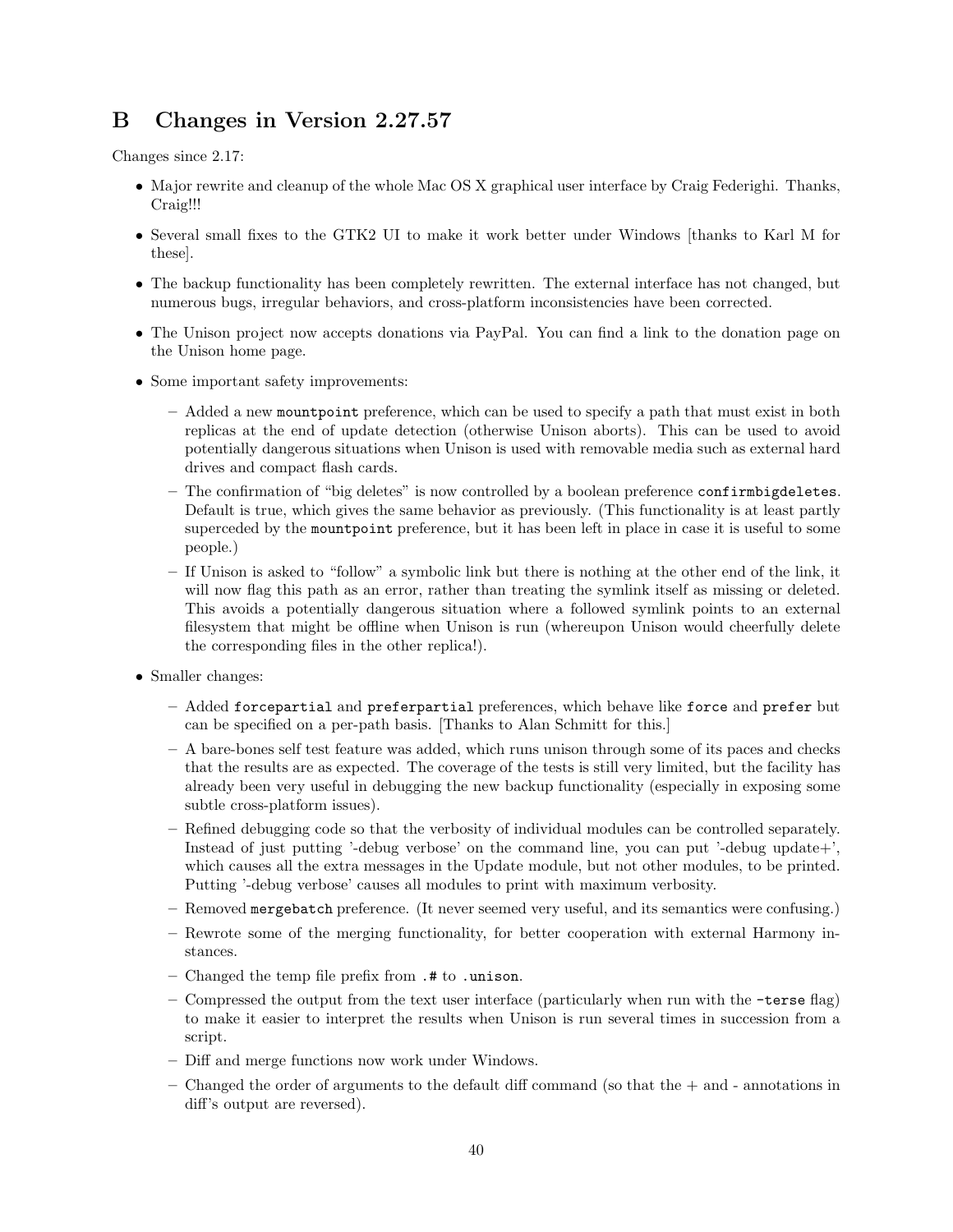# B Changes in Version 2.27.57

Changes since 2.17:

- Major rewrite and cleanup of the whole Mac OS X graphical user interface by Craig Federighi. Thanks, Craig!!!
- Several small fixes to the GTK2 UI to make it work better under Windows [thanks to Karl M for these].
- The backup functionality has been completely rewritten. The external interface has not changed, but numerous bugs, irregular behaviors, and cross-platform inconsistencies have been corrected.
- The Unison project now accepts donations via PayPal. You can find a link to the donation page on the Unison home page.
- Some important safety improvements:
	- Added a new mountpoint preference, which can be used to specify a path that must exist in both replicas at the end of update detection (otherwise Unison aborts). This can be used to avoid potentially dangerous situations when Unison is used with removable media such as external hard drives and compact flash cards.
	- The confirmation of "big deletes" is now controlled by a boolean preference confirmbigdeletes. Default is true, which gives the same behavior as previously. (This functionality is at least partly superceded by the mountpoint preference, but it has been left in place in case it is useful to some people.)
	- If Unison is asked to "follow" a symbolic link but there is nothing at the other end of the link, it will now flag this path as an error, rather than treating the symlink itself as missing or deleted. This avoids a potentially dangerous situation where a followed symlink points to an external filesystem that might be offline when Unison is run (whereupon Unison would cheerfully delete the corresponding files in the other replica!).
- Smaller changes:
	- Added forcepartial and preferpartial preferences, which behave like force and prefer but can be specified on a per-path basis. [Thanks to Alan Schmitt for this.]
	- A bare-bones self test feature was added, which runs unison through some of its paces and checks that the results are as expected. The coverage of the tests is still very limited, but the facility has already been very useful in debugging the new backup functionality (especially in exposing some subtle cross-platform issues).
	- Refined debugging code so that the verbosity of individual modules can be controlled separately. Instead of just putting '-debug verbose' on the command line, you can put '-debug update+', which causes all the extra messages in the Update module, but not other modules, to be printed. Putting '-debug verbose' causes all modules to print with maximum verbosity.
	- Removed mergebatch preference. (It never seemed very useful, and its semantics were confusing.)
	- Rewrote some of the merging functionality, for better cooperation with external Harmony instances.
	- Changed the temp file prefix from .# to .unison.
	- Compressed the output from the text user interface (particularly when run with the -terse flag) to make it easier to interpret the results when Unison is run several times in succession from a script.
	- Diff and merge functions now work under Windows.
	- $-$  Changed the order of arguments to the default diff command (so that the  $+$  and annotations in diff's output are reversed).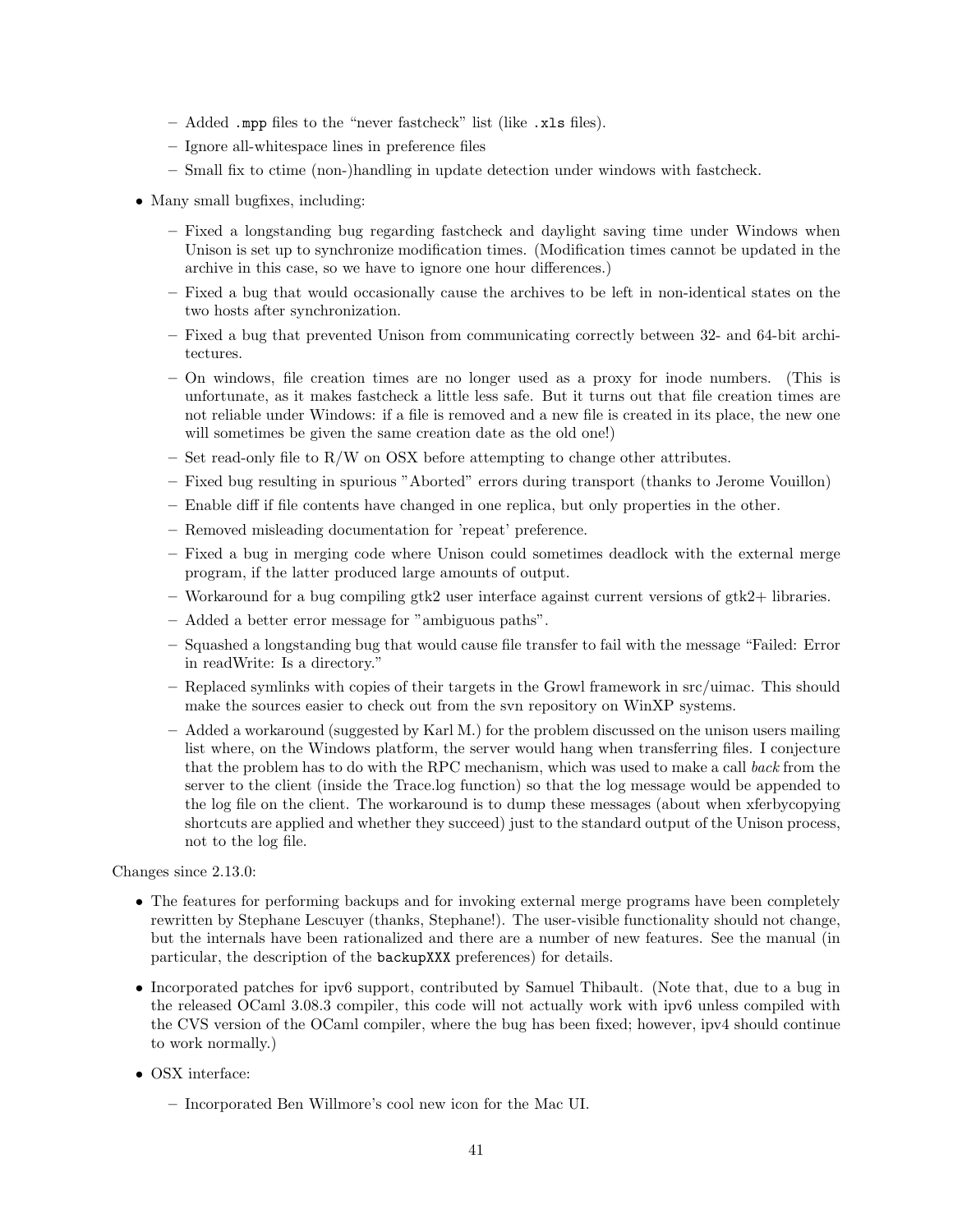- Added .mpp files to the "never fastcheck" list (like .xls files).
- Ignore all-whitespace lines in preference files
- Small fix to ctime (non-)handling in update detection under windows with fastcheck.
- Many small bugfixes, including:
	- Fixed a longstanding bug regarding fastcheck and daylight saving time under Windows when Unison is set up to synchronize modification times. (Modification times cannot be updated in the archive in this case, so we have to ignore one hour differences.)
	- Fixed a bug that would occasionally cause the archives to be left in non-identical states on the two hosts after synchronization.
	- Fixed a bug that prevented Unison from communicating correctly between 32- and 64-bit architectures.
	- On windows, file creation times are no longer used as a proxy for inode numbers. (This is unfortunate, as it makes fastcheck a little less safe. But it turns out that file creation times are not reliable under Windows: if a file is removed and a new file is created in its place, the new one will sometimes be given the same creation date as the old one!)
	- Set read-only file to R/W on OSX before attempting to change other attributes.
	- Fixed bug resulting in spurious "Aborted" errors during transport (thanks to Jerome Vouillon)
	- Enable diff if file contents have changed in one replica, but only properties in the other.
	- Removed misleading documentation for 'repeat' preference.
	- Fixed a bug in merging code where Unison could sometimes deadlock with the external merge program, if the latter produced large amounts of output.
	- Workaround for a bug compiling gtk2 user interface against current versions of gtk2+ libraries.
	- Added a better error message for "ambiguous paths".
	- Squashed a longstanding bug that would cause file transfer to fail with the message "Failed: Error in readWrite: Is a directory."
	- Replaced symlinks with copies of their targets in the Growl framework in src/uimac. This should make the sources easier to check out from the svn repository on WinXP systems.
	- Added a workaround (suggested by Karl M.) for the problem discussed on the unison users mailing list where, on the Windows platform, the server would hang when transferring files. I conjecture that the problem has to do with the RPC mechanism, which was used to make a call back from the server to the client (inside the Trace.log function) so that the log message would be appended to the log file on the client. The workaround is to dump these messages (about when xferbycopying shortcuts are applied and whether they succeed) just to the standard output of the Unison process, not to the log file.

Changes since 2.13.0:

- The features for performing backups and for invoking external merge programs have been completely rewritten by Stephane Lescuyer (thanks, Stephane!). The user-visible functionality should not change, but the internals have been rationalized and there are a number of new features. See the manual (in particular, the description of the backupXXX preferences) for details.
- Incorporated patches for ipv6 support, contributed by Samuel Thibault. (Note that, due to a bug in the released OCaml 3.08.3 compiler, this code will not actually work with ipv6 unless compiled with the CVS version of the OCaml compiler, where the bug has been fixed; however, ipv4 should continue to work normally.)
- OSX interface:
	- Incorporated Ben Willmore's cool new icon for the Mac UI.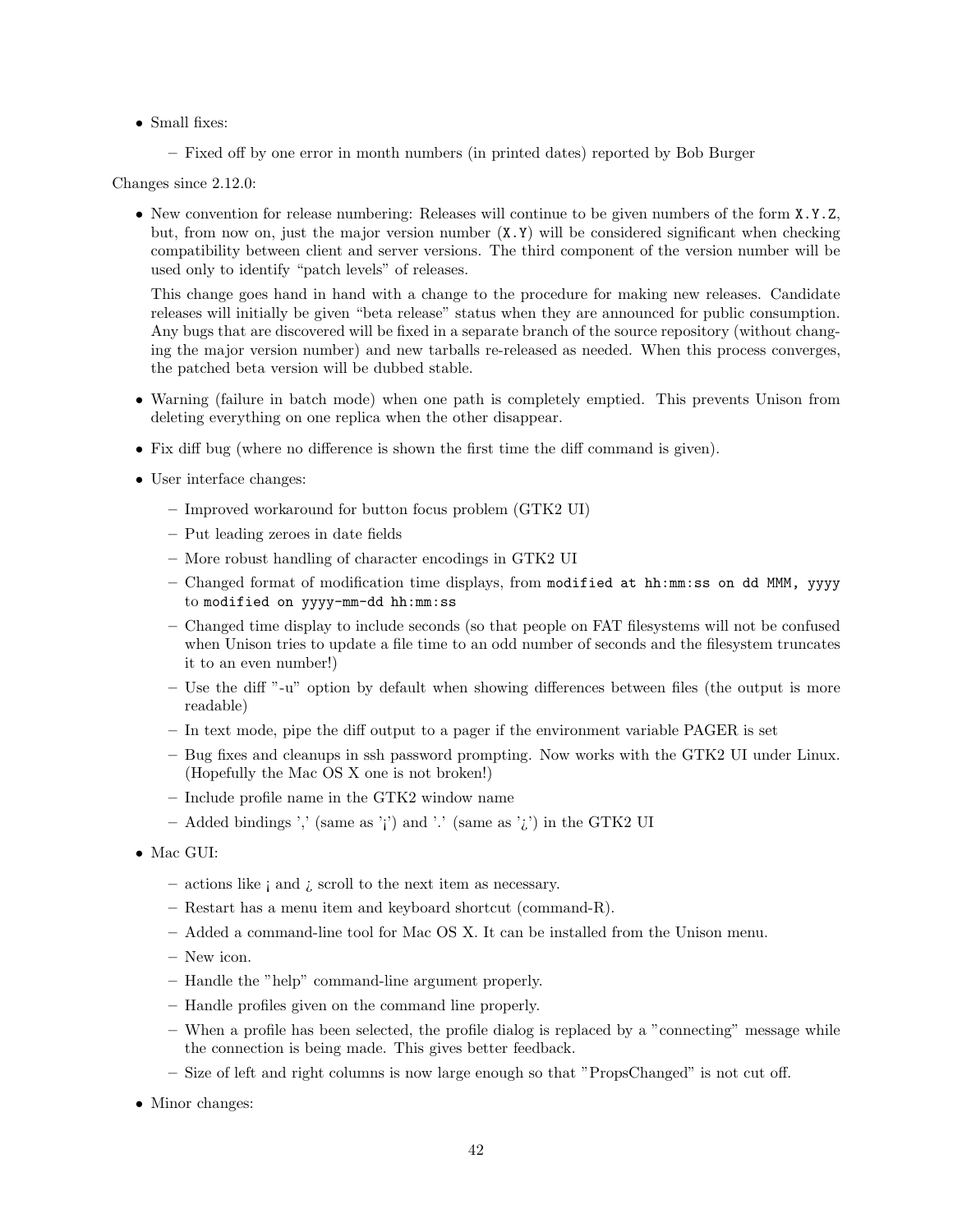• Small fixes:

– Fixed off by one error in month numbers (in printed dates) reported by Bob Burger

Changes since 2.12.0:

• New convention for release numbering: Releases will continue to be given numbers of the form X.Y.Z, but, from now on, just the major version number  $(X, Y)$  will be considered significant when checking compatibility between client and server versions. The third component of the version number will be used only to identify "patch levels" of releases.

This change goes hand in hand with a change to the procedure for making new releases. Candidate releases will initially be given "beta release" status when they are announced for public consumption. Any bugs that are discovered will be fixed in a separate branch of the source repository (without changing the major version number) and new tarballs re-released as needed. When this process converges, the patched beta version will be dubbed stable.

- Warning (failure in batch mode) when one path is completely emptied. This prevents Unison from deleting everything on one replica when the other disappear.
- Fix diff bug (where no difference is shown the first time the diff command is given).
- User interface changes:
	- Improved workaround for button focus problem (GTK2 UI)
	- Put leading zeroes in date fields
	- More robust handling of character encodings in GTK2 UI
	- Changed format of modification time displays, from modified at hh:mm:ss on dd MMM, yyyy to modified on yyyy-mm-dd hh:mm:ss
	- Changed time display to include seconds (so that people on FAT filesystems will not be confused when Unison tries to update a file time to an odd number of seconds and the filesystem truncates it to an even number!)
	- Use the diff "-u" option by default when showing differences between files (the output is more readable)
	- In text mode, pipe the diff output to a pager if the environment variable PAGER is set
	- Bug fixes and cleanups in ssh password prompting. Now works with the GTK2 UI under Linux. (Hopefully the Mac OS X one is not broken!)
	- Include profile name in the GTK2 window name
	- Added bindings ',' (same as '¡') and '.' (same as '¿') in the GTK2 UI
- Mac GUI:
	- actions like ¡ and ¿ scroll to the next item as necessary.
	- Restart has a menu item and keyboard shortcut (command-R).
	- Added a command-line tool for Mac OS X. It can be installed from the Unison menu.
	- New icon.
	- Handle the "help" command-line argument properly.
	- Handle profiles given on the command line properly.
	- When a profile has been selected, the profile dialog is replaced by a "connecting" message while the connection is being made. This gives better feedback.
	- Size of left and right columns is now large enough so that "PropsChanged" is not cut off.
- Minor changes: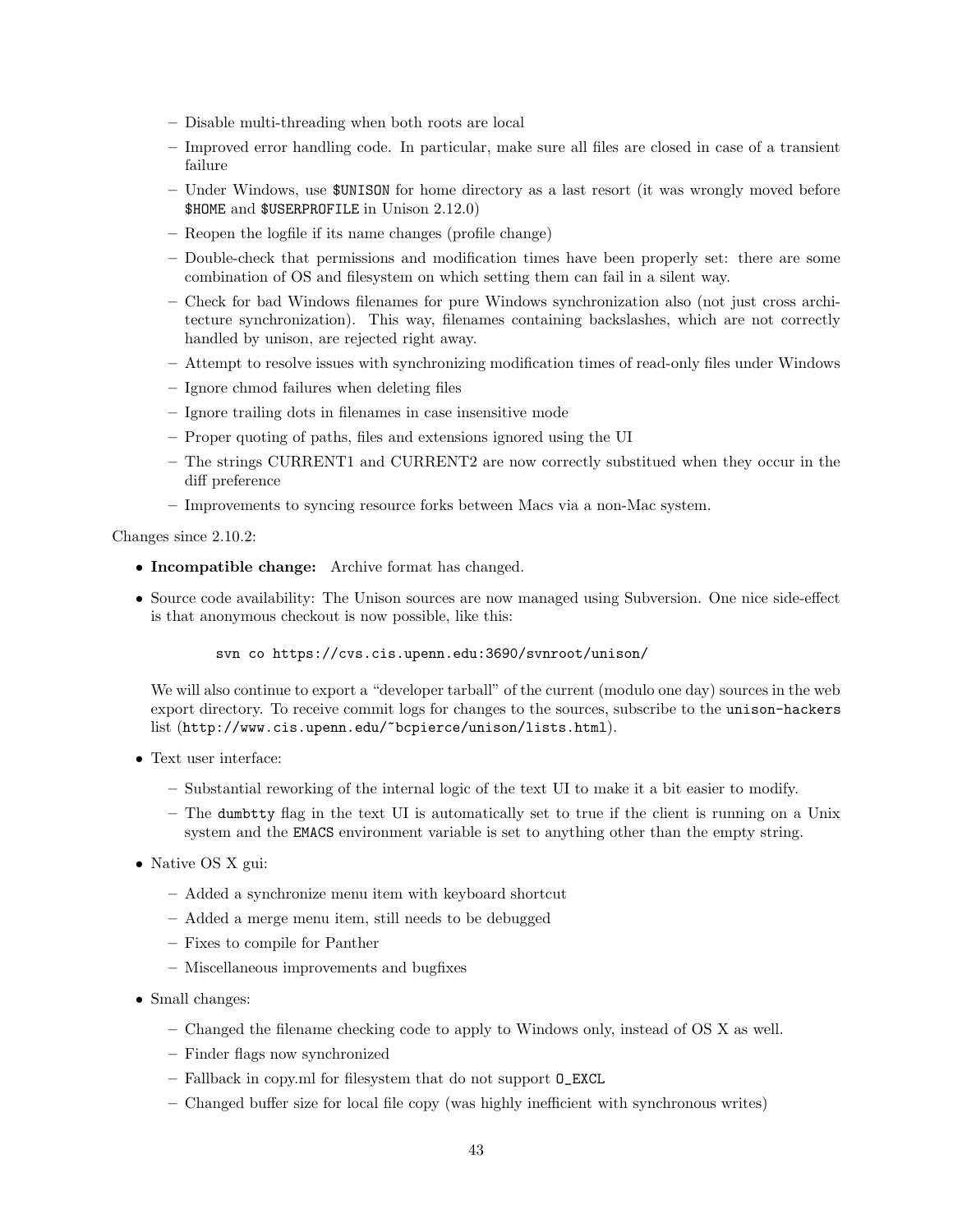- Disable multi-threading when both roots are local
- Improved error handling code. In particular, make sure all files are closed in case of a transient failure
- Under Windows, use \$UNISON for home directory as a last resort (it was wrongly moved before \$HOME and \$USERPROFILE in Unison 2.12.0)
- Reopen the logfile if its name changes (profile change)
- Double-check that permissions and modification times have been properly set: there are some combination of OS and filesystem on which setting them can fail in a silent way.
- Check for bad Windows filenames for pure Windows synchronization also (not just cross architecture synchronization). This way, filenames containing backslashes, which are not correctly handled by unison, are rejected right away.
- Attempt to resolve issues with synchronizing modification times of read-only files under Windows
- Ignore chmod failures when deleting files
- Ignore trailing dots in filenames in case insensitive mode
- Proper quoting of paths, files and extensions ignored using the UI
- The strings CURRENT1 and CURRENT2 are now correctly substitued when they occur in the diff preference
- Improvements to syncing resource forks between Macs via a non-Mac system.

Changes since 2.10.2:

- Incompatible change: Archive format has changed.
- Source code availability: The Unison sources are now managed using Subversion. One nice side-effect is that anonymous checkout is now possible, like this:

svn co https://cvs.cis.upenn.edu:3690/svnroot/unison/

We will also continue to export a "developer tarball" of the current (modulo one day) sources in the web export directory. To receive commit logs for changes to the sources, subscribe to the unison-hackers list (http://www.cis.upenn.edu/~bcpierce/unison/lists.html).

- Text user interface:
	- Substantial reworking of the internal logic of the text UI to make it a bit easier to modify.
	- The dumbtty flag in the text UI is automatically set to true if the client is running on a Unix system and the EMACS environment variable is set to anything other than the empty string.
- Native OS X gui:
	- Added a synchronize menu item with keyboard shortcut
	- Added a merge menu item, still needs to be debugged
	- Fixes to compile for Panther
	- Miscellaneous improvements and bugfixes
- Small changes:
	- Changed the filename checking code to apply to Windows only, instead of OS X as well.
	- Finder flags now synchronized
	- Fallback in copy.ml for filesystem that do not support O\_EXCL
	- Changed buffer size for local file copy (was highly inefficient with synchronous writes)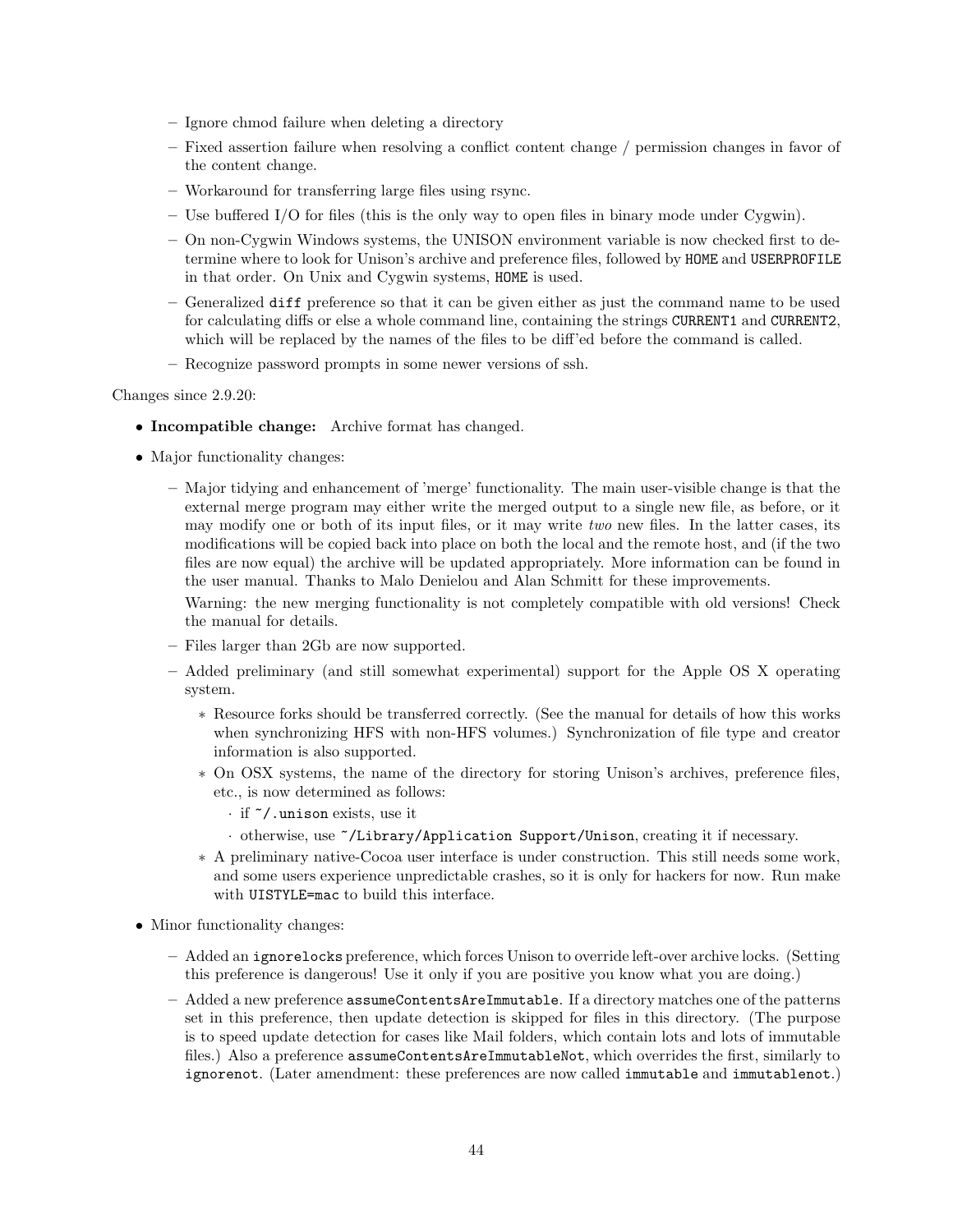- Ignore chmod failure when deleting a directory
- Fixed assertion failure when resolving a conflict content change / permission changes in favor of the content change.
- Workaround for transferring large files using rsync.
- Use buffered I/O for files (this is the only way to open files in binary mode under Cygwin).
- On non-Cygwin Windows systems, the UNISON environment variable is now checked first to determine where to look for Unison's archive and preference files, followed by HOME and USERPROFILE in that order. On Unix and Cygwin systems, HOME is used.
- Generalized diff preference so that it can be given either as just the command name to be used for calculating diffs or else a whole command line, containing the strings CURRENT1 and CURRENT2, which will be replaced by the names of the files to be diff'ed before the command is called.
- Recognize password prompts in some newer versions of ssh.

Changes since 2.9.20:

- Incompatible change: Archive format has changed.
- Major functionality changes:
	- Major tidying and enhancement of 'merge' functionality. The main user-visible change is that the external merge program may either write the merged output to a single new file, as before, or it may modify one or both of its input files, or it may write two new files. In the latter cases, its modifications will be copied back into place on both the local and the remote host, and (if the two files are now equal) the archive will be updated appropriately. More information can be found in the user manual. Thanks to Malo Denielou and Alan Schmitt for these improvements.

Warning: the new merging functionality is not completely compatible with old versions! Check the manual for details.

- Files larger than 2Gb are now supported.
- Added preliminary (and still somewhat experimental) support for the Apple OS X operating system.
	- ∗ Resource forks should be transferred correctly. (See the manual for details of how this works when synchronizing HFS with non-HFS volumes.) Synchronization of file type and creator information is also supported.
	- ∗ On OSX systems, the name of the directory for storing Unison's archives, preference files, etc., is now determined as follows:
		- · if ~/.unison exists, use it
		- · otherwise, use ~/Library/Application Support/Unison, creating it if necessary.
	- ∗ A preliminary native-Cocoa user interface is under construction. This still needs some work, and some users experience unpredictable crashes, so it is only for hackers for now. Run make with UISTYLE=mac to build this interface.
- Minor functionality changes:
	- Added an ignorelocks preference, which forces Unison to override left-over archive locks. (Setting this preference is dangerous! Use it only if you are positive you know what you are doing.)
	- Added a new preference assumeContentsAreImmutable. If a directory matches one of the patterns set in this preference, then update detection is skipped for files in this directory. (The purpose is to speed update detection for cases like Mail folders, which contain lots and lots of immutable files.) Also a preference assumeContentsAreImmutableNot, which overrides the first, similarly to ignorenot. (Later amendment: these preferences are now called immutable and immutablenot.)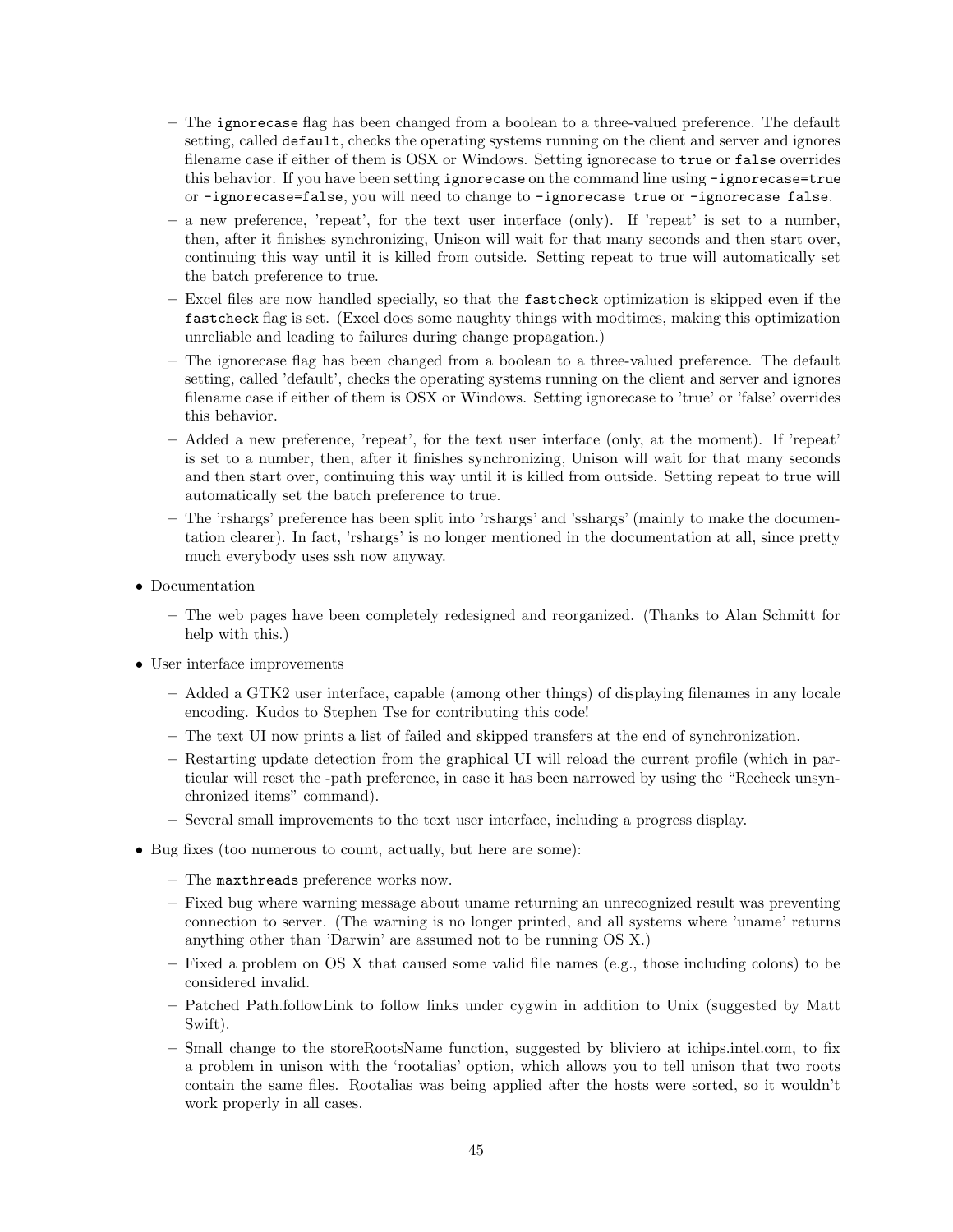- The ignorecase flag has been changed from a boolean to a three-valued preference. The default setting, called default, checks the operating systems running on the client and server and ignores filename case if either of them is OSX or Windows. Setting ignorecase to true or false overrides this behavior. If you have been setting ignorecase on the command line using -ignorecase=true or -ignorecase=false, you will need to change to -ignorecase true or -ignorecase false.
- a new preference, 'repeat', for the text user interface (only). If 'repeat' is set to a number, then, after it finishes synchronizing, Unison will wait for that many seconds and then start over, continuing this way until it is killed from outside. Setting repeat to true will automatically set the batch preference to true.
- Excel files are now handled specially, so that the fastcheck optimization is skipped even if the fastcheck flag is set. (Excel does some naughty things with modtimes, making this optimization unreliable and leading to failures during change propagation.)
- The ignorecase flag has been changed from a boolean to a three-valued preference. The default setting, called 'default', checks the operating systems running on the client and server and ignores filename case if either of them is OSX or Windows. Setting ignorecase to 'true' or 'false' overrides this behavior.
- Added a new preference, 'repeat', for the text user interface (only, at the moment). If 'repeat' is set to a number, then, after it finishes synchronizing, Unison will wait for that many seconds and then start over, continuing this way until it is killed from outside. Setting repeat to true will automatically set the batch preference to true.
- The 'rshargs' preference has been split into 'rshargs' and 'sshargs' (mainly to make the documentation clearer). In fact, 'rshargs' is no longer mentioned in the documentation at all, since pretty much everybody uses ssh now anyway.
- Documentation
	- The web pages have been completely redesigned and reorganized. (Thanks to Alan Schmitt for help with this.)
- User interface improvements
	- Added a GTK2 user interface, capable (among other things) of displaying filenames in any locale encoding. Kudos to Stephen Tse for contributing this code!
	- The text UI now prints a list of failed and skipped transfers at the end of synchronization.
	- Restarting update detection from the graphical UI will reload the current profile (which in particular will reset the -path preference, in case it has been narrowed by using the "Recheck unsynchronized items" command).
	- Several small improvements to the text user interface, including a progress display.
- Bug fixes (too numerous to count, actually, but here are some):
	- The maxthreads preference works now.
	- Fixed bug where warning message about uname returning an unrecognized result was preventing connection to server. (The warning is no longer printed, and all systems where 'uname' returns anything other than 'Darwin' are assumed not to be running OS X.)
	- Fixed a problem on OS X that caused some valid file names (e.g., those including colons) to be considered invalid.
	- Patched Path.followLink to follow links under cygwin in addition to Unix (suggested by Matt Swift).
	- Small change to the storeRootsName function, suggested by bliviero at ichips.intel.com, to fix a problem in unison with the 'rootalias' option, which allows you to tell unison that two roots contain the same files. Rootalias was being applied after the hosts were sorted, so it wouldn't work properly in all cases.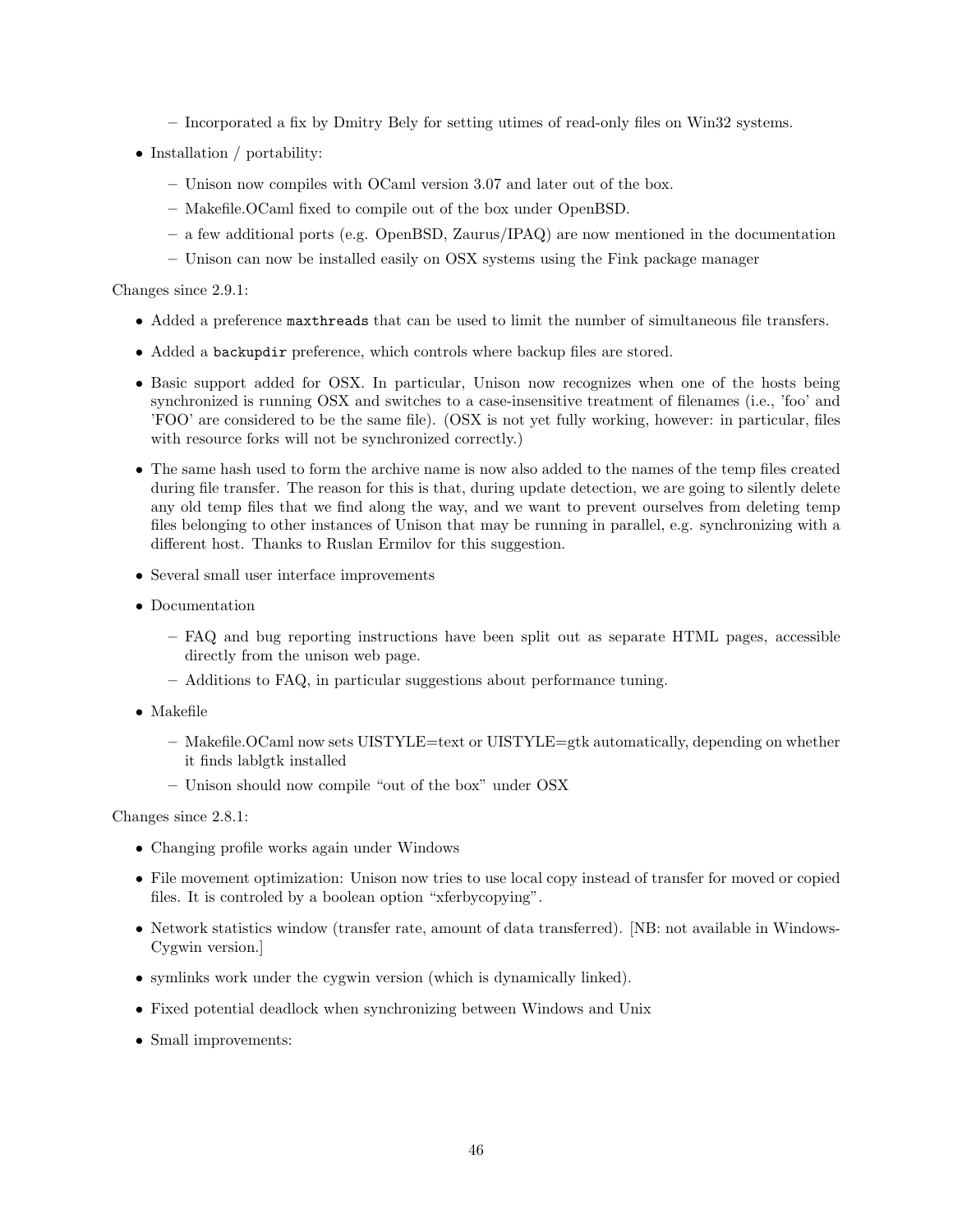- Incorporated a fix by Dmitry Bely for setting utimes of read-only files on Win32 systems.
- Installation / portability:
	- Unison now compiles with OCaml version 3.07 and later out of the box.
	- Makefile.OCaml fixed to compile out of the box under OpenBSD.
	- a few additional ports (e.g. OpenBSD, Zaurus/IPAQ) are now mentioned in the documentation
	- Unison can now be installed easily on OSX systems using the Fink package manager

Changes since 2.9.1:

- Added a preference maxthreads that can be used to limit the number of simultaneous file transfers.
- Added a backupdir preference, which controls where backup files are stored.
- Basic support added for OSX. In particular, Unison now recognizes when one of the hosts being synchronized is running OSX and switches to a case-insensitive treatment of filenames (i.e., 'foo' and 'FOO' are considered to be the same file). (OSX is not yet fully working, however: in particular, files with resource forks will not be synchronized correctly.)
- The same hash used to form the archive name is now also added to the names of the temp files created during file transfer. The reason for this is that, during update detection, we are going to silently delete any old temp files that we find along the way, and we want to prevent ourselves from deleting temp files belonging to other instances of Unison that may be running in parallel, e.g. synchronizing with a different host. Thanks to Ruslan Ermilov for this suggestion.
- Several small user interface improvements
- Documentation
	- FAQ and bug reporting instructions have been split out as separate HTML pages, accessible directly from the unison web page.
	- Additions to FAQ, in particular suggestions about performance tuning.
- Makefile
	- Makefile.OCaml now sets UISTYLE=text or UISTYLE=gtk automatically, depending on whether it finds lablgtk installed
	- Unison should now compile "out of the box" under OSX

Changes since 2.8.1:

- Changing profile works again under Windows
- File movement optimization: Unison now tries to use local copy instead of transfer for moved or copied files. It is controled by a boolean option "xferbycopying".
- Network statistics window (transfer rate, amount of data transferred). [NB: not available in Windows-Cygwin version.]
- symlinks work under the cygwin version (which is dynamically linked).
- Fixed potential deadlock when synchronizing between Windows and Unix
- Small improvements: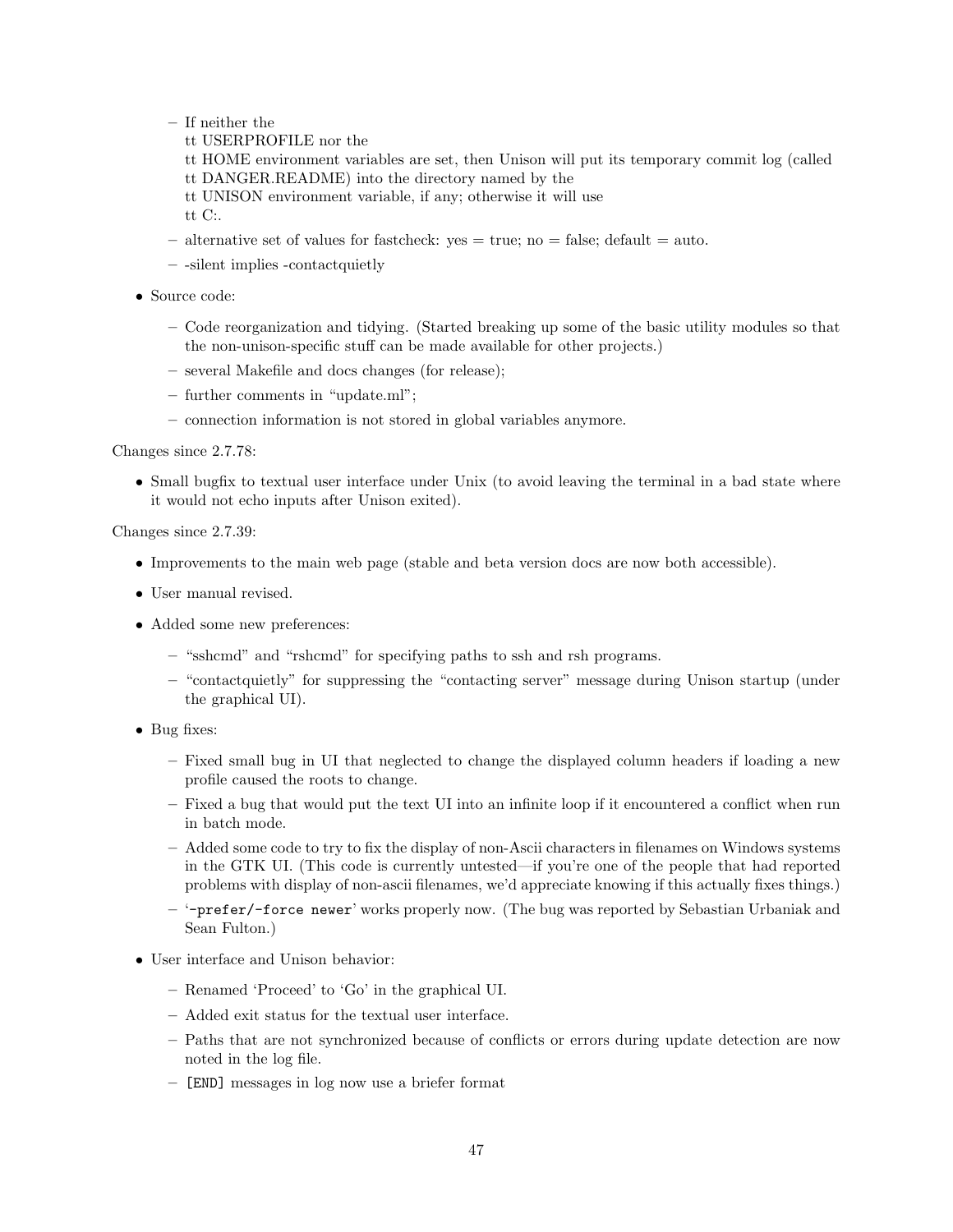- If neither the
	- tt USERPROFILE nor the
	- tt HOME environment variables are set, then Unison will put its temporary commit log (called tt DANGER.README) into the directory named by the
	- tt UNISON environment variable, if any; otherwise it will use
	- tt C:.
- alternative set of values for fastcheck:  $yes = true$ ; no = false; default = auto.
- -silent implies -contactquietly
- Source code:
	- Code reorganization and tidying. (Started breaking up some of the basic utility modules so that the non-unison-specific stuff can be made available for other projects.)
	- several Makefile and docs changes (for release);
	- further comments in "update.ml";
	- connection information is not stored in global variables anymore.

Changes since 2.7.78:

• Small bugfix to textual user interface under Unix (to avoid leaving the terminal in a bad state where it would not echo inputs after Unison exited).

Changes since 2.7.39:

- Improvements to the main web page (stable and beta version docs are now both accessible).
- User manual revised.
- Added some new preferences:
	- "sshcmd" and "rshcmd" for specifying paths to ssh and rsh programs.
	- "contactquietly" for suppressing the "contacting server" message during Unison startup (under the graphical UI).
- Bug fixes:
	- Fixed small bug in UI that neglected to change the displayed column headers if loading a new profile caused the roots to change.
	- Fixed a bug that would put the text UI into an infinite loop if it encountered a conflict when run in batch mode.
	- Added some code to try to fix the display of non-Ascii characters in filenames on Windows systems in the GTK UI. (This code is currently untested—if you're one of the people that had reported problems with display of non-ascii filenames, we'd appreciate knowing if this actually fixes things.)
	- '-prefer/-force newer' works properly now. (The bug was reported by Sebastian Urbaniak and Sean Fulton.)
- User interface and Unison behavior:
	- Renamed 'Proceed' to 'Go' in the graphical UI.
	- Added exit status for the textual user interface.
	- Paths that are not synchronized because of conflicts or errors during update detection are now noted in the log file.
	- [END] messages in log now use a briefer format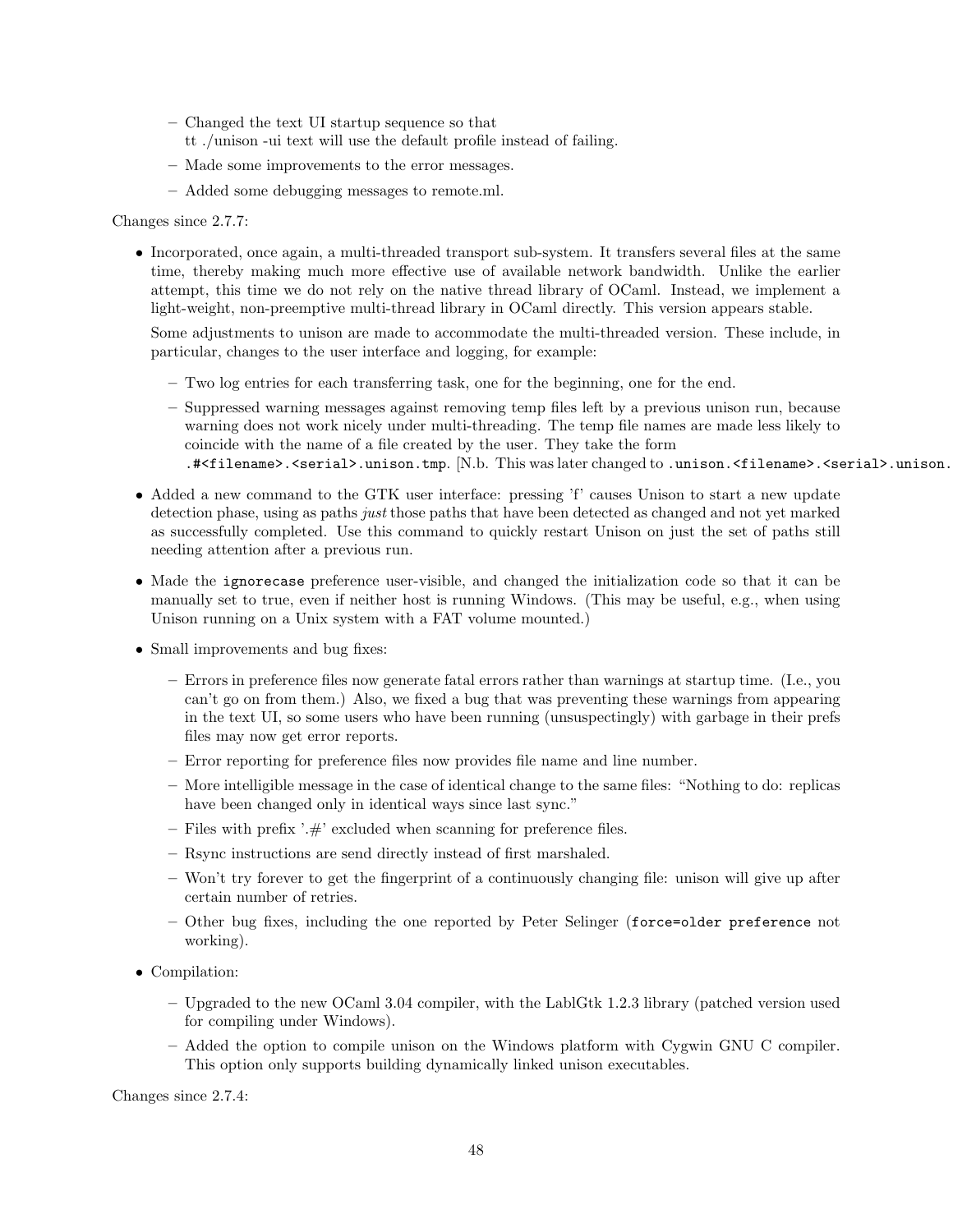- Changed the text UI startup sequence so that
- tt ./unison -ui text will use the default profile instead of failing.
- Made some improvements to the error messages.
- Added some debugging messages to remote.ml.

Changes since 2.7.7:

• Incorporated, once again, a multi-threaded transport sub-system. It transfers several files at the same time, thereby making much more effective use of available network bandwidth. Unlike the earlier attempt, this time we do not rely on the native thread library of OCaml. Instead, we implement a light-weight, non-preemptive multi-thread library in OCaml directly. This version appears stable.

Some adjustments to unison are made to accommodate the multi-threaded version. These include, in particular, changes to the user interface and logging, for example:

- Two log entries for each transferring task, one for the beginning, one for the end.
- Suppressed warning messages against removing temp files left by a previous unison run, because warning does not work nicely under multi-threading. The temp file names are made less likely to coincide with the name of a file created by the user. They take the form .#<filename>.<serial>.unison.tmp. [N.b. This was later changed to .unison.<filename>.<serial>.unison.t
- Added a new command to the GTK user interface: pressing 'f' causes Unison to start a new update detection phase, using as paths just those paths that have been detected as changed and not yet marked as successfully completed. Use this command to quickly restart Unison on just the set of paths still needing attention after a previous run.
- Made the ignorecase preference user-visible, and changed the initialization code so that it can be manually set to true, even if neither host is running Windows. (This may be useful, e.g., when using Unison running on a Unix system with a FAT volume mounted.)
- Small improvements and bug fixes:
	- Errors in preference files now generate fatal errors rather than warnings at startup time. (I.e., you can't go on from them.) Also, we fixed a bug that was preventing these warnings from appearing in the text UI, so some users who have been running (unsuspectingly) with garbage in their prefs files may now get error reports.
	- Error reporting for preference files now provides file name and line number.
	- More intelligible message in the case of identical change to the same files: "Nothing to do: replicas have been changed only in identical ways since last sync."
	- Files with prefix  $'$ :  $\#$ ' excluded when scanning for preference files.
	- Rsync instructions are send directly instead of first marshaled.
	- Won't try forever to get the fingerprint of a continuously changing file: unison will give up after certain number of retries.
	- Other bug fixes, including the one reported by Peter Selinger (force=older preference not working).
- Compilation:
	- Upgraded to the new OCaml 3.04 compiler, with the LablGtk 1.2.3 library (patched version used for compiling under Windows).
	- Added the option to compile unison on the Windows platform with Cygwin GNU C compiler. This option only supports building dynamically linked unison executables.

Changes since 2.7.4: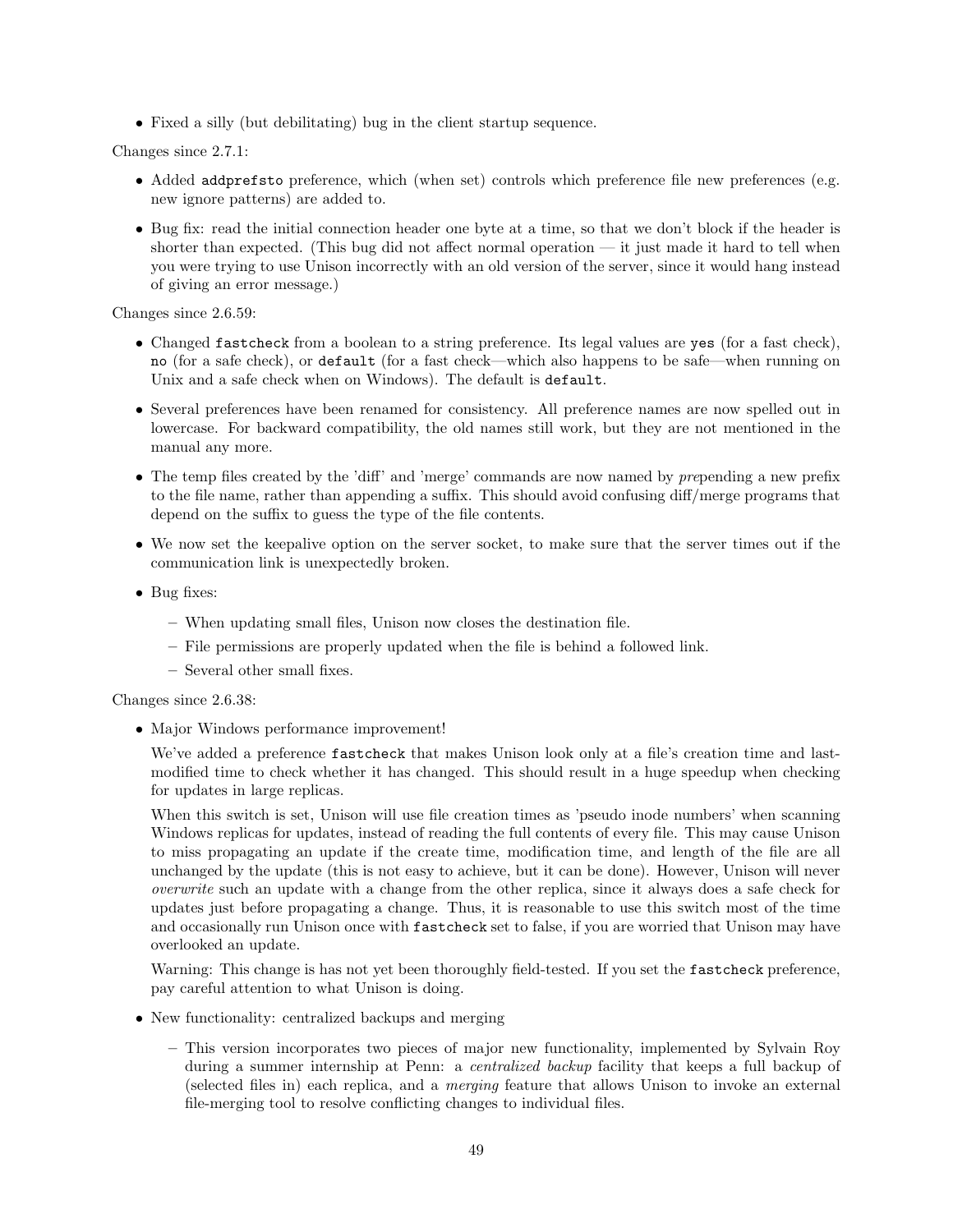• Fixed a silly (but debilitating) bug in the client startup sequence.

Changes since 2.7.1:

- Added addprefsto preference, which (when set) controls which preference file new preferences (e.g. new ignore patterns) are added to.
- Bug fix: read the initial connection header one byte at a time, so that we don't block if the header is shorter than expected. (This bug did not affect normal operation — it just made it hard to tell when you were trying to use Unison incorrectly with an old version of the server, since it would hang instead of giving an error message.)

Changes since 2.6.59:

- Changed fastcheck from a boolean to a string preference. Its legal values are yes (for a fast check), no (for a safe check), or default (for a fast check—which also happens to be safe—when running on Unix and a safe check when on Windows). The default is default.
- Several preferences have been renamed for consistency. All preference names are now spelled out in lowercase. For backward compatibility, the old names still work, but they are not mentioned in the manual any more.
- The temp files created by the 'diff' and 'merge' commands are now named by prepending a new prefix to the file name, rather than appending a suffix. This should avoid confusing diff/merge programs that depend on the suffix to guess the type of the file contents.
- We now set the keepalive option on the server socket, to make sure that the server times out if the communication link is unexpectedly broken.
- Bug fixes:
	- When updating small files, Unison now closes the destination file.
	- File permissions are properly updated when the file is behind a followed link.
	- Several other small fixes.

Changes since 2.6.38:

• Major Windows performance improvement!

We've added a preference fastcheck that makes Unison look only at a file's creation time and lastmodified time to check whether it has changed. This should result in a huge speedup when checking for updates in large replicas.

When this switch is set, Unison will use file creation times as 'pseudo inode numbers' when scanning Windows replicas for updates, instead of reading the full contents of every file. This may cause Unison to miss propagating an update if the create time, modification time, and length of the file are all unchanged by the update (this is not easy to achieve, but it can be done). However, Unison will never overwrite such an update with a change from the other replica, since it always does a safe check for updates just before propagating a change. Thus, it is reasonable to use this switch most of the time and occasionally run Unison once with fastcheck set to false, if you are worried that Unison may have overlooked an update.

Warning: This change is has not yet been thoroughly field-tested. If you set the fastcheck preference, pay careful attention to what Unison is doing.

- New functionality: centralized backups and merging
	- This version incorporates two pieces of major new functionality, implemented by Sylvain Roy during a summer internship at Penn: a *centralized backup* facility that keeps a full backup of (selected files in) each replica, and a merging feature that allows Unison to invoke an external file-merging tool to resolve conflicting changes to individual files.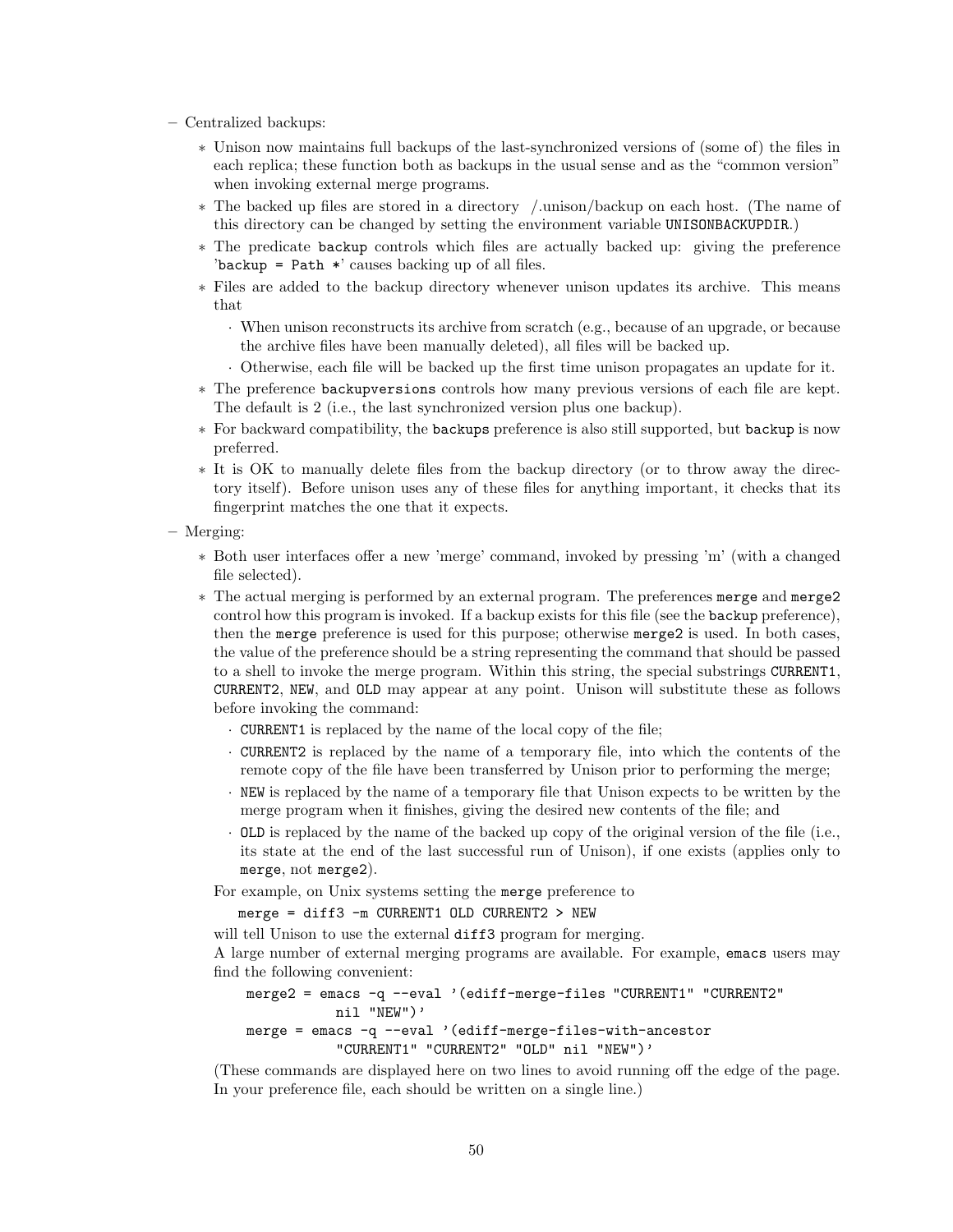- Centralized backups:
	- ∗ Unison now maintains full backups of the last-synchronized versions of (some of) the files in each replica; these function both as backups in the usual sense and as the "common version" when invoking external merge programs.
	- ∗ The backed up files are stored in a directory /.unison/backup on each host. (The name of this directory can be changed by setting the environment variable UNISONBACKUPDIR.)
	- ∗ The predicate backup controls which files are actually backed up: giving the preference 'backup = Path \*' causes backing up of all files.
	- ∗ Files are added to the backup directory whenever unison updates its archive. This means that
		- · When unison reconstructs its archive from scratch (e.g., because of an upgrade, or because the archive files have been manually deleted), all files will be backed up.
		- · Otherwise, each file will be backed up the first time unison propagates an update for it.
	- ∗ The preference backupversions controls how many previous versions of each file are kept. The default is 2 (i.e., the last synchronized version plus one backup).
	- ∗ For backward compatibility, the backups preference is also still supported, but backup is now preferred.
	- ∗ It is OK to manually delete files from the backup directory (or to throw away the directory itself). Before unison uses any of these files for anything important, it checks that its fingerprint matches the one that it expects.
- Merging:
	- ∗ Both user interfaces offer a new 'merge' command, invoked by pressing 'm' (with a changed file selected).
	- ∗ The actual merging is performed by an external program. The preferences merge and merge2 control how this program is invoked. If a backup exists for this file (see the backup preference), then the merge preference is used for this purpose; otherwise merge2 is used. In both cases, the value of the preference should be a string representing the command that should be passed to a shell to invoke the merge program. Within this string, the special substrings CURRENT1, CURRENT2, NEW, and OLD may appear at any point. Unison will substitute these as follows before invoking the command:
		- · CURRENT1 is replaced by the name of the local copy of the file;
		- · CURRENT2 is replaced by the name of a temporary file, into which the contents of the remote copy of the file have been transferred by Unison prior to performing the merge;
		- · NEW is replaced by the name of a temporary file that Unison expects to be written by the merge program when it finishes, giving the desired new contents of the file; and
		- · OLD is replaced by the name of the backed up copy of the original version of the file (i.e., its state at the end of the last successful run of Unison), if one exists (applies only to merge, not merge2).

For example, on Unix systems setting the merge preference to

merge = diff3 -m CURRENT1 OLD CURRENT2 > NEW

will tell Unison to use the external diff3 program for merging.

A large number of external merging programs are available. For example, emacs users may find the following convenient:

```
merge2 = emacs -q --eval '(ediff-merge-files "CURRENT1" "CURRENT2"
           nil "NEW")'
merge = emacs -q --eval '(ediff-merge-files-with-ancestor
           "CURRENT1" "CURRENT2" "OLD" nil "NEW")'
```
(These commands are displayed here on two lines to avoid running off the edge of the page. In your preference file, each should be written on a single line.)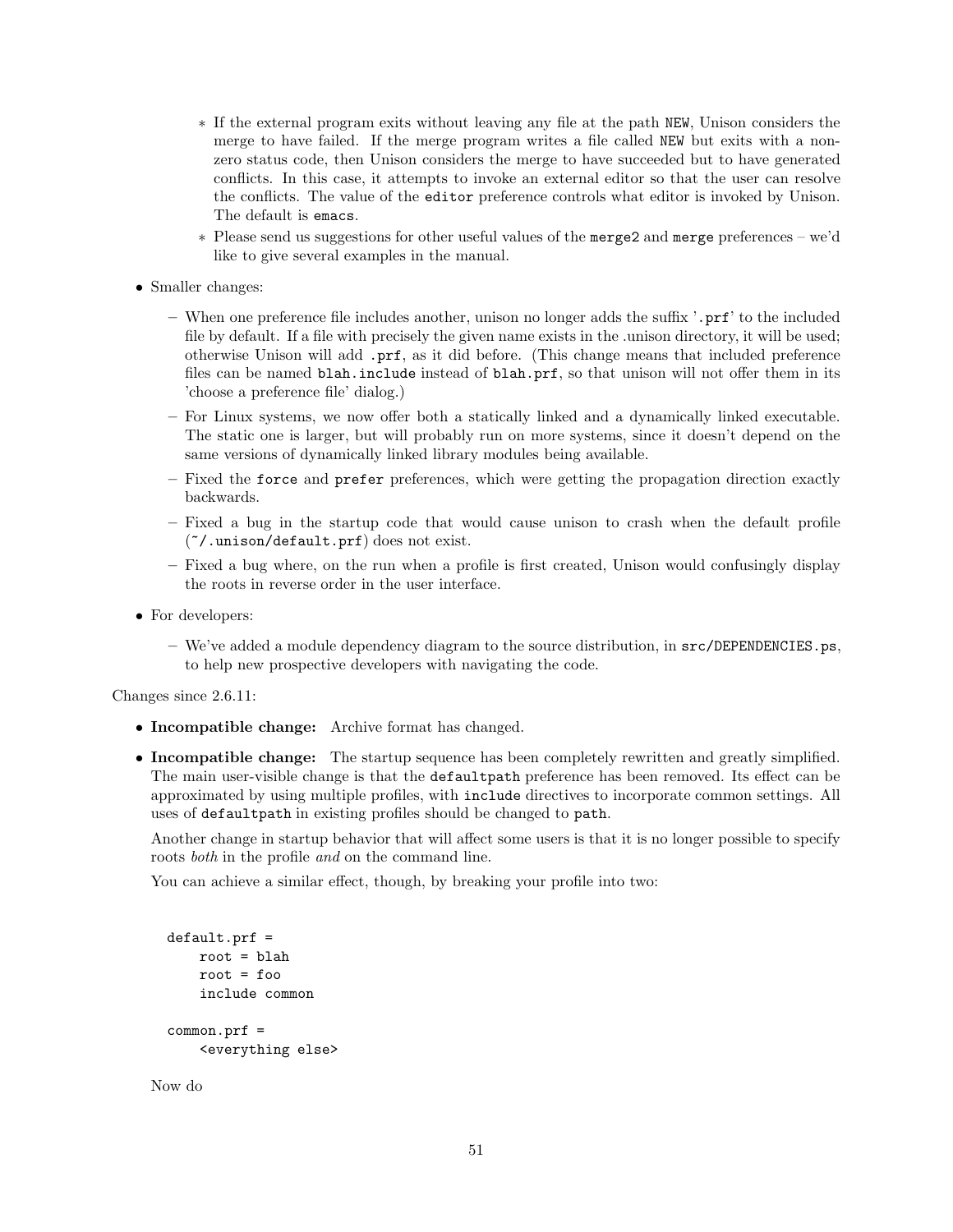- ∗ If the external program exits without leaving any file at the path NEW, Unison considers the merge to have failed. If the merge program writes a file called NEW but exits with a nonzero status code, then Unison considers the merge to have succeeded but to have generated conflicts. In this case, it attempts to invoke an external editor so that the user can resolve the conflicts. The value of the editor preference controls what editor is invoked by Unison. The default is emacs.
- ∗ Please send us suggestions for other useful values of the merge2 and merge preferences we'd like to give several examples in the manual.
- Smaller changes:
	- When one preference file includes another, unison no longer adds the suffix '.prf' to the included file by default. If a file with precisely the given name exists in the .unison directory, it will be used; otherwise Unison will add .prf, as it did before. (This change means that included preference files can be named blah.include instead of blah.prf, so that unison will not offer them in its 'choose a preference file' dialog.)
	- For Linux systems, we now offer both a statically linked and a dynamically linked executable. The static one is larger, but will probably run on more systems, since it doesn't depend on the same versions of dynamically linked library modules being available.
	- Fixed the force and prefer preferences, which were getting the propagation direction exactly backwards.
	- Fixed a bug in the startup code that would cause unison to crash when the default profile (~/.unison/default.prf) does not exist.
	- Fixed a bug where, on the run when a profile is first created, Unison would confusingly display the roots in reverse order in the user interface.
- For developers:
	- We've added a module dependency diagram to the source distribution, in src/DEPENDENCIES.ps, to help new prospective developers with navigating the code.

Changes since 2.6.11:

- Incompatible change: Archive format has changed.
- Incompatible change: The startup sequence has been completely rewritten and greatly simplified. The main user-visible change is that the defaultpath preference has been removed. Its effect can be approximated by using multiple profiles, with include directives to incorporate common settings. All uses of defaultpath in existing profiles should be changed to path.

Another change in startup behavior that will affect some users is that it is no longer possible to specify roots both in the profile and on the command line.

You can achieve a similar effect, though, by breaking your profile into two:

```
default.prf =
    root = <b>bl</b>ahroot = foo
    include common
common.prf =
    <everything else>
```
Now do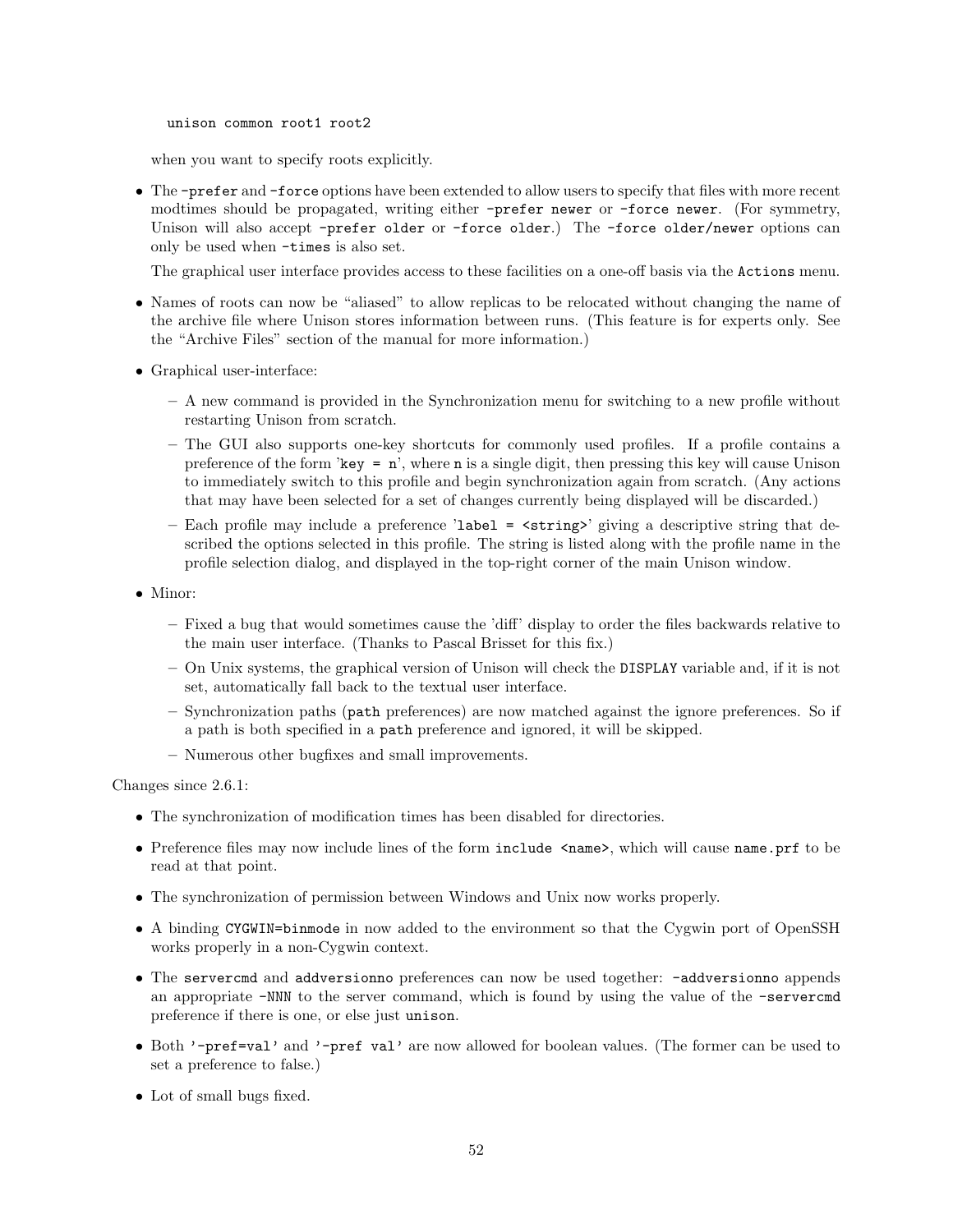unison common root1 root2

when you want to specify roots explicitly.

• The -prefer and -force options have been extended to allow users to specify that files with more recent modtimes should be propagated, writing either -prefer newer or -force newer. (For symmetry, Unison will also accept -prefer older or -force older.) The -force older/newer options can only be used when -times is also set.

The graphical user interface provides access to these facilities on a one-off basis via the Actions menu.

- Names of roots can now be "aliased" to allow replicas to be relocated without changing the name of the archive file where Unison stores information between runs. (This feature is for experts only. See the "Archive Files" section of the manual for more information.)
- Graphical user-interface:
	- A new command is provided in the Synchronization menu for switching to a new profile without restarting Unison from scratch.
	- The GUI also supports one-key shortcuts for commonly used profiles. If a profile contains a preference of the form 'key =  $n'$ ', where n is a single digit, then pressing this key will cause Unison to immediately switch to this profile and begin synchronization again from scratch. (Any actions that may have been selected for a set of changes currently being displayed will be discarded.)
	- Each profile may include a preference 'label =  $\langle$ string>' giving a descriptive string that described the options selected in this profile. The string is listed along with the profile name in the profile selection dialog, and displayed in the top-right corner of the main Unison window.
- Minor:
	- Fixed a bug that would sometimes cause the 'diff' display to order the files backwards relative to the main user interface. (Thanks to Pascal Brisset for this fix.)
	- On Unix systems, the graphical version of Unison will check the DISPLAY variable and, if it is not set, automatically fall back to the textual user interface.
	- Synchronization paths (path preferences) are now matched against the ignore preferences. So if a path is both specified in a path preference and ignored, it will be skipped.
	- Numerous other bugfixes and small improvements.

Changes since 2.6.1:

- The synchronization of modification times has been disabled for directories.
- Preference files may now include lines of the form include  $\langle$ name>, which will cause name.prf to be read at that point.
- The synchronization of permission between Windows and Unix now works properly.
- A binding CYGWIN=binmode in now added to the environment so that the Cygwin port of OpenSSH works properly in a non-Cygwin context.
- The servercmd and addversionno preferences can now be used together: -addversionno appends an appropriate -NNN to the server command, which is found by using the value of the -servercmd preference if there is one, or else just unison.
- Both '-pref=val' and '-pref val' are now allowed for boolean values. (The former can be used to set a preference to false.)
- Lot of small bugs fixed.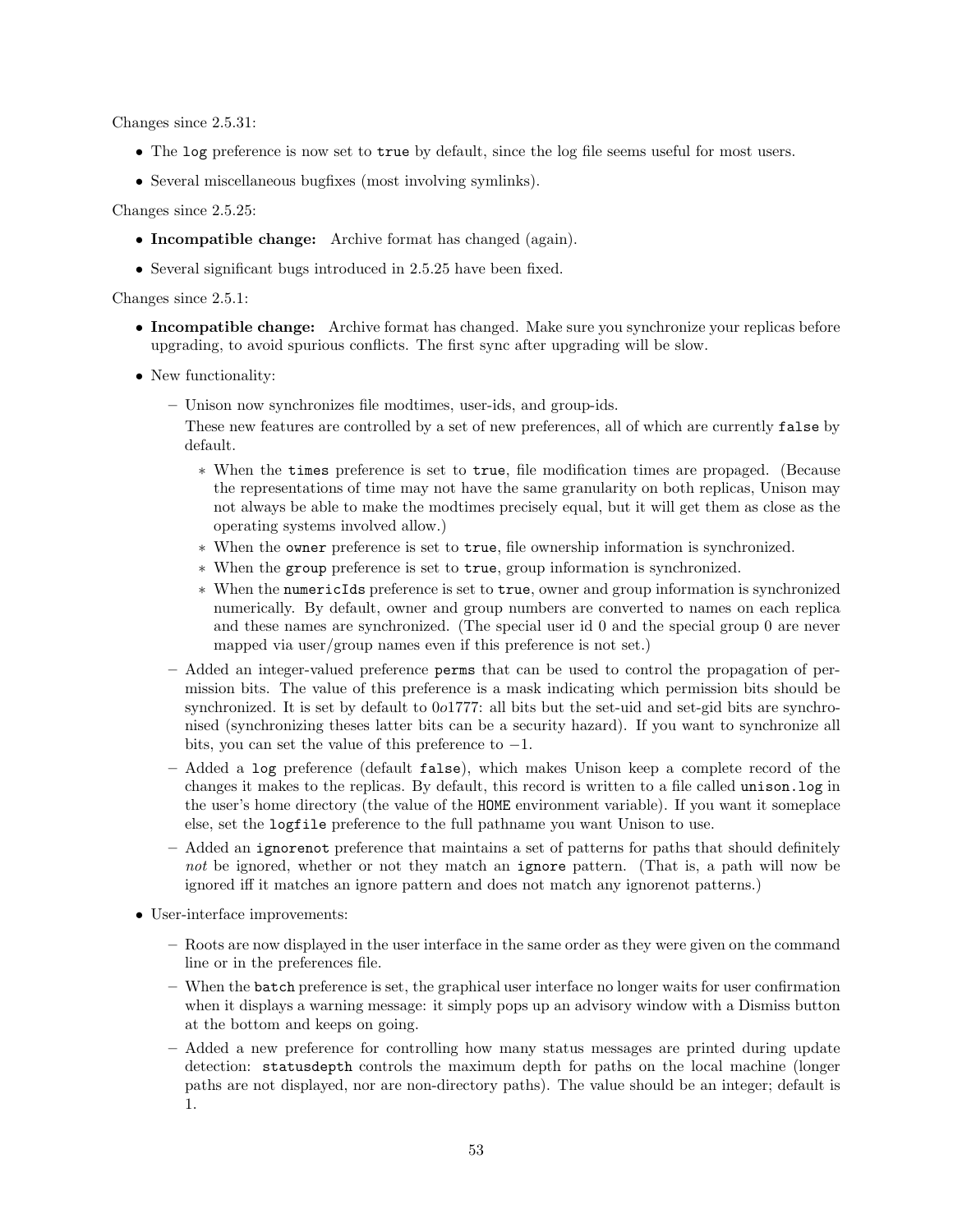Changes since 2.5.31:

- The log preference is now set to true by default, since the log file seems useful for most users.
- Several miscellaneous bugfixes (most involving symlinks).

Changes since 2.5.25:

- Incompatible change: Archive format has changed (again).
- Several significant bugs introduced in 2.5.25 have been fixed.

Changes since 2.5.1:

- Incompatible change: Archive format has changed. Make sure you synchronize your replicas before upgrading, to avoid spurious conflicts. The first sync after upgrading will be slow.
- New functionality:
	- Unison now synchronizes file modtimes, user-ids, and group-ids.
		- These new features are controlled by a set of new preferences, all of which are currently false by default.
			- ∗ When the times preference is set to true, file modification times are propaged. (Because the representations of time may not have the same granularity on both replicas, Unison may not always be able to make the modtimes precisely equal, but it will get them as close as the operating systems involved allow.)
			- ∗ When the owner preference is set to true, file ownership information is synchronized.
			- ∗ When the group preference is set to true, group information is synchronized.
			- ∗ When the numericIds preference is set to true, owner and group information is synchronized numerically. By default, owner and group numbers are converted to names on each replica and these names are synchronized. (The special user id 0 and the special group 0 are never mapped via user/group names even if this preference is not set.)
	- Added an integer-valued preference perms that can be used to control the propagation of permission bits. The value of this preference is a mask indicating which permission bits should be synchronized. It is set by default to 0o1777: all bits but the set-uid and set-gid bits are synchronised (synchronizing theses latter bits can be a security hazard). If you want to synchronize all bits, you can set the value of this preference to  $-1$ .
	- Added a log preference (default false), which makes Unison keep a complete record of the changes it makes to the replicas. By default, this record is written to a file called unison.log in the user's home directory (the value of the HOME environment variable). If you want it someplace else, set the logfile preference to the full pathname you want Unison to use.
	- Added an ignorenot preference that maintains a set of patterns for paths that should definitely not be ignored, whether or not they match an ignore pattern. (That is, a path will now be ignored iff it matches an ignore pattern and does not match any ignorenot patterns.)
- User-interface improvements:
	- Roots are now displayed in the user interface in the same order as they were given on the command line or in the preferences file.
	- When the batch preference is set, the graphical user interface no longer waits for user confirmation when it displays a warning message: it simply pops up an advisory window with a Dismiss button at the bottom and keeps on going.
	- Added a new preference for controlling how many status messages are printed during update detection: statusdepth controls the maximum depth for paths on the local machine (longer paths are not displayed, nor are non-directory paths). The value should be an integer; default is 1.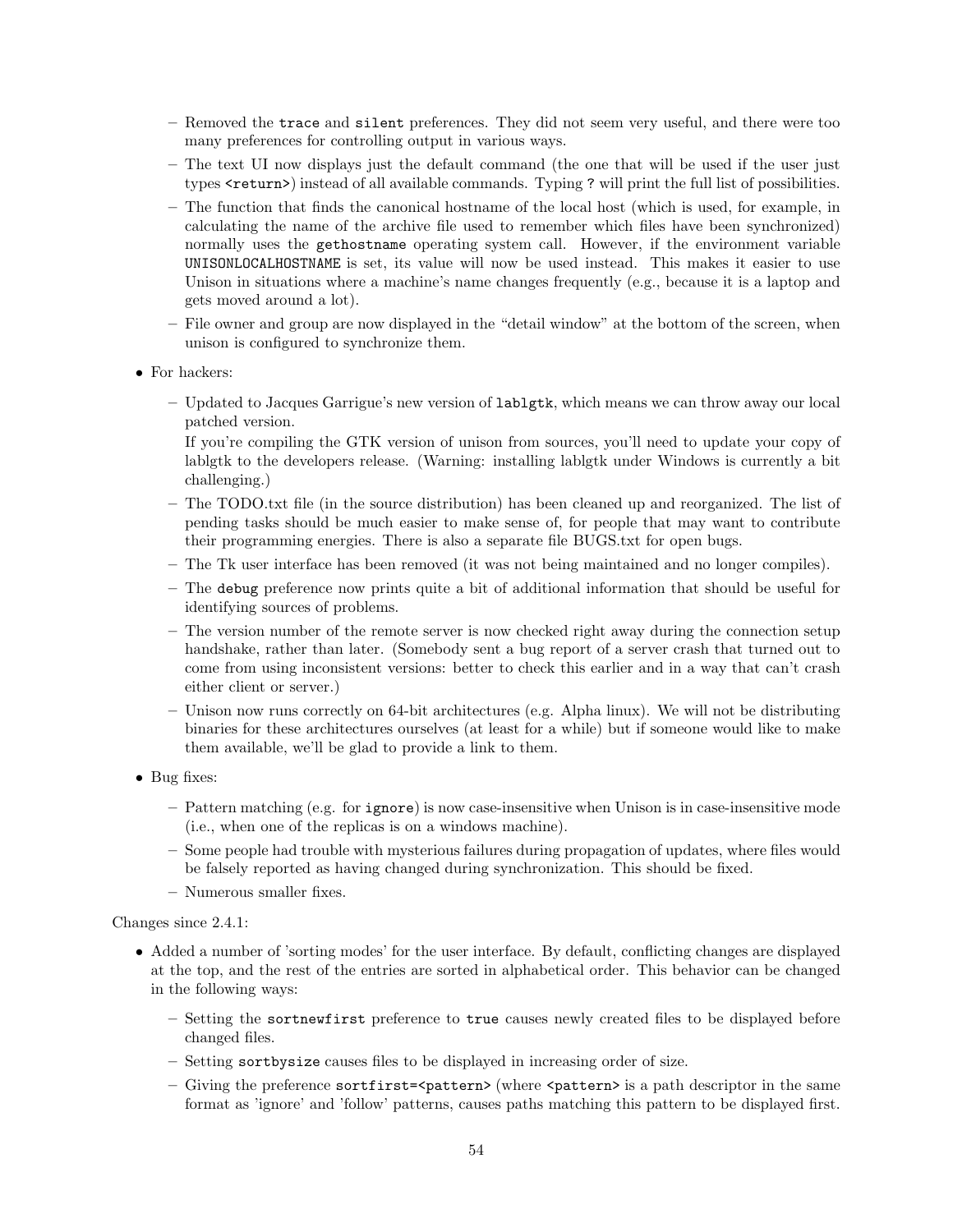- Removed the trace and silent preferences. They did not seem very useful, and there were too many preferences for controlling output in various ways.
- The text UI now displays just the default command (the one that will be used if the user just types <return>) instead of all available commands. Typing ? will print the full list of possibilities.
- The function that finds the canonical hostname of the local host (which is used, for example, in calculating the name of the archive file used to remember which files have been synchronized) normally uses the gethostname operating system call. However, if the environment variable UNISONLOCALHOSTNAME is set, its value will now be used instead. This makes it easier to use Unison in situations where a machine's name changes frequently (e.g., because it is a laptop and gets moved around a lot).
- File owner and group are now displayed in the "detail window" at the bottom of the screen, when unison is configured to synchronize them.
- For hackers:
	- Updated to Jacques Garrigue's new version of lablgtk, which means we can throw away our local patched version.

If you're compiling the GTK version of unison from sources, you'll need to update your copy of lablgtk to the developers release. (Warning: installing lablgtk under Windows is currently a bit challenging.)

- The TODO.txt file (in the source distribution) has been cleaned up and reorganized. The list of pending tasks should be much easier to make sense of, for people that may want to contribute their programming energies. There is also a separate file BUGS.txt for open bugs.
- The Tk user interface has been removed (it was not being maintained and no longer compiles).
- The debug preference now prints quite a bit of additional information that should be useful for identifying sources of problems.
- The version number of the remote server is now checked right away during the connection setup handshake, rather than later. (Somebody sent a bug report of a server crash that turned out to come from using inconsistent versions: better to check this earlier and in a way that can't crash either client or server.)
- Unison now runs correctly on 64-bit architectures (e.g. Alpha linux). We will not be distributing binaries for these architectures ourselves (at least for a while) but if someone would like to make them available, we'll be glad to provide a link to them.
- Bug fixes:
	- Pattern matching (e.g. for ignore) is now case-insensitive when Unison is in case-insensitive mode (i.e., when one of the replicas is on a windows machine).
	- Some people had trouble with mysterious failures during propagation of updates, where files would be falsely reported as having changed during synchronization. This should be fixed.
	- Numerous smaller fixes.

#### Changes since 2.4.1:

- Added a number of 'sorting modes' for the user interface. By default, conflicting changes are displayed at the top, and the rest of the entries are sorted in alphabetical order. This behavior can be changed in the following ways:
	- Setting the sortnewfirst preference to true causes newly created files to be displayed before changed files.
	- Setting sortbysize causes files to be displayed in increasing order of size.
	- Giving the preference sortfirst= $\epsilon$ pattern> (where  $\epsilon$ pattern> is a path descriptor in the same format as 'ignore' and 'follow' patterns, causes paths matching this pattern to be displayed first.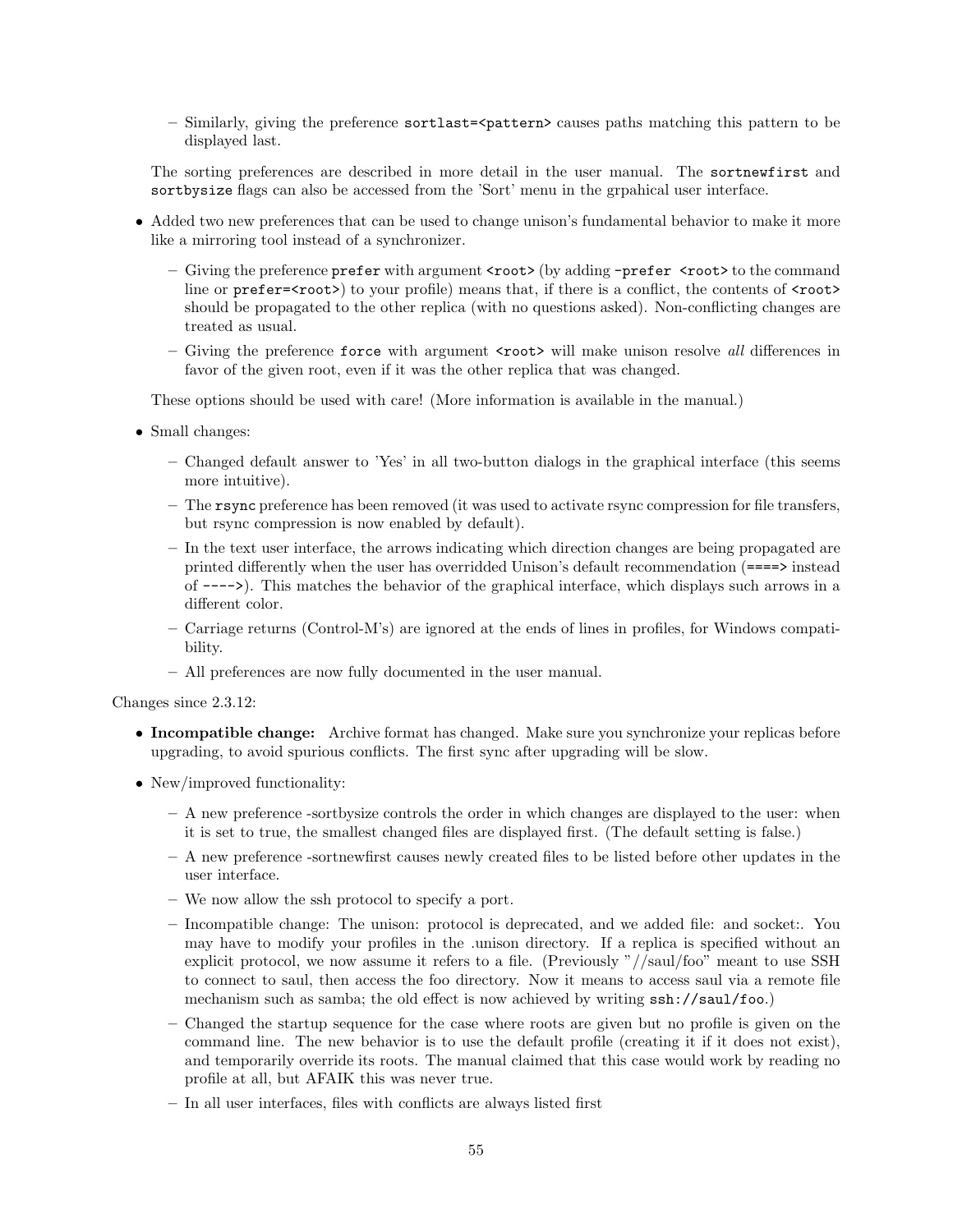– Similarly, giving the preference sortlast=<pattern> causes paths matching this pattern to be displayed last.

The sorting preferences are described in more detail in the user manual. The sortnewfirst and sortbysize flags can also be accessed from the 'Sort' menu in the grpahical user interface.

- Added two new preferences that can be used to change unison's fundamental behavior to make it more like a mirroring tool instead of a synchronizer.
	- Giving the preference prefer with argument <root> (by adding -prefer <root> to the command line or prefer=<root>) to your profile) means that, if there is a conflict, the contents of <root> should be propagated to the other replica (with no questions asked). Non-conflicting changes are treated as usual.
	- Giving the preference force with argument <root> will make unison resolve *all* differences in favor of the given root, even if it was the other replica that was changed.

These options should be used with care! (More information is available in the manual.)

- Small changes:
	- Changed default answer to 'Yes' in all two-button dialogs in the graphical interface (this seems more intuitive).
	- The rsync preference has been removed (it was used to activate rsync compression for file transfers, but rsync compression is now enabled by default).
	- In the text user interface, the arrows indicating which direction changes are being propagated are printed differently when the user has overridded Unison's default recommendation (====> instead of ---->). This matches the behavior of the graphical interface, which displays such arrows in a different color.
	- Carriage returns (Control-M's) are ignored at the ends of lines in profiles, for Windows compatibility.
	- All preferences are now fully documented in the user manual.

Changes since 2.3.12:

- Incompatible change: Archive format has changed. Make sure you synchronize your replicas before upgrading, to avoid spurious conflicts. The first sync after upgrading will be slow.
- New/improved functionality:
	- A new preference -sortbysize controls the order in which changes are displayed to the user: when it is set to true, the smallest changed files are displayed first. (The default setting is false.)
	- A new preference -sortnewfirst causes newly created files to be listed before other updates in the user interface.
	- We now allow the ssh protocol to specify a port.
	- Incompatible change: The unison: protocol is deprecated, and we added file: and socket:. You may have to modify your profiles in the .unison directory. If a replica is specified without an explicit protocol, we now assume it refers to a file. (Previously "//saul/foo" meant to use SSH to connect to saul, then access the foo directory. Now it means to access saul via a remote file mechanism such as samba; the old effect is now achieved by writing  $\text{ssh}$ ://saul/foo.)
	- Changed the startup sequence for the case where roots are given but no profile is given on the command line. The new behavior is to use the default profile (creating it if it does not exist), and temporarily override its roots. The manual claimed that this case would work by reading no profile at all, but AFAIK this was never true.
	- In all user interfaces, files with conflicts are always listed first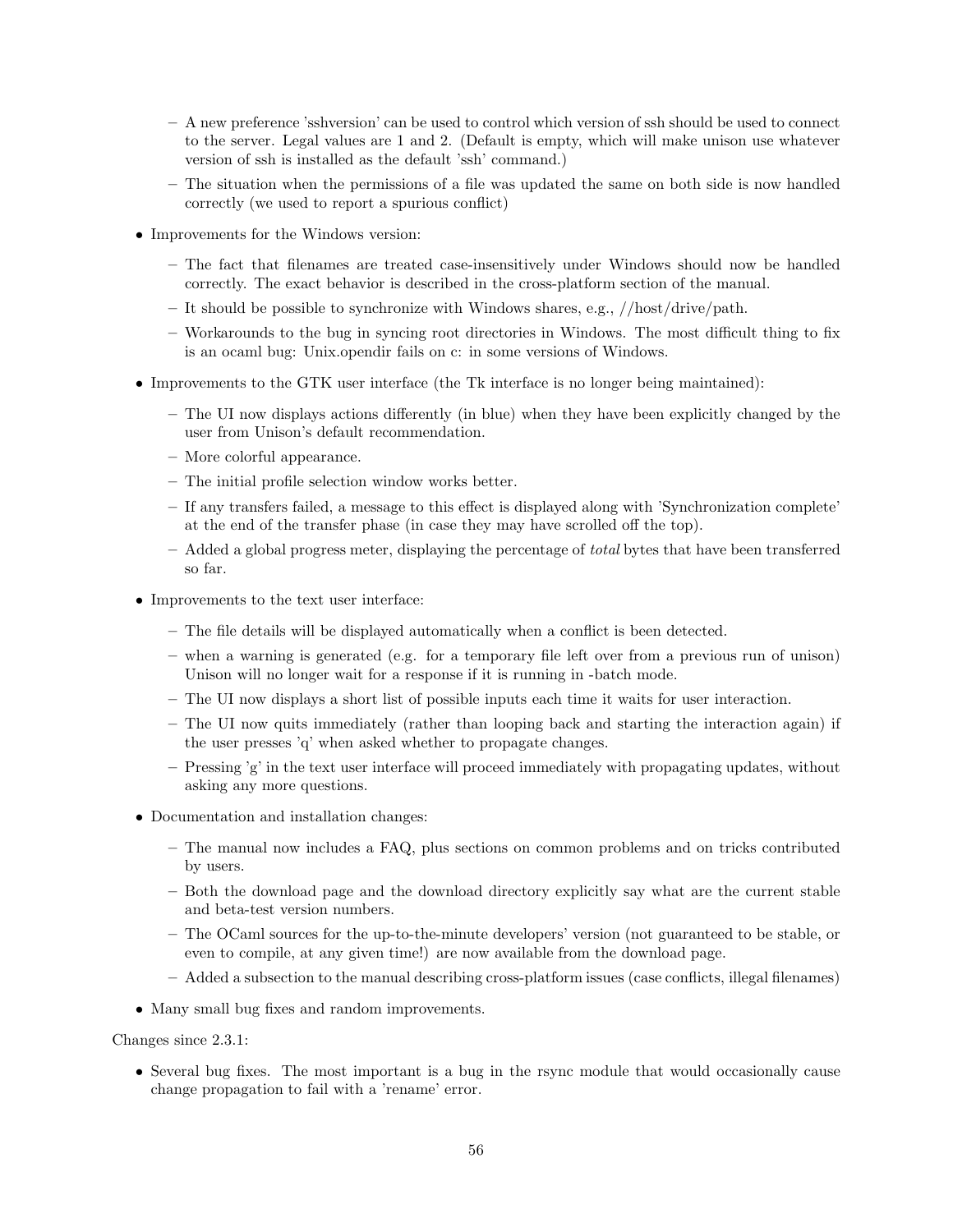- A new preference 'sshversion' can be used to control which version of ssh should be used to connect to the server. Legal values are 1 and 2. (Default is empty, which will make unison use whatever version of ssh is installed as the default 'ssh' command.)
- The situation when the permissions of a file was updated the same on both side is now handled correctly (we used to report a spurious conflict)
- Improvements for the Windows version:
	- The fact that filenames are treated case-insensitively under Windows should now be handled correctly. The exact behavior is described in the cross-platform section of the manual.
	- It should be possible to synchronize with Windows shares, e.g., //host/drive/path.
	- Workarounds to the bug in syncing root directories in Windows. The most difficult thing to fix is an ocaml bug: Unix.opendir fails on c: in some versions of Windows.
- Improvements to the GTK user interface (the Tk interface is no longer being maintained):
	- The UI now displays actions differently (in blue) when they have been explicitly changed by the user from Unison's default recommendation.
	- More colorful appearance.
	- The initial profile selection window works better.
	- If any transfers failed, a message to this effect is displayed along with 'Synchronization complete' at the end of the transfer phase (in case they may have scrolled off the top).
	- $-$  Added a global progress meter, displaying the percentage of *total* bytes that have been transferred so far.
- Improvements to the text user interface:
	- The file details will be displayed automatically when a conflict is been detected.
	- when a warning is generated (e.g. for a temporary file left over from a previous run of unison) Unison will no longer wait for a response if it is running in -batch mode.
	- The UI now displays a short list of possible inputs each time it waits for user interaction.
	- The UI now quits immediately (rather than looping back and starting the interaction again) if the user presses 'q' when asked whether to propagate changes.
	- Pressing 'g' in the text user interface will proceed immediately with propagating updates, without asking any more questions.
- Documentation and installation changes:
	- The manual now includes a FAQ, plus sections on common problems and on tricks contributed by users.
	- Both the download page and the download directory explicitly say what are the current stable and beta-test version numbers.
	- The OCaml sources for the up-to-the-minute developers' version (not guaranteed to be stable, or even to compile, at any given time!) are now available from the download page.
	- Added a subsection to the manual describing cross-platform issues (case conflicts, illegal filenames)
- Many small bug fixes and random improvements.

Changes since 2.3.1:

• Several bug fixes. The most important is a bug in the rsync module that would occasionally cause change propagation to fail with a 'rename' error.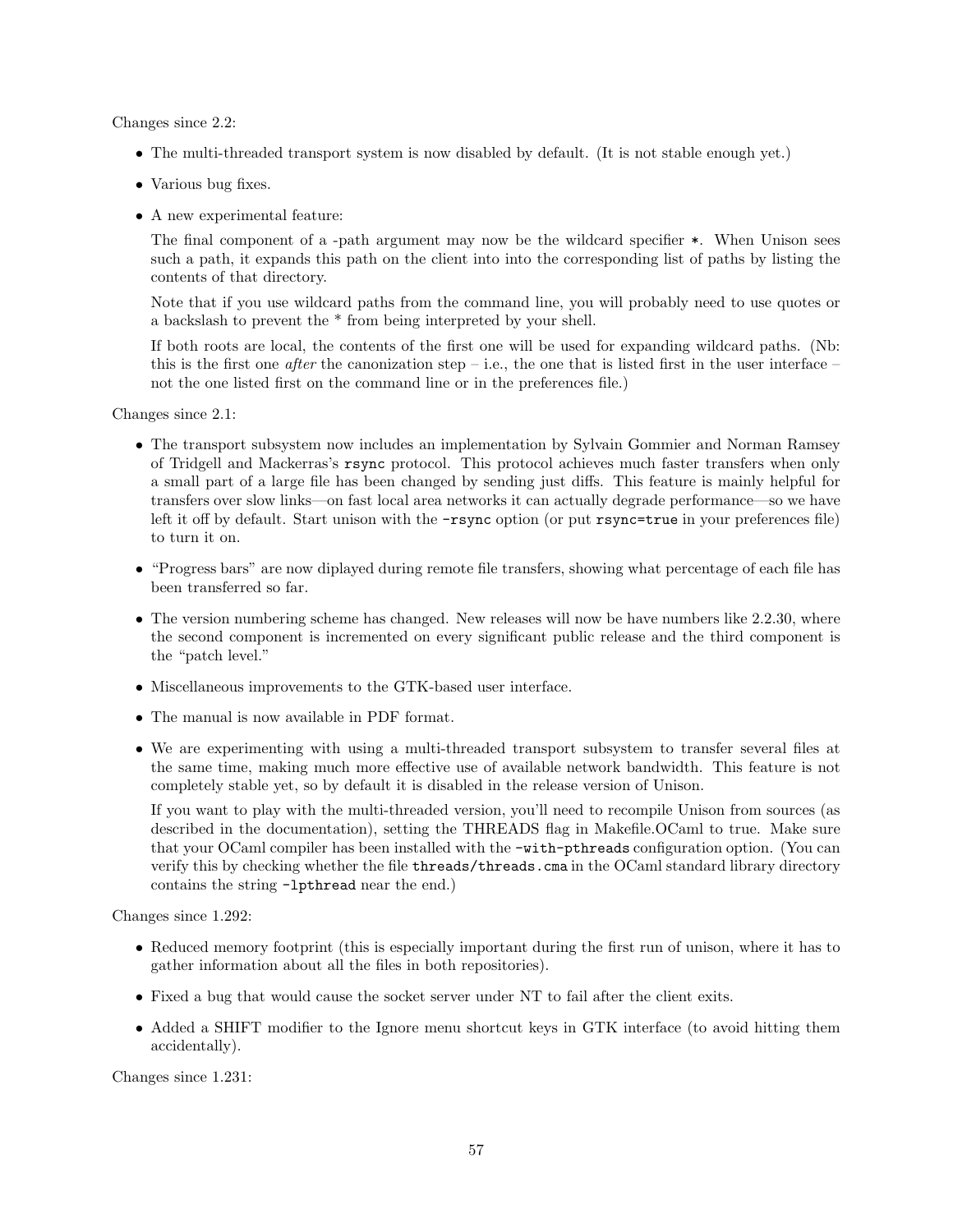Changes since 2.2:

- The multi-threaded transport system is now disabled by default. (It is not stable enough yet.)
- Various bug fixes.
- A new experimental feature:

The final component of a -path argument may now be the wildcard specifier \*. When Unison sees such a path, it expands this path on the client into into the corresponding list of paths by listing the contents of that directory.

Note that if you use wildcard paths from the command line, you will probably need to use quotes or a backslash to prevent the \* from being interpreted by your shell.

If both roots are local, the contents of the first one will be used for expanding wildcard paths. (Nb: this is the first one *after* the canonization step – i.e., the one that is listed first in the user interface – not the one listed first on the command line or in the preferences file.)

Changes since 2.1:

- The transport subsystem now includes an implementation by Sylvain Gommier and Norman Ramsey of Tridgell and Mackerras's rsync protocol. This protocol achieves much faster transfers when only a small part of a large file has been changed by sending just diffs. This feature is mainly helpful for transfers over slow links—on fast local area networks it can actually degrade performance—so we have left it off by default. Start unison with the  $\text{-rsync}$  option (or put rsync=true in your preferences file) to turn it on.
- "Progress bars" are now diplayed during remote file transfers, showing what percentage of each file has been transferred so far.
- $\bullet$  The version numbering scheme has changed. New releases will now be have numbers like 2.2.30, where the second component is incremented on every significant public release and the third component is the "patch level."
- Miscellaneous improvements to the GTK-based user interface.
- The manual is now available in PDF format.
- We are experimenting with using a multi-threaded transport subsystem to transfer several files at the same time, making much more effective use of available network bandwidth. This feature is not completely stable yet, so by default it is disabled in the release version of Unison.

If you want to play with the multi-threaded version, you'll need to recompile Unison from sources (as described in the documentation), setting the THREADS flag in Makefile.OCaml to true. Make sure that your OCaml compiler has been installed with the -with-pthreads configuration option. (You can verify this by checking whether the file threads/threads.cma in the OCaml standard library directory contains the string -lpthread near the end.)

Changes since 1.292:

- Reduced memory footprint (this is especially important during the first run of unison, where it has to gather information about all the files in both repositories).
- Fixed a bug that would cause the socket server under NT to fail after the client exits.
- Added a SHIFT modifier to the Ignore menu shortcut keys in GTK interface (to avoid hitting them accidentally).

Changes since 1.231: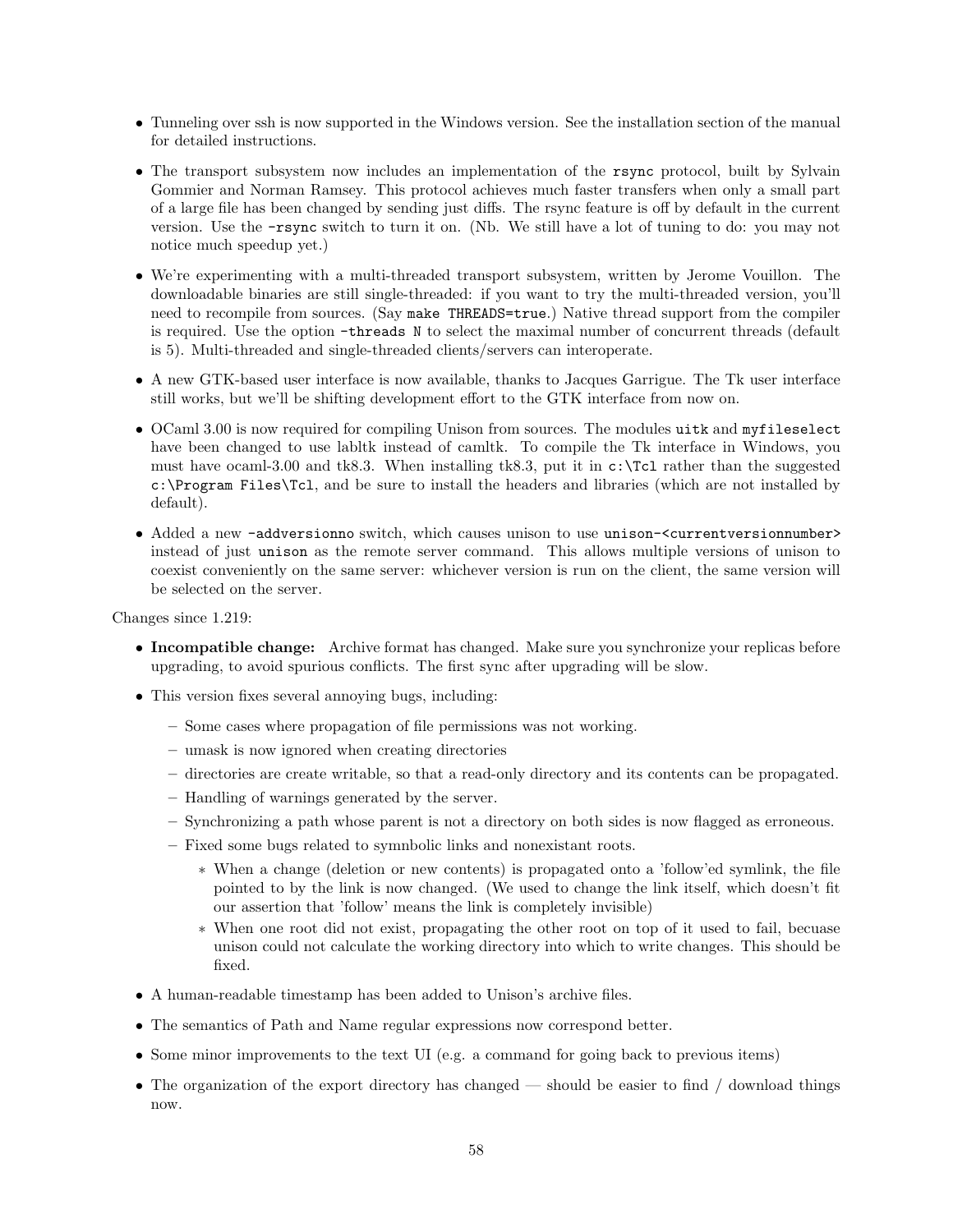- Tunneling over ssh is now supported in the Windows version. See the installation section of the manual for detailed instructions.
- The transport subsystem now includes an implementation of the rsync protocol, built by Sylvain Gommier and Norman Ramsey. This protocol achieves much faster transfers when only a small part of a large file has been changed by sending just diffs. The rsync feature is off by default in the current version. Use the -rsync switch to turn it on. (Nb. We still have a lot of tuning to do: you may not notice much speedup yet.)
- We're experimenting with a multi-threaded transport subsystem, written by Jerome Vouillon. The downloadable binaries are still single-threaded: if you want to try the multi-threaded version, you'll need to recompile from sources. (Say make THREADS=true.) Native thread support from the compiler is required. Use the option -threads N to select the maximal number of concurrent threads (default is 5). Multi-threaded and single-threaded clients/servers can interoperate.
- A new GTK-based user interface is now available, thanks to Jacques Garrigue. The Tk user interface still works, but we'll be shifting development effort to the GTK interface from now on.
- OCaml 3.00 is now required for compiling Unison from sources. The modules uitk and myfileselect have been changed to use labltk instead of camltk. To compile the Tk interface in Windows, you must have ocaml-3.00 and tk8.3. When installing tk8.3, put it in  $c:\T{cl}$  rather than the suggested c:\Program Files\Tcl, and be sure to install the headers and libraries (which are not installed by default).
- Added a new -addversionno switch, which causes unison to use unison-<currentversionnumber> instead of just unison as the remote server command. This allows multiple versions of unison to coexist conveniently on the same server: whichever version is run on the client, the same version will be selected on the server.

Changes since 1.219:

- Incompatible change: Archive format has changed. Make sure you synchronize your replicas before upgrading, to avoid spurious conflicts. The first sync after upgrading will be slow.
- This version fixes several annoying bugs, including:
	- Some cases where propagation of file permissions was not working.
	- umask is now ignored when creating directories
	- directories are create writable, so that a read-only directory and its contents can be propagated.
	- Handling of warnings generated by the server.
	- Synchronizing a path whose parent is not a directory on both sides is now flagged as erroneous.
	- Fixed some bugs related to symnbolic links and nonexistant roots.
		- ∗ When a change (deletion or new contents) is propagated onto a 'follow'ed symlink, the file pointed to by the link is now changed. (We used to change the link itself, which doesn't fit our assertion that 'follow' means the link is completely invisible)
		- ∗ When one root did not exist, propagating the other root on top of it used to fail, becuase unison could not calculate the working directory into which to write changes. This should be fixed.
- A human-readable timestamp has been added to Unison's archive files.
- The semantics of Path and Name regular expressions now correspond better.
- Some minor improvements to the text UI (e.g. a command for going back to previous items)
- The organization of the export directory has changed should be easier to find / download things now.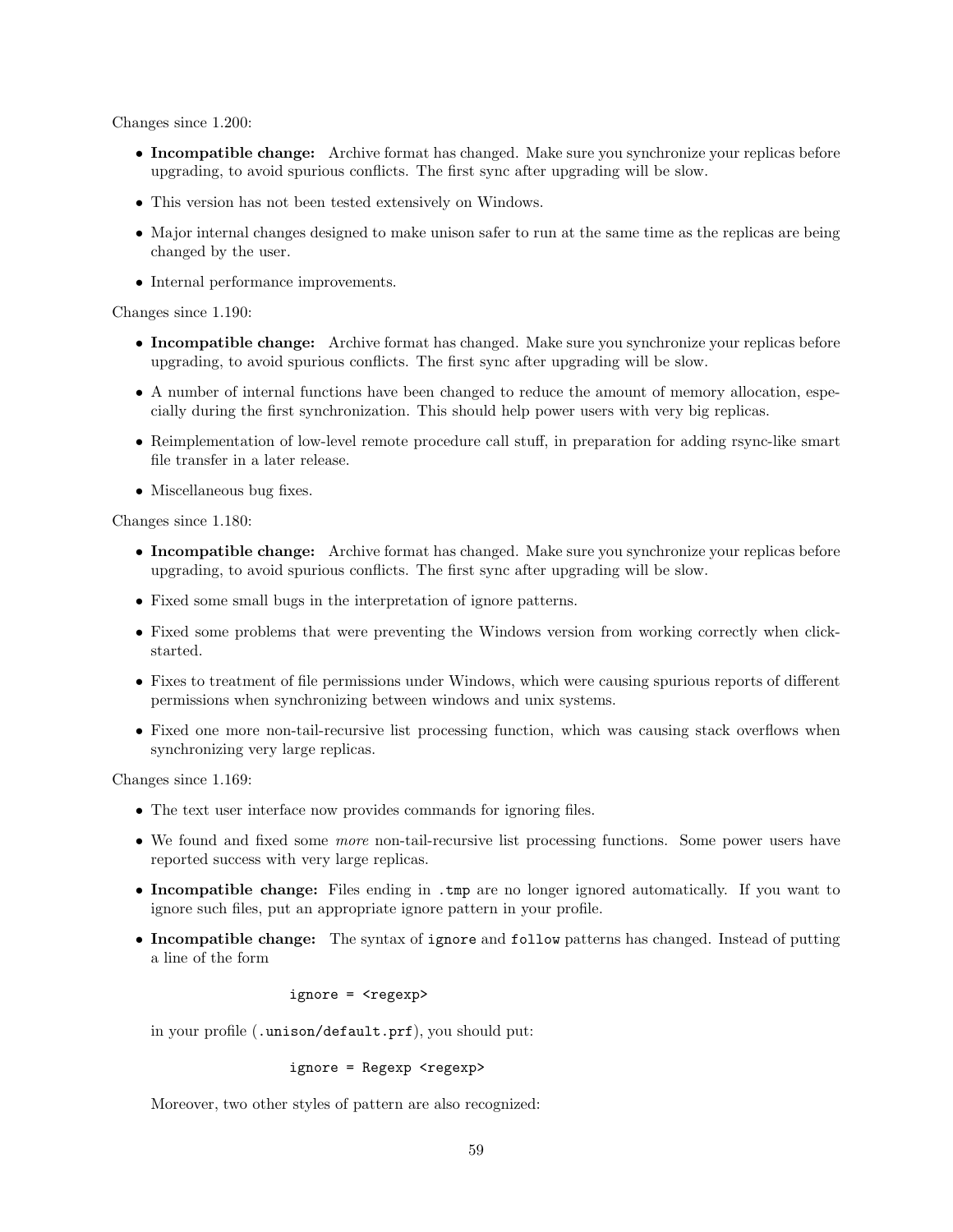Changes since 1.200:

- Incompatible change: Archive format has changed. Make sure you synchronize your replicas before upgrading, to avoid spurious conflicts. The first sync after upgrading will be slow.
- This version has not been tested extensively on Windows.
- Major internal changes designed to make unison safer to run at the same time as the replicas are being changed by the user.
- Internal performance improvements.

Changes since 1.190:

- Incompatible change: Archive format has changed. Make sure you synchronize your replicas before upgrading, to avoid spurious conflicts. The first sync after upgrading will be slow.
- A number of internal functions have been changed to reduce the amount of memory allocation, especially during the first synchronization. This should help power users with very big replicas.
- Reimplementation of low-level remote procedure call stuff, in preparation for adding rsync-like smart file transfer in a later release.
- Miscellaneous bug fixes.

Changes since 1.180:

- Incompatible change: Archive format has changed. Make sure you synchronize your replicas before upgrading, to avoid spurious conflicts. The first sync after upgrading will be slow.
- Fixed some small bugs in the interpretation of ignore patterns.
- Fixed some problems that were preventing the Windows version from working correctly when clickstarted.
- Fixes to treatment of file permissions under Windows, which were causing spurious reports of different permissions when synchronizing between windows and unix systems.
- Fixed one more non-tail-recursive list processing function, which was causing stack overflows when synchronizing very large replicas.

Changes since 1.169:

- The text user interface now provides commands for ignoring files.
- We found and fixed some *more* non-tail-recursive list processing functions. Some power users have reported success with very large replicas.
- Incompatible change: Files ending in .tmp are no longer ignored automatically. If you want to ignore such files, put an appropriate ignore pattern in your profile.
- Incompatible change: The syntax of ignore and follow patterns has changed. Instead of putting a line of the form

ignore = <regexp>

in your profile (.unison/default.prf), you should put:

ignore = Regexp <regexp>

Moreover, two other styles of pattern are also recognized: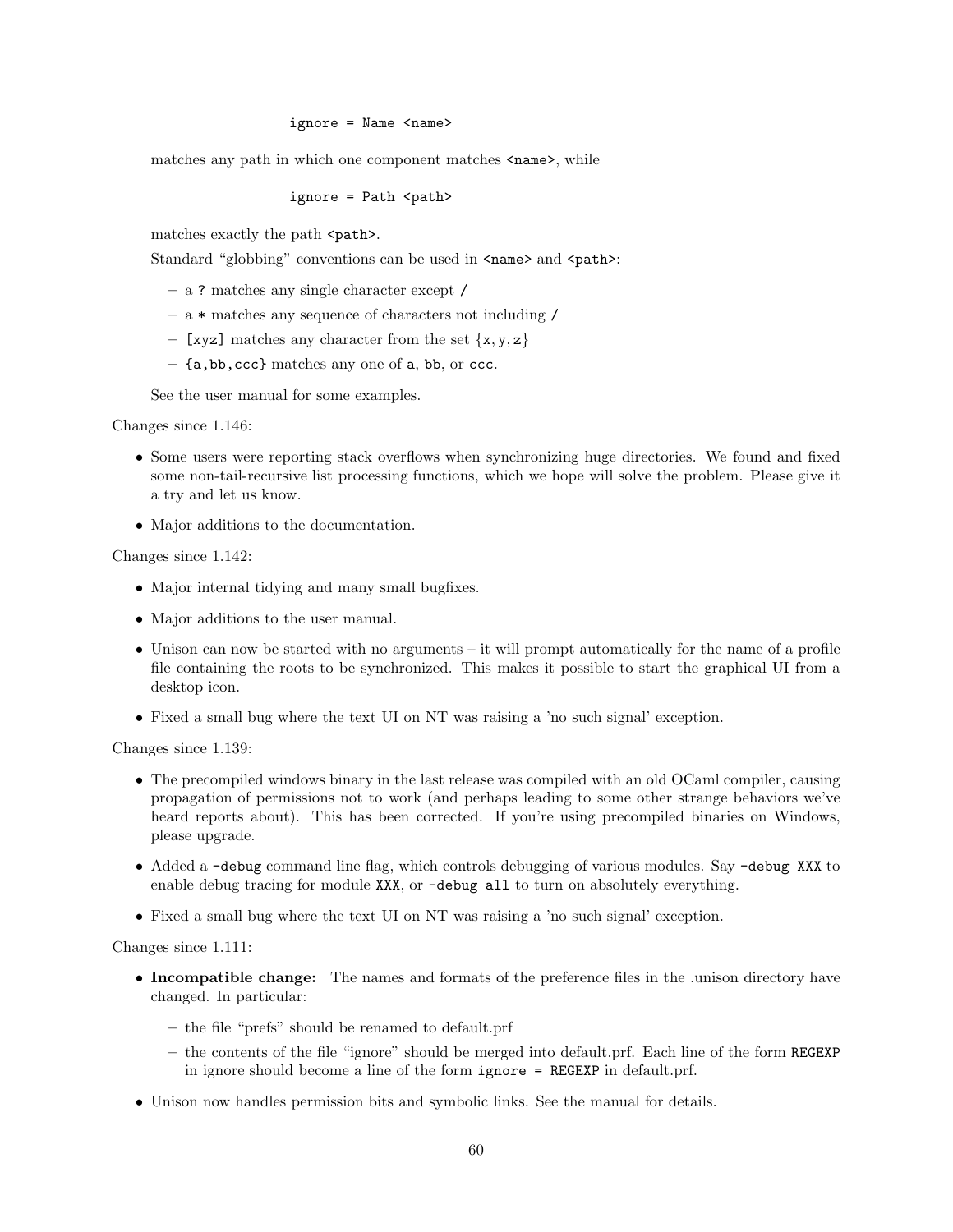#### ignore = Name <name>

matches any path in which one component matches  $\langle$  name>, while

ignore = Path <path>

matches exactly the path <path>.

Standard "globbing" conventions can be used in  $\langle$ name> and  $\langle$ path>:

- a ? matches any single character except /
- a \* matches any sequence of characters not including /
- [xyz] matches any character from the set  $\{x, y, z\}$
- {a,bb,ccc} matches any one of a, bb, or ccc.

See the user manual for some examples.

Changes since 1.146:

- Some users were reporting stack overflows when synchronizing huge directories. We found and fixed some non-tail-recursive list processing functions, which we hope will solve the problem. Please give it a try and let us know.
- Major additions to the documentation.

Changes since 1.142:

- Major internal tidying and many small bugfixes.
- Major additions to the user manual.
- Unison can now be started with no arguments it will prompt automatically for the name of a profile file containing the roots to be synchronized. This makes it possible to start the graphical UI from a desktop icon.
- Fixed a small bug where the text UI on NT was raising a 'no such signal' exception.

Changes since 1.139:

- The precompiled windows binary in the last release was compiled with an old OCaml compiler, causing propagation of permissions not to work (and perhaps leading to some other strange behaviors we've heard reports about). This has been corrected. If you're using precompiled binaries on Windows, please upgrade.
- Added a -debug command line flag, which controls debugging of various modules. Say -debug XXX to enable debug tracing for module XXX, or -debug all to turn on absolutely everything.
- Fixed a small bug where the text UI on NT was raising a 'no such signal' exception.

Changes since 1.111:

- Incompatible change: The names and formats of the preference files in the unison directory have changed. In particular:
	- the file "prefs" should be renamed to default.prf
	- the contents of the file "ignore" should be merged into default.prf. Each line of the form REGEXP in ignore should become a line of the form ignore = REGEXP in default.prf.
- Unison now handles permission bits and symbolic links. See the manual for details.